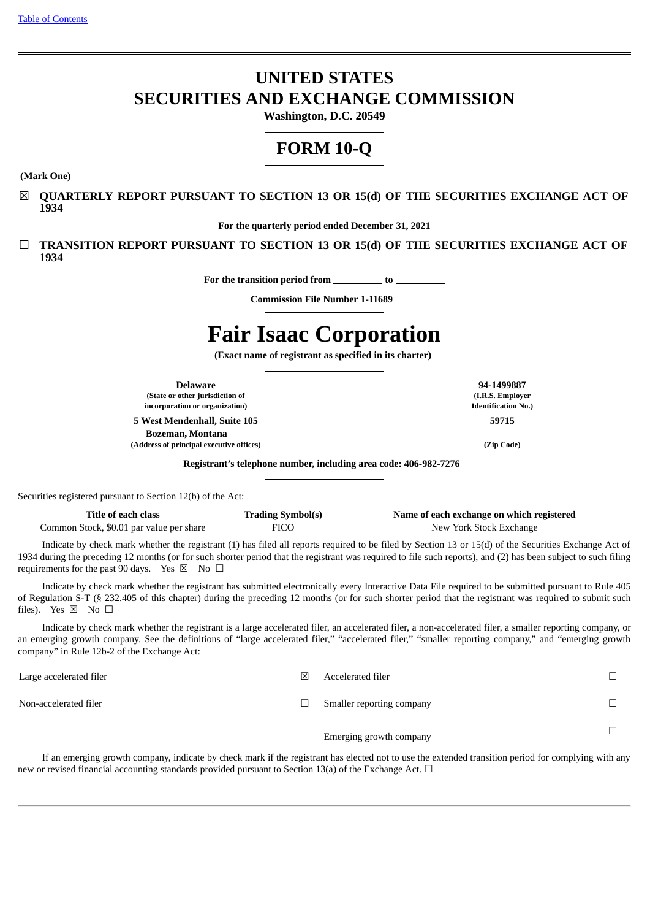# **UNITED STATES SECURITIES AND EXCHANGE COMMISSION**

**Washington, D.C. 20549**

## **FORM 10-Q**

**(Mark One)**

☒ **QUARTERLY REPORT PURSUANT TO SECTION 13 OR 15(d) OF THE SECURITIES EXCHANGE ACT OF 1934**

**For the quarterly period ended December 31, 2021**

☐ **TRANSITION REPORT PURSUANT TO SECTION 13 OR 15(d) OF THE SECURITIES EXCHANGE ACT OF 1934**

**For the transition period from to**

**Commission File Number 1-11689**

# **Fair Isaac Corporation**

**(Exact name of registrant as specified in its charter)**

| <b>Delaware</b>                          | 94-1499887                 |
|------------------------------------------|----------------------------|
| (State or other jurisdiction of          | (I.R.S. Employer)          |
| incorporation or organization)           | <b>Identification No.)</b> |
| 5 West Mendenhall, Suite 105             | 59715                      |
| <b>Bozeman, Montana</b>                  |                            |
| (Address of principal executive offices) | (Zip Code)                 |
|                                          |                            |

**Registrant's telephone number, including area code: 406-982-7276**

Securities registered pursuant to Section 12(b) of the Act:

| Title of each class                      | <b>Trading Symbol(s)</b> | Name of each exchange on which registered |
|------------------------------------------|--------------------------|-------------------------------------------|
| Common Stock, \$0.01 par value per share | FICO                     | New York Stock Exchange                   |

Indicate by check mark whether the registrant (1) has filed all reports required to be filed by Section 13 or 15(d) of the Securities Exchange Act of 1934 during the preceding 12 months (or for such shorter period that the registrant was required to file such reports), and (2) has been subject to such filing requirements for the past 90 days. Yes  $\boxtimes$  No  $\Box$ 

Indicate by check mark whether the registrant has submitted electronically every Interactive Data File required to be submitted pursuant to Rule 405 of Regulation S-T (§ 232.405 of this chapter) during the preceding 12 months (or for such shorter period that the registrant was required to submit such files). Yes  $\boxtimes$  No  $\square$ 

Indicate by check mark whether the registrant is a large accelerated filer, an accelerated filer, a non-accelerated filer, a smaller reporting company, or an emerging growth company. See the definitions of "large accelerated filer," "accelerated filer," "smaller reporting company," and "emerging growth company" in Rule 12b-2 of the Exchange Act:

| Large accelerated filer | 冈 | Accelerated filer         |  |
|-------------------------|---|---------------------------|--|
| Non-accelerated filer   |   | Smaller reporting company |  |
|                         |   | Emerging growth company   |  |

If an emerging growth company, indicate by check mark if the registrant has elected not to use the extended transition period for complying with any new or revised financial accounting standards provided pursuant to Section 13(a) of the Exchange Act.  $\Box$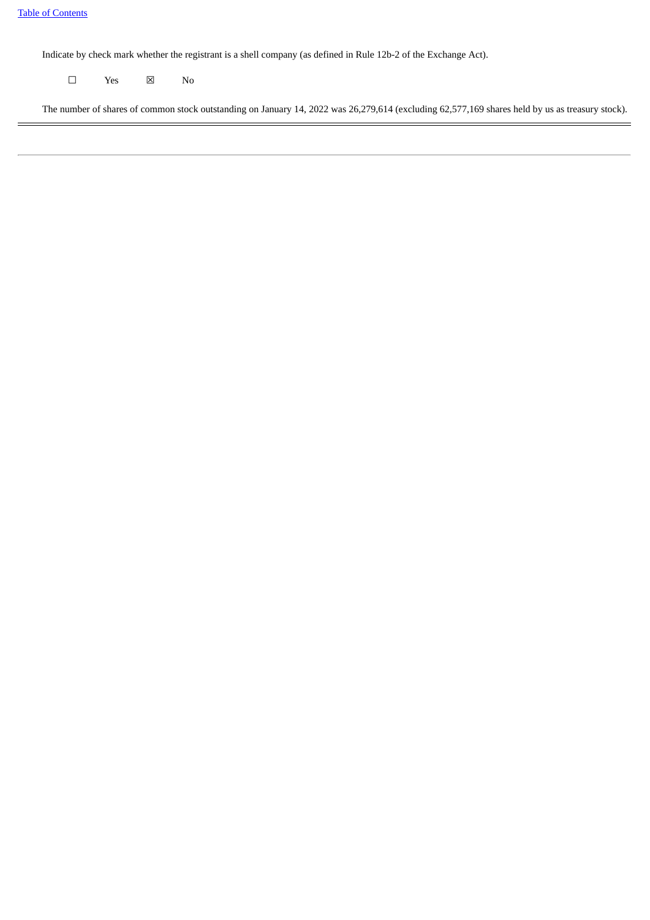Indicate by check mark whether the registrant is a shell company (as defined in Rule 12b-2 of the Exchange Act).

 $\square$  Yes  $\square$  No

<span id="page-1-0"></span>The number of shares of common stock outstanding on January 14, 2022 was 26,279,614 (excluding 62,577,169 shares held by us as treasury stock).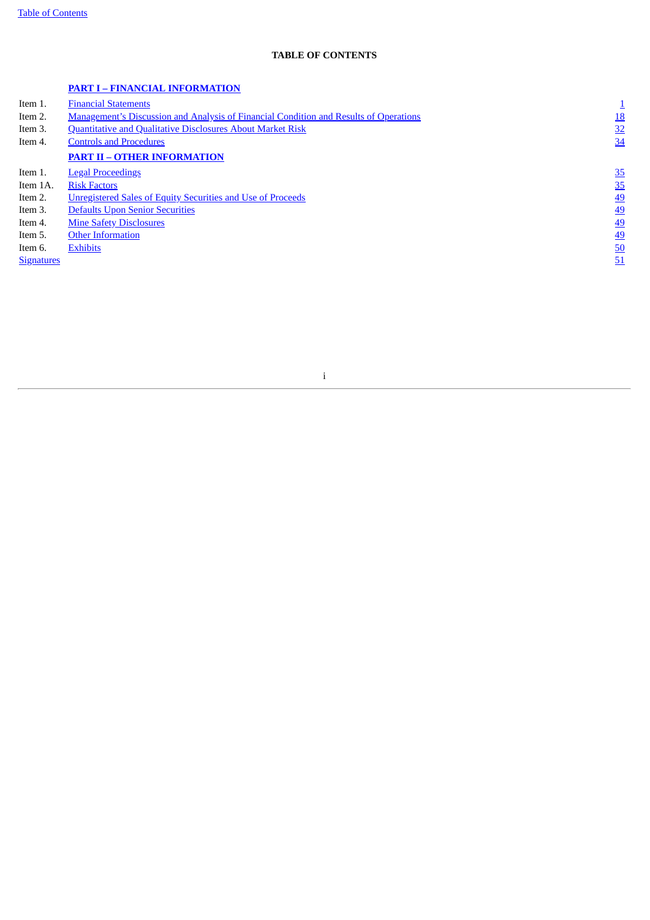## **TABLE OF CONTENTS**

<span id="page-2-0"></span>

|                   | <b>PART I - FINANCIAL INFORMATION</b>                                                 |           |
|-------------------|---------------------------------------------------------------------------------------|-----------|
| Item 1.           | <b>Financial Statements</b>                                                           |           |
| Item 2.           | Management's Discussion and Analysis of Financial Condition and Results of Operations | <u>18</u> |
| Item 3.           | <b>Quantitative and Qualitative Disclosures About Market Risk</b>                     | 32        |
| Item 4.           | <b>Controls and Procedures</b>                                                        | 34        |
|                   | <b>PART II - OTHER INFORMATION</b>                                                    |           |
| Item 1.           | <b>Legal Proceedings</b>                                                              | 35        |
| Item 1A.          | <b>Risk Factors</b>                                                                   | 35        |
| Item 2.           | <b>Unregistered Sales of Equity Securities and Use of Proceeds</b>                    | 49        |
| Item 3.           | <b>Defaults Upon Senior Securities</b>                                                | 49        |
| Item 4.           | <b>Mine Safety Disclosures</b>                                                        | 49        |
| Item 5.           | <b>Other Information</b>                                                              | <u>49</u> |
| Item 6.           | <b>Exhibits</b>                                                                       | 50        |
| <b>Signatures</b> |                                                                                       | 51        |
|                   |                                                                                       |           |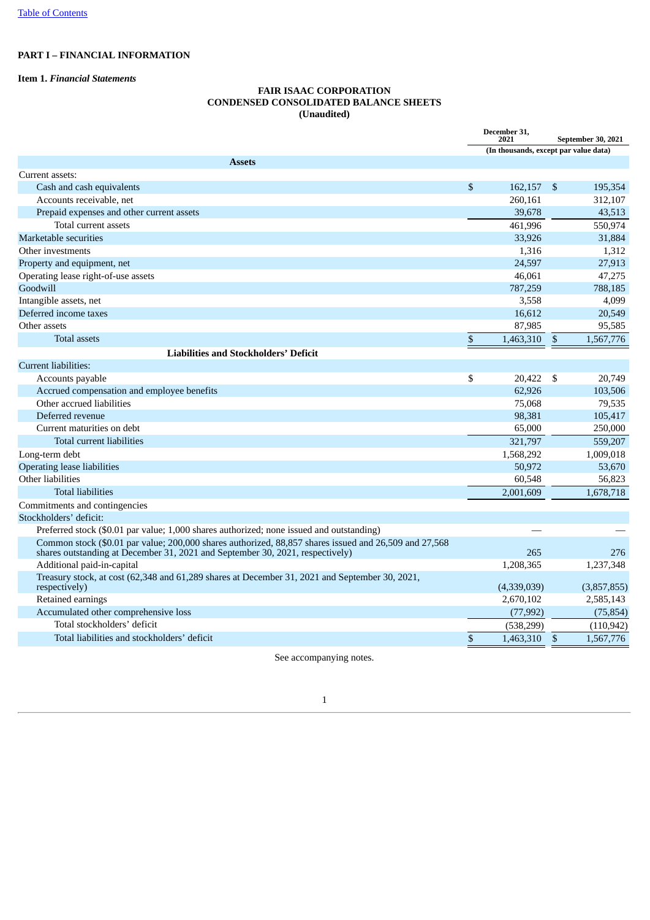## **PART I – FINANCIAL INFORMATION**

## <span id="page-3-1"></span><span id="page-3-0"></span>**Item 1.** *Financial Statements*

## **FAIR ISAAC CORPORATION CONDENSED CONSOLIDATED BALANCE SHEETS (Unaudited)**

|                                                                                                                                                                                        | December 31,<br>2021                  |                           | September 30, 2021 |
|----------------------------------------------------------------------------------------------------------------------------------------------------------------------------------------|---------------------------------------|---------------------------|--------------------|
|                                                                                                                                                                                        | (In thousands, except par value data) |                           |                    |
| <b>Assets</b>                                                                                                                                                                          |                                       |                           |                    |
| Current assets:                                                                                                                                                                        |                                       |                           |                    |
| Cash and cash equivalents                                                                                                                                                              | \$<br>162,157                         | \$                        | 195,354            |
| Accounts receivable, net                                                                                                                                                               | 260,161                               |                           | 312,107            |
| Prepaid expenses and other current assets                                                                                                                                              | 39,678                                |                           | 43,513             |
| Total current assets                                                                                                                                                                   | 461,996                               |                           | 550,974            |
| Marketable securities                                                                                                                                                                  | 33,926                                |                           | 31,884             |
| Other investments                                                                                                                                                                      | 1,316                                 |                           | 1,312              |
| Property and equipment, net                                                                                                                                                            | 24,597                                |                           | 27,913             |
| Operating lease right-of-use assets                                                                                                                                                    | 46,061                                |                           | 47,275             |
| Goodwill                                                                                                                                                                               | 787,259                               |                           | 788,185            |
| Intangible assets, net                                                                                                                                                                 | 3,558                                 |                           | 4,099              |
| Deferred income taxes                                                                                                                                                                  | 16,612                                |                           | 20,549             |
| Other assets                                                                                                                                                                           | 87,985                                |                           | 95,585             |
| <b>Total assets</b>                                                                                                                                                                    | \$<br>1,463,310                       | $\sqrt{3}$                | 1,567,776          |
| <b>Liabilities and Stockholders' Deficit</b>                                                                                                                                           |                                       |                           |                    |
| <b>Current liabilities:</b>                                                                                                                                                            |                                       |                           |                    |
| Accounts payable                                                                                                                                                                       | \$<br>20,422                          | -\$                       | 20,749             |
| Accrued compensation and employee benefits                                                                                                                                             | 62,926                                |                           | 103,506            |
| Other accrued liabilities                                                                                                                                                              | 75,068                                |                           | 79,535             |
| Deferred revenue                                                                                                                                                                       | 98,381                                |                           | 105,417            |
| Current maturities on debt                                                                                                                                                             | 65,000                                |                           | 250,000            |
| Total current liabilities                                                                                                                                                              | 321,797                               |                           | 559,207            |
| Long-term debt                                                                                                                                                                         | 1,568,292                             |                           | 1,009,018          |
| <b>Operating lease liabilities</b>                                                                                                                                                     | 50,972                                |                           | 53,670             |
| Other liabilities                                                                                                                                                                      | 60,548                                |                           | 56.823             |
| <b>Total liabilities</b>                                                                                                                                                               | 2,001,609                             |                           | 1.678.718          |
| Commitments and contingencies                                                                                                                                                          |                                       |                           |                    |
| Stockholders' deficit:                                                                                                                                                                 |                                       |                           |                    |
| Preferred stock (\$0.01 par value; 1,000 shares authorized; none issued and outstanding)                                                                                               |                                       |                           |                    |
| Common stock (\$0.01 par value; 200,000 shares authorized, 88,857 shares issued and 26,509 and 27,568<br>shares outstanding at December 31, 2021 and September 30, 2021, respectively) | 265                                   |                           | 276                |
| Additional paid-in-capital                                                                                                                                                             | 1,208,365                             |                           | 1,237,348          |
| Treasury stock, at cost (62,348 and 61,289 shares at December 31, 2021 and September 30, 2021,<br>respectively)                                                                        | (4,339,039)                           |                           | (3,857,855)        |
| Retained earnings                                                                                                                                                                      | 2,670,102                             |                           | 2,585,143          |
| Accumulated other comprehensive loss                                                                                                                                                   | (77, 992)                             |                           | (75, 854)          |
| Total stockholders' deficit                                                                                                                                                            | (538, 299)                            |                           | (110, 942)         |
| Total liabilities and stockholders' deficit                                                                                                                                            | \$<br>1,463,310                       | $\boldsymbol{\mathsf{S}}$ | 1,567,776          |

See accompanying notes.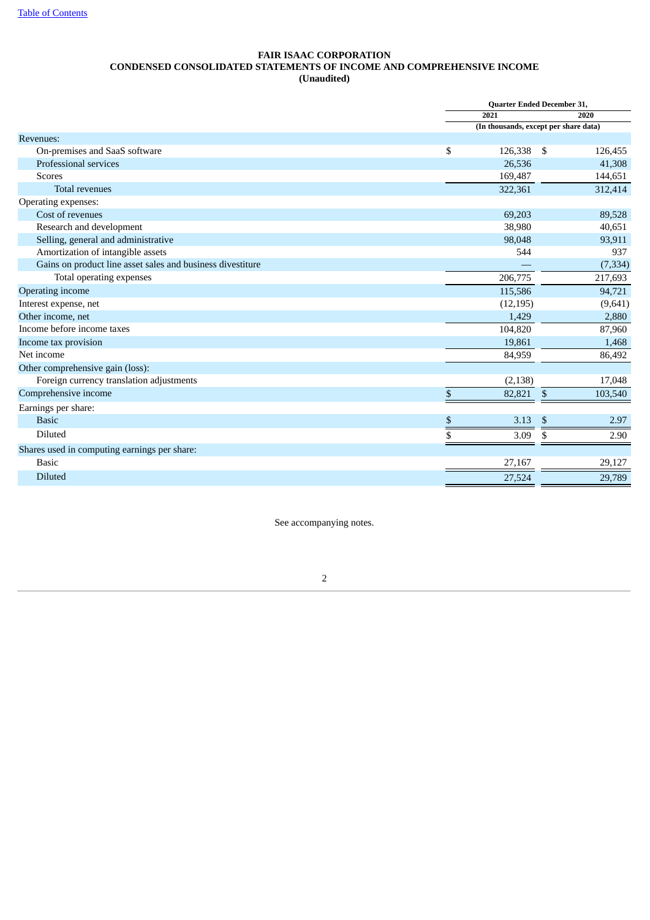## **FAIR ISAAC CORPORATION CONDENSED CONSOLIDATED STATEMENTS OF INCOME AND COMPREHENSIVE INCOME (Unaudited)**

|                                                            | <b>Quarter Ended December 31,</b>     |                |          |  |
|------------------------------------------------------------|---------------------------------------|----------------|----------|--|
|                                                            | 2021<br>2020                          |                |          |  |
|                                                            | (In thousands, except per share data) |                |          |  |
| Revenues:                                                  |                                       |                |          |  |
| On-premises and SaaS software                              | \$<br>126,338                         | \$             | 126,455  |  |
| Professional services                                      | 26,536                                |                | 41,308   |  |
| <b>Scores</b>                                              | 169,487                               |                | 144,651  |  |
| <b>Total revenues</b>                                      | 322,361                               |                | 312,414  |  |
| Operating expenses:                                        |                                       |                |          |  |
| Cost of revenues                                           | 69,203                                |                | 89,528   |  |
| Research and development                                   | 38,980                                |                | 40,651   |  |
| Selling, general and administrative                        | 98,048                                |                | 93,911   |  |
| Amortization of intangible assets                          | 544                                   |                | 937      |  |
| Gains on product line asset sales and business divestiture |                                       |                | (7, 334) |  |
| Total operating expenses                                   | 206,775                               |                | 217,693  |  |
| Operating income                                           | 115,586                               |                | 94,721   |  |
| Interest expense, net                                      | (12, 195)                             |                | (9,641)  |  |
| Other income, net                                          | 1,429                                 |                | 2,880    |  |
| Income before income taxes                                 | 104,820                               |                | 87,960   |  |
| Income tax provision                                       | 19,861                                |                | 1,468    |  |
| Net income                                                 | 84,959                                |                | 86,492   |  |
| Other comprehensive gain (loss):                           |                                       |                |          |  |
| Foreign currency translation adjustments                   | (2, 138)                              |                | 17,048   |  |
| Comprehensive income                                       | \$<br>82,821                          | $\sqrt{3}$     | 103,540  |  |
| Earnings per share:                                        |                                       |                |          |  |
| <b>Basic</b>                                               | \$<br>3.13                            | $\mathfrak{F}$ | 2.97     |  |
| Diluted                                                    | 3.09                                  | \$             | 2.90     |  |
| Shares used in computing earnings per share:               |                                       |                |          |  |
| <b>Basic</b>                                               | 27,167                                |                | 29,127   |  |
| <b>Diluted</b>                                             | 27,524                                |                | 29,789   |  |

See accompanying notes.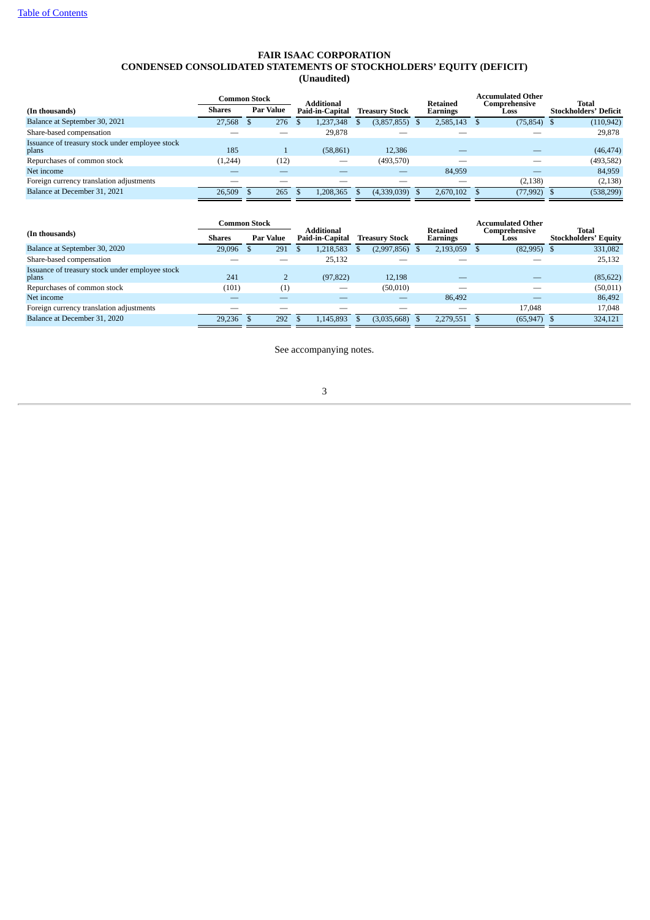## **FAIR ISAAC CORPORATION CONDENSED CONSOLIDATED STATEMENTS OF STOCKHOLDERS' EQUITY (DEFICIT) (Unaudited)**

|                                                          |               | C <b>ommon Stock</b> | <b>Additional</b>      |                       | Retained  | <b>Accumulated Other</b><br>Comprehensive | Total                        |
|----------------------------------------------------------|---------------|----------------------|------------------------|-----------------------|-----------|-------------------------------------------|------------------------------|
| (In thousands)                                           | <b>Shares</b> | <b>Par Value</b>     | <b>Paid-in-Capital</b> | <b>Treasury Stock</b> | Earnings  | Loss                                      | <b>Stockholders' Deficit</b> |
| Balance at September 30, 2021                            | 27,568        | 276                  | 1,237,348              | $(3,857,855)$ \$      | 2,585,143 | $(75, 854)$ \$                            | (110, 942)                   |
| Share-based compensation                                 |               | __                   | 29.878                 |                       |           |                                           | 29,878                       |
| Issuance of treasury stock under employee stock<br>plans | 185           |                      | (58, 861)              | 12.386                |           |                                           | (46, 474)                    |
| Repurchases of common stock                              | (1,244)       | (12)                 |                        | (493,570)             |           |                                           | (493, 582)                   |
| Net income                                               |               |                      |                        |                       | 84,959    |                                           | 84,959                       |
| Foreign currency translation adjustments                 |               |                      |                        |                       |           | (2, 138)                                  | (2, 138)                     |
| Balance at December 31, 2021                             | 26,509        | 265                  | 1,208,365              | $(4,339,039)$ \$      | 2,670,102 | $(77,992)$ \$                             | (538, 299)                   |

|                                                          |               | Common Stock     |                                      |                       |                      | <b>Accumulated Other</b> |                                      |
|----------------------------------------------------------|---------------|------------------|--------------------------------------|-----------------------|----------------------|--------------------------|--------------------------------------|
| (In thousands)                                           | <b>Shares</b> | <b>Par Value</b> | <b>Additional</b><br>Paid-in-Capital | <b>Treasury Stock</b> | Retained<br>Earnings | Comprehensive<br>Loss    | Total<br><b>Stockholders' Equity</b> |
| Balance at September 30, 2020                            | 29,096        | 291              | .218,583                             | $(2,997,856)$ \$      | 2,193,059            | $(82,995)$ \$<br>-S      | 331,082                              |
| Share-based compensation                                 |               |                  | 25.132                               |                       |                      |                          | 25,132                               |
| Issuance of treasury stock under employee stock<br>plans | 241           | ∠                | (97, 822)                            | 12.198                |                      |                          | (85, 622)                            |
| Repurchases of common stock                              | (101)         | (1)              |                                      | (50,010)              |                      |                          | (50, 011)                            |
| Net income                                               |               |                  |                                      | __                    | 86,492               |                          | 86,492                               |
| Foreign currency translation adjustments                 |               |                  |                                      |                       |                      | 17.048                   | 17.048                               |
| Balance at December 31, 2020                             | 29.236        | 292              | 1.145.893                            | (3,035,668)           | 2,279,551<br>- 55    | $(65, 947)$ \$           | 324,121                              |

See accompanying notes.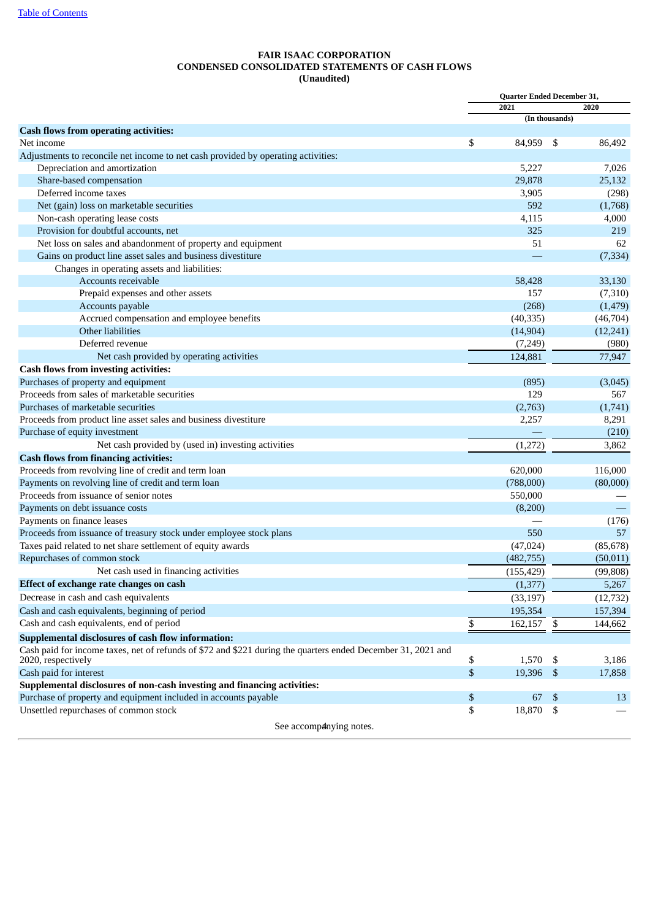## **FAIR ISAAC CORPORATION CONDENSED CONSOLIDATED STATEMENTS OF CASH FLOWS (Unaudited)**

|                                                                                                                                    | Quarter Ended December 31, |                |    |           |
|------------------------------------------------------------------------------------------------------------------------------------|----------------------------|----------------|----|-----------|
|                                                                                                                                    |                            | 2021           |    | 2020      |
|                                                                                                                                    |                            | (In thousands) |    |           |
| <b>Cash flows from operating activities:</b>                                                                                       |                            |                |    |           |
| Net income                                                                                                                         | \$                         | 84,959         | \$ | 86,492    |
| Adjustments to reconcile net income to net cash provided by operating activities:                                                  |                            |                |    |           |
| Depreciation and amortization                                                                                                      |                            | 5,227          |    | 7,026     |
| Share-based compensation                                                                                                           |                            | 29,878         |    | 25,132    |
| Deferred income taxes                                                                                                              |                            | 3,905          |    | (298)     |
| Net (gain) loss on marketable securities                                                                                           |                            | 592            |    | (1,768)   |
| Non-cash operating lease costs                                                                                                     |                            | 4,115          |    | 4,000     |
| Provision for doubtful accounts, net                                                                                               |                            | 325            |    | 219       |
| Net loss on sales and abandonment of property and equipment                                                                        |                            | 51             |    | 62        |
| Gains on product line asset sales and business divestiture                                                                         |                            |                |    | (7, 334)  |
| Changes in operating assets and liabilities:                                                                                       |                            |                |    |           |
| Accounts receivable                                                                                                                |                            | 58,428         |    | 33,130    |
| Prepaid expenses and other assets                                                                                                  |                            | 157            |    | (7,310)   |
| Accounts payable                                                                                                                   |                            | (268)          |    | (1, 479)  |
| Accrued compensation and employee benefits                                                                                         |                            | (40, 335)      |    | (46,704)  |
| Other liabilities                                                                                                                  |                            | (14, 904)      |    | (12, 241) |
| Deferred revenue                                                                                                                   |                            | (7,249)        |    | (980)     |
| Net cash provided by operating activities                                                                                          |                            | 124,881        |    | 77,947    |
| <b>Cash flows from investing activities:</b>                                                                                       |                            |                |    |           |
| Purchases of property and equipment                                                                                                |                            | (895)          |    | (3,045)   |
| Proceeds from sales of marketable securities                                                                                       |                            | 129            |    | 567       |
| Purchases of marketable securities                                                                                                 |                            | (2,763)        |    | (1,741)   |
| Proceeds from product line asset sales and business divestiture                                                                    |                            | 2,257          |    | 8,291     |
| Purchase of equity investment                                                                                                      |                            |                |    | (210)     |
| Net cash provided by (used in) investing activities                                                                                |                            | (1,272)        |    | 3,862     |
| <b>Cash flows from financing activities:</b>                                                                                       |                            |                |    |           |
| Proceeds from revolving line of credit and term loan                                                                               |                            | 620,000        |    | 116,000   |
| Payments on revolving line of credit and term loan                                                                                 |                            | (788,000)      |    | (80,000)  |
| Proceeds from issuance of senior notes                                                                                             |                            | 550,000        |    |           |
| Payments on debt issuance costs                                                                                                    |                            | (8,200)        |    |           |
| Payments on finance leases                                                                                                         |                            |                |    | (176)     |
| Proceeds from issuance of treasury stock under employee stock plans                                                                |                            | 550            |    | 57        |
| Taxes paid related to net share settlement of equity awards                                                                        |                            | (47, 024)      |    | (85, 678) |
| Repurchases of common stock                                                                                                        |                            | (482, 755)     |    | (50, 011) |
| Net cash used in financing activities                                                                                              |                            | (155, 429)     |    | (99, 808) |
| Effect of exchange rate changes on cash                                                                                            |                            | (1, 377)       |    | 5,267     |
| Decrease in cash and cash equivalents                                                                                              |                            | (33, 197)      |    | (12, 732) |
| Cash and cash equivalents, beginning of period                                                                                     |                            | 195,354        |    | 157,394   |
| Cash and cash equivalents, end of period                                                                                           | \$                         | 162,157        | \$ | 144,662   |
| Supplemental disclosures of cash flow information:                                                                                 |                            |                |    |           |
|                                                                                                                                    |                            |                |    |           |
| Cash paid for income taxes, net of refunds of \$72 and \$221 during the quarters ended December 31, 2021 and<br>2020, respectively | \$                         | 1,570          | \$ | 3,186     |
| Cash paid for interest                                                                                                             | $\$$                       | 19,396         | \$ | 17,858    |
| Supplemental disclosures of non-cash investing and financing activities:                                                           |                            |                |    |           |
| Purchase of property and equipment included in accounts payable                                                                    | \$                         | 67             | \$ | 13        |
| Unsettled repurchases of common stock                                                                                              | \$                         | 18,870         | \$ |           |
|                                                                                                                                    |                            |                |    |           |
| See accompanying notes.                                                                                                            |                            |                |    |           |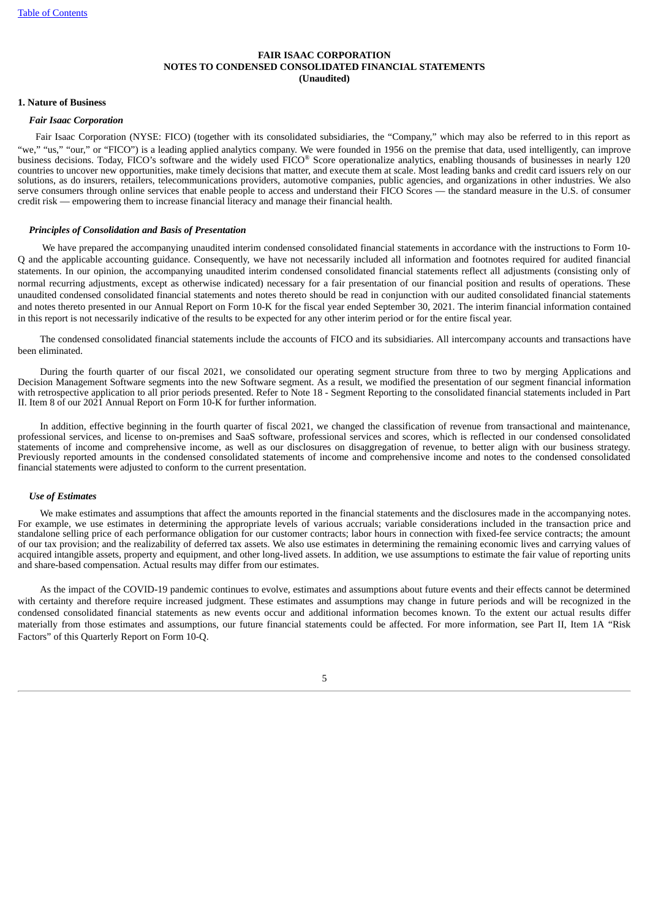#### **FAIR ISAAC CORPORATION NOTES TO CONDENSED CONSOLIDATED FINANCIAL STATEMENTS (Unaudited)**

#### **1. Nature of Business**

#### *Fair Isaac Corporation*

Fair Isaac Corporation (NYSE: FICO) (together with its consolidated subsidiaries, the "Company," which may also be referred to in this report as "we," "us," "our," or "FICO") is a leading applied analytics company. We were founded in 1956 on the premise that data, used intelligently, can improve business decisions. Today, FICO's software and the widely used FICO® Score operationalize analytics, enabling thousands of businesses in nearly 120 countries to uncover new opportunities, make timely decisions that matter, and execute them at scale. Most leading banks and credit card issuers rely on our solutions, as do insurers, retailers, telecommunications providers, automotive companies, public agencies, and organizations in other industries. We also serve consumers through online services that enable people to access and understand their FICO Scores — the standard measure in the U.S. of consumer credit risk — empowering them to increase financial literacy and manage their financial health.

#### *Principles of Consolidation and Basis of Presentation*

We have prepared the accompanying unaudited interim condensed consolidated financial statements in accordance with the instructions to Form 10- Q and the applicable accounting guidance. Consequently, we have not necessarily included all information and footnotes required for audited financial statements. In our opinion, the accompanying unaudited interim condensed consolidated financial statements reflect all adjustments (consisting only of normal recurring adjustments, except as otherwise indicated) necessary for a fair presentation of our financial position and results of operations. These unaudited condensed consolidated financial statements and notes thereto should be read in conjunction with our audited consolidated financial statements and notes thereto presented in our Annual Report on Form 10-K for the fiscal year ended September 30, 2021. The interim financial information contained in this report is not necessarily indicative of the results to be expected for any other interim period or for the entire fiscal year.

The condensed consolidated financial statements include the accounts of FICO and its subsidiaries. All intercompany accounts and transactions have been eliminated.

During the fourth quarter of our fiscal 2021, we consolidated our operating segment structure from three to two by merging Applications and Decision Management Software segments into the new Software segment. As a result, we modified the presentation of our segment financial information with retrospective application to all prior periods presented. Refer to Note 18 - Segment Reporting to the consolidated financial statements included in Part II. Item 8 of our 2021 Annual Report on Form 10-K for further information.

In addition, effective beginning in the fourth quarter of fiscal 2021, we changed the classification of revenue from transactional and maintenance, professional services, and license to on-premises and SaaS software, professional services and scores, which is reflected in our condensed consolidated statements of income and comprehensive income, as well as our disclosures on disaggregation of revenue, to better align with our business strategy. Previously reported amounts in the condensed consolidated statements of income and comprehensive income and notes to the condensed consolidated financial statements were adjusted to conform to the current presentation.

#### *Use of Estimates*

We make estimates and assumptions that affect the amounts reported in the financial statements and the disclosures made in the accompanying notes. For example, we use estimates in determining the appropriate levels of various accruals; variable considerations included in the transaction price and standalone selling price of each performance obligation for our customer contracts; labor hours in connection with fixed-fee service contracts; the amount of our tax provision; and the realizability of deferred tax assets. We also use estimates in determining the remaining economic lives and carrying values of acquired intangible assets, property and equipment, and other long-lived assets. In addition, we use assumptions to estimate the fair value of reporting units and share-based compensation. Actual results may differ from our estimates.

As the impact of the COVID-19 pandemic continues to evolve, estimates and assumptions about future events and their effects cannot be determined with certainty and therefore require increased judgment. These estimates and assumptions may change in future periods and will be recognized in the condensed consolidated financial statements as new events occur and additional information becomes known. To the extent our actual results differ materially from those estimates and assumptions, our future financial statements could be affected. For more information, see Part II, Item 1A "Risk Factors" of this Quarterly Report on Form 10-Q.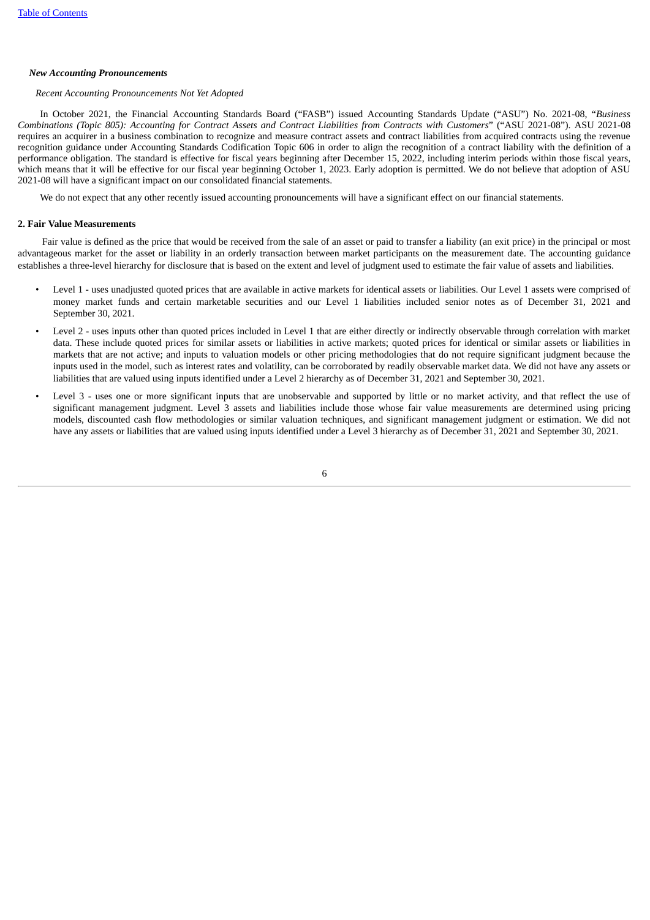#### *New Accounting Pronouncements*

#### *Recent Accounting Pronouncements Not Yet Adopted*

In October 2021, the Financial Accounting Standards Board ("FASB") issued Accounting Standards Update ("ASU") No. 2021-08, "*Business* Combinations (Topic 805): Accounting for Contract Assets and Contract Liabilities from Contracts with Customers" ("ASU 2021-08"). ASU 2021-08 requires an acquirer in a business combination to recognize and measure contract assets and contract liabilities from acquired contracts using the revenue recognition guidance under Accounting Standards Codification Topic 606 in order to align the recognition of a contract liability with the definition of a performance obligation. The standard is effective for fiscal years beginning after December 15, 2022, including interim periods within those fiscal years, which means that it will be effective for our fiscal year beginning October 1, 2023. Early adoption is permitted. We do not believe that adoption of ASU 2021-08 will have a significant impact on our consolidated financial statements.

We do not expect that any other recently issued accounting pronouncements will have a significant effect on our financial statements.

#### **2. Fair Value Measurements**

Fair value is defined as the price that would be received from the sale of an asset or paid to transfer a liability (an exit price) in the principal or most advantageous market for the asset or liability in an orderly transaction between market participants on the measurement date. The accounting guidance establishes a three-level hierarchy for disclosure that is based on the extent and level of judgment used to estimate the fair value of assets and liabilities.

- Level 1 uses unadjusted quoted prices that are available in active markets for identical assets or liabilities. Our Level 1 assets were comprised of money market funds and certain marketable securities and our Level 1 liabilities included senior notes as of December 31, 2021 and September 30, 2021.
- Level 2 uses inputs other than quoted prices included in Level 1 that are either directly or indirectly observable through correlation with market data. These include quoted prices for similar assets or liabilities in active markets; quoted prices for identical or similar assets or liabilities in markets that are not active; and inputs to valuation models or other pricing methodologies that do not require significant judgment because the inputs used in the model, such as interest rates and volatility, can be corroborated by readily observable market data. We did not have any assets or liabilities that are valued using inputs identified under a Level 2 hierarchy as of December 31, 2021 and September 30, 2021.
- Level 3 uses one or more significant inputs that are unobservable and supported by little or no market activity, and that reflect the use of significant management judgment. Level 3 assets and liabilities include those whose fair value measurements are determined using pricing models, discounted cash flow methodologies or similar valuation techniques, and significant management judgment or estimation. We did not have any assets or liabilities that are valued using inputs identified under a Level 3 hierarchy as of December 31, 2021 and September 30, 2021.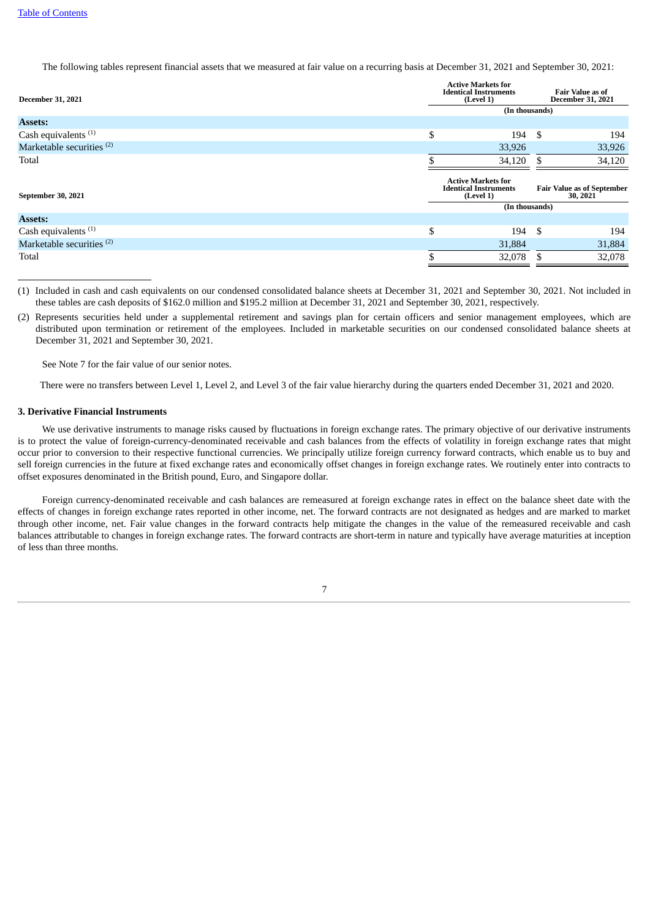The following tables represent financial assets that we measured at fair value on a recurring basis at December 31, 2021 and September 30, 2021:

| <b>December 31, 2021</b>             |                | <b>Active Markets for</b><br><b>Identical Instruments</b><br>(Level 1) |          | <b>Fair Value as of</b><br><b>December 31, 2021</b> |  |  |
|--------------------------------------|----------------|------------------------------------------------------------------------|----------|-----------------------------------------------------|--|--|
|                                      |                | (In thousands)                                                         |          |                                                     |  |  |
| <b>Assets:</b>                       |                |                                                                        |          |                                                     |  |  |
| Cash equivalents <sup>(1)</sup>      | \$             | 194                                                                    | <b>S</b> | 194                                                 |  |  |
| Marketable securities <sup>(2)</sup> |                | 33,926                                                                 |          | 33,926                                              |  |  |
| Total                                |                | 34,120                                                                 |          | 34,120                                              |  |  |
| September 30, 2021                   |                | <b>Active Markets for</b><br><b>Identical Instruments</b><br>(Level 1) |          | <b>Fair Value as of September</b><br>30, 2021       |  |  |
|                                      | (In thousands) |                                                                        |          |                                                     |  |  |
| <b>Assets:</b>                       |                |                                                                        |          |                                                     |  |  |
| Cash equivalents <sup>(1)</sup>      | \$             | 194                                                                    | - \$     | 194                                                 |  |  |
| Marketable securities <sup>(2)</sup> |                | 31,884                                                                 |          | 31,884                                              |  |  |
| Total                                |                | 32,078                                                                 | -\$      | 32,078                                              |  |  |
|                                      |                |                                                                        |          |                                                     |  |  |

(1) Included in cash and cash equivalents on our condensed consolidated balance sheets at December 31, 2021 and September 30, 2021. Not included in these tables are cash deposits of \$162.0 million and \$195.2 million at December 31, 2021 and September 30, 2021, respectively.

(2) Represents securities held under a supplemental retirement and savings plan for certain officers and senior management employees, which are distributed upon termination or retirement of the employees. Included in marketable securities on our condensed consolidated balance sheets at December 31, 2021 and September 30, 2021.

See Note 7 for the fair value of our senior notes.

There were no transfers between Level 1, Level 2, and Level 3 of the fair value hierarchy during the quarters ended December 31, 2021 and 2020.

#### **3. Derivative Financial Instruments**

We use derivative instruments to manage risks caused by fluctuations in foreign exchange rates. The primary objective of our derivative instruments is to protect the value of foreign-currency-denominated receivable and cash balances from the effects of volatility in foreign exchange rates that might occur prior to conversion to their respective functional currencies. We principally utilize foreign currency forward contracts, which enable us to buy and sell foreign currencies in the future at fixed exchange rates and economically offset changes in foreign exchange rates. We routinely enter into contracts to offset exposures denominated in the British pound, Euro, and Singapore dollar.

Foreign currency-denominated receivable and cash balances are remeasured at foreign exchange rates in effect on the balance sheet date with the effects of changes in foreign exchange rates reported in other income, net. The forward contracts are not designated as hedges and are marked to market through other income, net. Fair value changes in the forward contracts help mitigate the changes in the value of the remeasured receivable and cash balances attributable to changes in foreign exchange rates. The forward contracts are short-term in nature and typically have average maturities at inception of less than three months.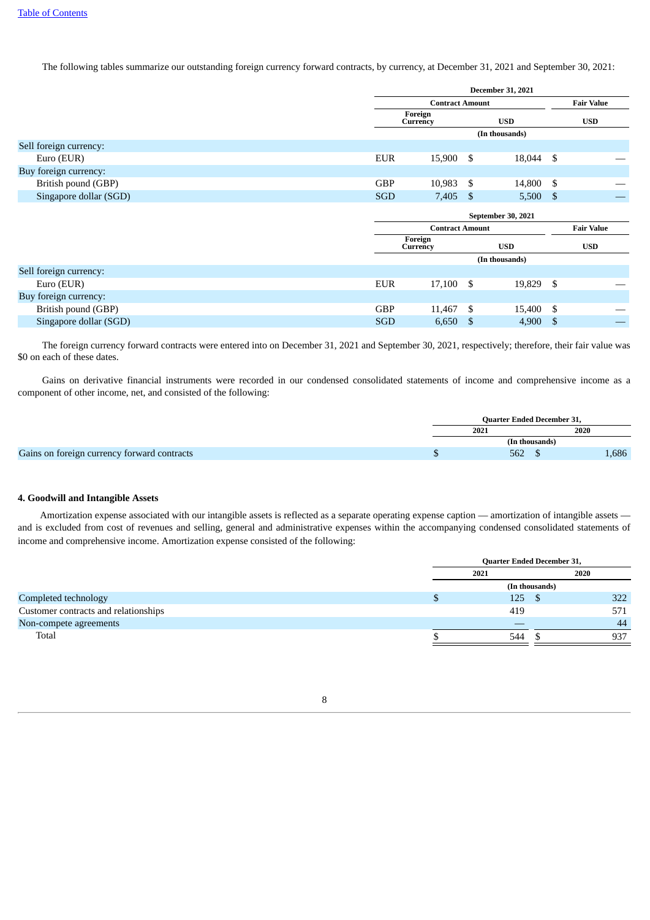The following tables summarize our outstanding foreign currency forward contracts, by currency, at December 31, 2021 and September 30, 2021:

|                        |            | <b>December 31, 2021</b>          |               |                    |            |                   |  |
|------------------------|------------|-----------------------------------|---------------|--------------------|------------|-------------------|--|
|                        |            | <b>Contract Amount</b>            |               |                    |            | <b>Fair Value</b> |  |
|                        |            | Foreign<br><b>USD</b><br>Currency |               |                    | <b>USD</b> |                   |  |
|                        |            | (In thousands)                    |               |                    |            |                   |  |
| Sell foreign currency: |            |                                   |               |                    |            |                   |  |
| Euro (EUR)             | <b>EUR</b> | 15,900                            | - \$          | 18,044             | -\$        |                   |  |
| Buy foreign currency:  |            |                                   |               |                    |            |                   |  |
| British pound (GBP)    | <b>GBP</b> | 10,983                            | -S            | 14,800             | -\$        |                   |  |
| Singapore dollar (SGD) | <b>SGD</b> | 7,405                             | <sup>\$</sup> | 5,500              | \$         |                   |  |
|                        |            |                                   |               | September 30, 2021 |            |                   |  |
|                        |            | <b>Contract Amount</b>            |               |                    |            | <b>Fair Value</b> |  |
|                        |            | Foreign<br>Currency               |               | <b>USD</b>         |            | <b>USD</b>        |  |
|                        |            |                                   |               | (In thousands)     |            |                   |  |
| Sell foreign currency: |            |                                   |               |                    |            |                   |  |
| Euro (EUR)             | <b>EUR</b> | 17,100                            | - \$          | 19,829             | -\$        |                   |  |
| Buy foreign currency:  |            |                                   |               |                    |            |                   |  |
| British pound (GBP)    | <b>GBP</b> | 11,467                            | \$            | 15,400             | \$         |                   |  |
| Singapore dollar (SGD) | <b>SGD</b> | 6,650                             | \$            | 4,900              | \$         |                   |  |

The foreign currency forward contracts were entered into on December 31, 2021 and September 30, 2021, respectively; therefore, their fair value was \$0 on each of these dates.

Gains on derivative financial instruments were recorded in our condensed consolidated statements of income and comprehensive income as a component of other income, net, and consisted of the following:

|                                             |      | <b>Quarter Ended December 31,</b> |      |
|---------------------------------------------|------|-----------------------------------|------|
|                                             | 2021 |                                   | 2020 |
|                                             |      | (In thousands)                    |      |
| Gains on foreign currency forward contracts |      | 562                               | .686 |

#### **4. Goodwill and Intangible Assets**

Amortization expense associated with our intangible assets is reflected as a separate operating expense caption — amortization of intangible assets and is excluded from cost of revenues and selling, general and administrative expenses within the accompanying condensed consolidated statements of income and comprehensive income. Amortization expense consisted of the following:

|                                      | Quarter Ended December 31, |                |  |      |  |
|--------------------------------------|----------------------------|----------------|--|------|--|
|                                      | 2021                       |                |  | 2020 |  |
|                                      |                            | (In thousands) |  |      |  |
| Completed technology                 |                            | 125            |  | 322  |  |
| Customer contracts and relationships |                            | 419            |  | 571  |  |
| Non-compete agreements               |                            |                |  | 44   |  |
| Total                                |                            | 544            |  | 937  |  |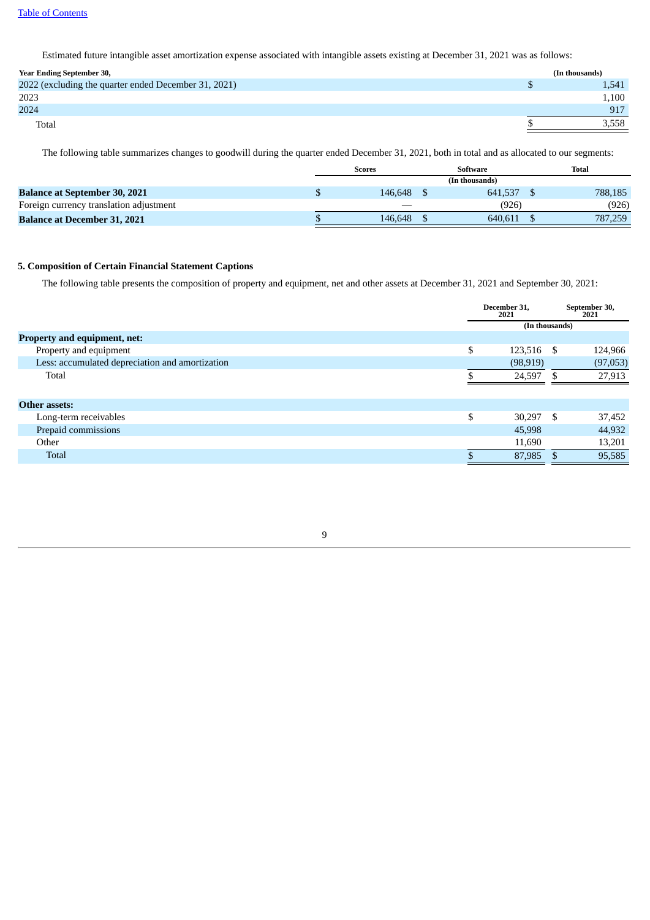Estimated future intangible asset amortization expense associated with intangible assets existing at December 31, 2021 was as follows:

| <b>Year Ending September 30,</b>                     | (In thousands) |
|------------------------------------------------------|----------------|
| 2022 (excluding the quarter ended December 31, 2021) | 1,541          |
| 2023                                                 | 1,100          |
| 2024                                                 | 917            |
| Total                                                | 3,558          |

The following table summarizes changes to goodwill during the quarter ended December 31, 2021, both in total and as allocated to our segments:

|                                         | Scores  | Software | <b>Total</b>   |         |
|-----------------------------------------|---------|----------|----------------|---------|
|                                         |         |          | (In thousands) |         |
| <b>Balance at September 30, 2021</b>    | 146,648 |          | 641,537        | 788,185 |
| Foreign currency translation adjustment |         |          | (926)          | (926)   |
| <b>Balance at December 31, 2021</b>     | 146,648 |          | 640.611        | 787,259 |

#### **5. Composition of Certain Financial Statement Captions**

The following table presents the composition of property and equipment, net and other assets at December 31, 2021 and September 30, 2021:

|                                                 | December 31.<br>2021 | September 30,<br>2021 |
|-------------------------------------------------|----------------------|-----------------------|
|                                                 |                      | (In thousands)        |
| Property and equipment, net:                    |                      |                       |
| Property and equipment                          | \$<br>123,516        | 124,966<br>- \$       |
| Less: accumulated depreciation and amortization | (98, 919)            | (97,053)              |
| Total                                           | 24,597               | 27,913                |
|                                                 |                      |                       |
| <b>Other assets:</b>                            |                      |                       |
| Long-term receivables                           | \$<br>30,297         | 37,452<br>- \$        |
| Prepaid commissions                             | 45,998               | 44,932                |
| Other                                           | 11,690               | 13,201                |
| <b>Total</b>                                    | 87,985               | 95,585                |
|                                                 |                      |                       |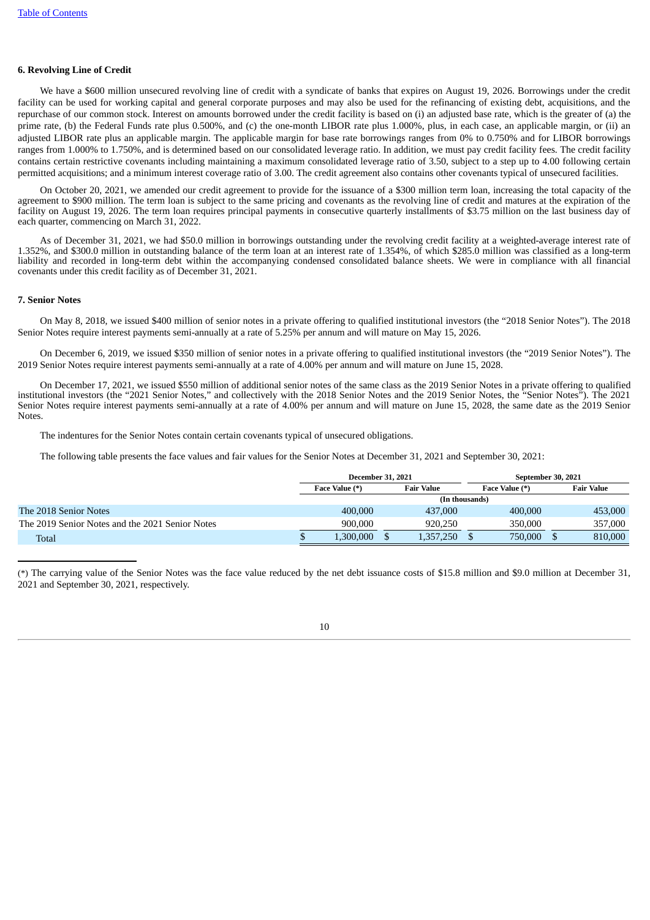#### **6. Revolving Line of Credit**

We have a \$600 million unsecured revolving line of credit with a syndicate of banks that expires on August 19, 2026. Borrowings under the credit facility can be used for working capital and general corporate purposes and may also be used for the refinancing of existing debt, acquisitions, and the repurchase of our common stock. Interest on amounts borrowed under the credit facility is based on (i) an adjusted base rate, which is the greater of (a) the prime rate, (b) the Federal Funds rate plus 0.500%, and (c) the one-month LIBOR rate plus 1.000%, plus, in each case, an applicable margin, or (ii) an adjusted LIBOR rate plus an applicable margin. The applicable margin for base rate borrowings ranges from 0% to 0.750% and for LIBOR borrowings ranges from 1.000% to 1.750%, and is determined based on our consolidated leverage ratio. In addition, we must pay credit facility fees. The credit facility contains certain restrictive covenants including maintaining a maximum consolidated leverage ratio of 3.50, subject to a step up to 4.00 following certain permitted acquisitions; and a minimum interest coverage ratio of 3.00. The credit agreement also contains other covenants typical of unsecured facilities.

On October 20, 2021, we amended our credit agreement to provide for the issuance of a \$300 million term loan, increasing the total capacity of the agreement to \$900 million. The term loan is subject to the same pricing and covenants as the revolving line of credit and matures at the expiration of the facility on August 19, 2026. The term loan requires principal payments in consecutive quarterly installments of \$3.75 million on the last business day of each quarter, commencing on March 31, 2022.

As of December 31, 2021, we had \$50.0 million in borrowings outstanding under the revolving credit facility at a weighted-average interest rate of 1.352%, and \$300.0 million in outstanding balance of the term loan at an interest rate of 1.354%, of which \$285.0 million was classified as a long-term liability and recorded in long-term debt within the accompanying condensed consolidated balance sheets. We were in compliance with all financial covenants under this credit facility as of December 31, 2021.

#### **7. Senior Notes**

On May 8, 2018, we issued \$400 million of senior notes in a private offering to qualified institutional investors (the "2018 Senior Notes"). The 2018 Senior Notes require interest payments semi-annually at a rate of 5.25% per annum and will mature on May 15, 2026.

On December 6, 2019, we issued \$350 million of senior notes in a private offering to qualified institutional investors (the "2019 Senior Notes"). The 2019 Senior Notes require interest payments semi-annually at a rate of 4.00% per annum and will mature on June 15, 2028.

On December 17, 2021, we issued \$550 million of additional senior notes of the same class as the 2019 Senior Notes in a private offering to qualified institutional investors (the "2021 Senior Notes," and collectively with the 2018 Senior Notes and the 2019 Senior Notes, the "Senior Notes"). The 2021 Senior Notes require interest payments semi-annually at a rate of 4.00% per annum and will mature on June 15, 2028, the same date as the 2019 Senior Notes.

The indentures for the Senior Notes contain certain covenants typical of unsecured obligations.

The following table presents the face values and fair values for the Senior Notes at December 31, 2021 and September 30, 2021:

|                                                 |                                                       | <b>December 31, 2021</b> |  |                |  |         |                   | <b>September 30, 2021</b> |  |
|-------------------------------------------------|-------------------------------------------------------|--------------------------|--|----------------|--|---------|-------------------|---------------------------|--|
|                                                 | <b>Fair Value</b><br>Face Value (*)<br>Face Value (*) |                          |  |                |  |         | <b>Fair Value</b> |                           |  |
|                                                 |                                                       |                          |  | (In thousands) |  |         |                   |                           |  |
| The 2018 Senior Notes                           |                                                       | 400,000                  |  | 437,000        |  | 400,000 |                   | 453,000                   |  |
| The 2019 Senior Notes and the 2021 Senior Notes |                                                       | 900,000                  |  | 920,250        |  | 350,000 |                   | 357,000                   |  |
| Total                                           |                                                       | 1.300.000                |  | 1.357.250      |  | 750,000 |                   | 810,000                   |  |

(\*) The carrying value of the Senior Notes was the face value reduced by the net debt issuance costs of \$15.8 million and \$9.0 million at December 31, 2021 and September 30, 2021, respectively.

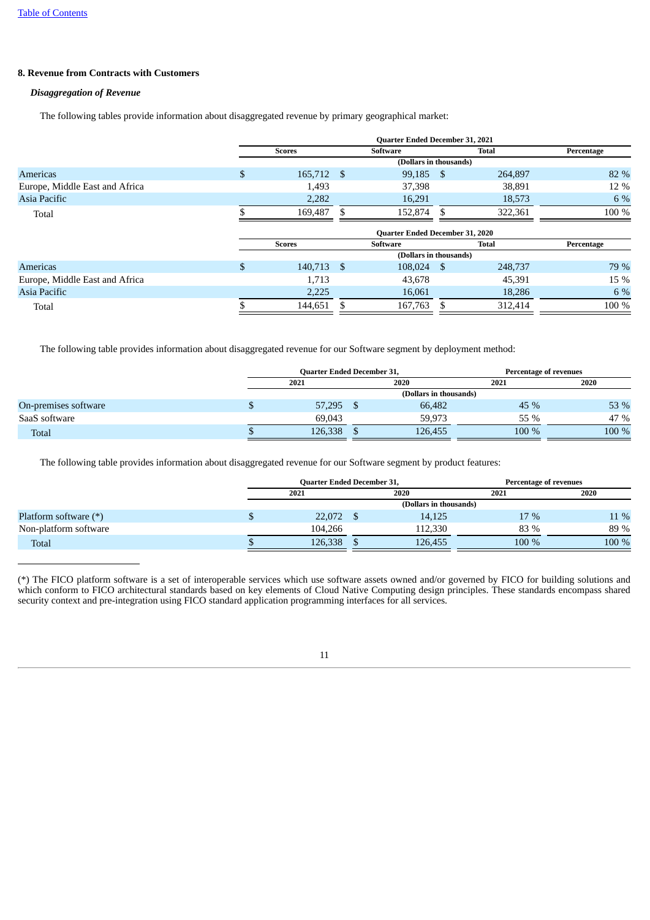## **8. Revenue from Contracts with Customers**

## *Disaggregation of Revenue*

The following tables provide information about disaggregated revenue by primary geographical market:

|                                | <b>Quarter Ended December 31, 2021</b> |               |      |                        |            |              |            |  |
|--------------------------------|----------------------------------------|---------------|------|------------------------|------------|--------------|------------|--|
|                                |                                        | <b>Scores</b> |      | Software               |            | <b>Total</b> | Percentage |  |
|                                |                                        |               |      | (Dollars in thousands) |            |              |            |  |
| Americas                       | \$                                     | 165,712       | - \$ | 99,185                 | $\sqrt{s}$ | 264,897      | 82 %       |  |
| Europe, Middle East and Africa |                                        | 1,493         |      | 37,398                 |            | 38,891       | 12 %       |  |
| Asia Pacific                   |                                        | 2,282         |      | 16,291                 |            | 18,573       | 6 %        |  |
| Total                          |                                        | 169,487       |      | 152,874                |            | 322,361      | 100 %      |  |
|                                | <b>Quarter Ended December 31, 2020</b> |               |      |                        |            |              |            |  |
|                                |                                        | <b>Scores</b> |      | Software               |            | <b>Total</b> | Percentage |  |
|                                |                                        |               |      | (Dollars in thousands) |            |              |            |  |
| Americas                       | \$                                     | 140,713       | - \$ | 108,024                | $\sqrt{s}$ | 248,737      | 79 %       |  |
| Europe, Middle East and Africa |                                        | 1,713         |      | 43,678                 |            | 45,391       | 15 %       |  |
| Asia Pacific                   |                                        | 2,225         |      | 16,061                 |            | 18,286       | 6 %        |  |
| Total                          |                                        | 144,651       |      | 167,763                |            | 312,414      | 100 %      |  |

The following table provides information about disaggregated revenue for our Software segment by deployment method:

|                      | <b>Quarter Ended December 31,</b> |                        | Percentage of revenues |       |  |  |
|----------------------|-----------------------------------|------------------------|------------------------|-------|--|--|
|                      | 2021                              | 2020                   | 2021                   | 2020  |  |  |
|                      |                                   | (Dollars in thousands) |                        |       |  |  |
| On-premises software | 57,295                            | 66,482                 | 45 %                   | 53 %  |  |  |
| SaaS software        | 69.043                            | 59,973                 | 55 %                   | 47 %  |  |  |
| <b>Total</b>         | 126,338                           | 126,455                | 100 %                  | 100 % |  |  |

The following table provides information about disaggregated revenue for our Software segment by product features:

|                       | Quarter Ended December 31, |                        | Percentage of revenues |       |  |  |
|-----------------------|----------------------------|------------------------|------------------------|-------|--|--|
|                       | 2021                       | 2020                   | 2021                   | 2020  |  |  |
|                       |                            | (Dollars in thousands) |                        |       |  |  |
| Platform software (*) | 22,072                     | 14,125                 | 17 %                   | 11 %  |  |  |
| Non-platform software | 104,266                    | 112.330                | 83 %                   | 89 %  |  |  |
| Total                 | 126,338                    | 126.455                | $100\%$                | 100 % |  |  |

(\*) The FICO platform software is a set of interoperable services which use software assets owned and/or governed by FICO for building solutions and which conform to FICO architectural standards based on key elements of Cloud Native Computing design principles. These standards encompass shared security context and pre-integration using FICO standard application programming interfaces for all services.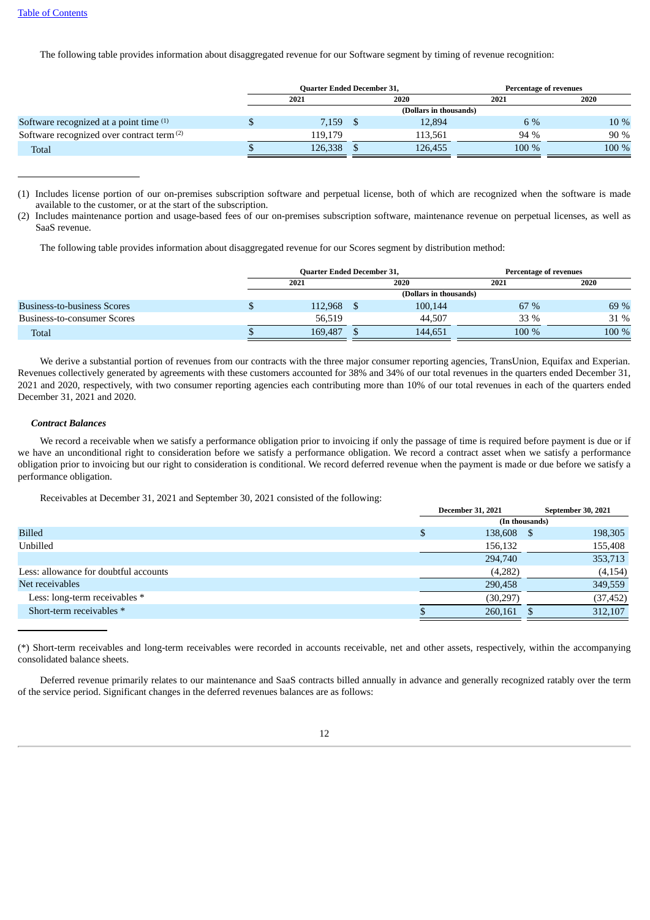The following table provides information about disaggregated revenue for our Software segment by timing of revenue recognition:

|                                                       | <b>Quarter Ended December 31,</b> |                        | Percentage of revenues |        |  |
|-------------------------------------------------------|-----------------------------------|------------------------|------------------------|--------|--|
|                                                       | 2021                              | 2020                   | 2021                   | 2020   |  |
|                                                       |                                   | (Dollars in thousands) |                        |        |  |
| Software recognized at a point time <sup>(1)</sup>    | 7.159                             | 12,894                 | 6 %                    | 10 %   |  |
| Software recognized over contract term <sup>(2)</sup> | 119.179                           | 113.561                | 94%                    | $90\%$ |  |
| <b>Total</b>                                          | 126,338                           | 126,455                | 100 %                  | 100 %  |  |

<sup>(1)</sup> Includes license portion of our on-premises subscription software and perpetual license, both of which are recognized when the software is made available to the customer, or at the start of the subscription.

The following table provides information about disaggregated revenue for our Scores segment by distribution method:

|                                    | <b>Quarter Ended December 31,</b> |                        | Percentage of revenues |       |  |  |
|------------------------------------|-----------------------------------|------------------------|------------------------|-------|--|--|
|                                    | 2021                              | 2020                   | 2021                   | 2020  |  |  |
|                                    |                                   | (Dollars in thousands) |                        |       |  |  |
| <b>Business-to-business Scores</b> | 112,968                           | 100,144                | 67 %                   | 69 %  |  |  |
| <b>Business-to-consumer Scores</b> | 56.519                            | 44.507                 | 33 %                   | 31 %  |  |  |
| Total                              | 169.487                           | 144,651                | 100 %                  | 100 % |  |  |

We derive a substantial portion of revenues from our contracts with the three major consumer reporting agencies, TransUnion, Equifax and Experian. Revenues collectively generated by agreements with these customers accounted for 38% and 34% of our total revenues in the quarters ended December 31, 2021 and 2020, respectively, with two consumer reporting agencies each contributing more than 10% of our total revenues in each of the quarters ended December 31, 2021 and 2020.

#### *Contract Balances*

We record a receivable when we satisfy a performance obligation prior to invoicing if only the passage of time is required before payment is due or if we have an unconditional right to consideration before we satisfy a performance obligation. We record a contract asset when we satisfy a performance obligation prior to invoicing but our right to consideration is conditional. We record deferred revenue when the payment is made or due before we satisfy a performance obligation.

Receivables at December 31, 2021 and September 30, 2021 consisted of the following:

|                                       | <b>December 31, 2021</b> |                |  | <b>September 30, 2021</b> |  |
|---------------------------------------|--------------------------|----------------|--|---------------------------|--|
|                                       |                          | (In thousands) |  |                           |  |
| Billed                                | \$                       | 138,608 \$     |  | 198,305                   |  |
| Unbilled                              |                          | 156,132        |  | 155,408                   |  |
|                                       |                          | 294,740        |  | 353,713                   |  |
| Less: allowance for doubtful accounts |                          | (4,282)        |  | (4, 154)                  |  |
| Net receivables                       |                          | 290,458        |  | 349,559                   |  |
| Less: long-term receivables *         |                          | (30, 297)      |  | (37, 452)                 |  |
| Short-term receivables *              |                          | 260,161        |  | 312,107                   |  |

(\*) Short-term receivables and long-term receivables were recorded in accounts receivable, net and other assets, respectively, within the accompanying consolidated balance sheets.

Deferred revenue primarily relates to our maintenance and SaaS contracts billed annually in advance and generally recognized ratably over the term of the service period. Significant changes in the deferred revenues balances are as follows:



<sup>(2)</sup> Includes maintenance portion and usage-based fees of our on-premises subscription software, maintenance revenue on perpetual licenses, as well as SaaS revenue.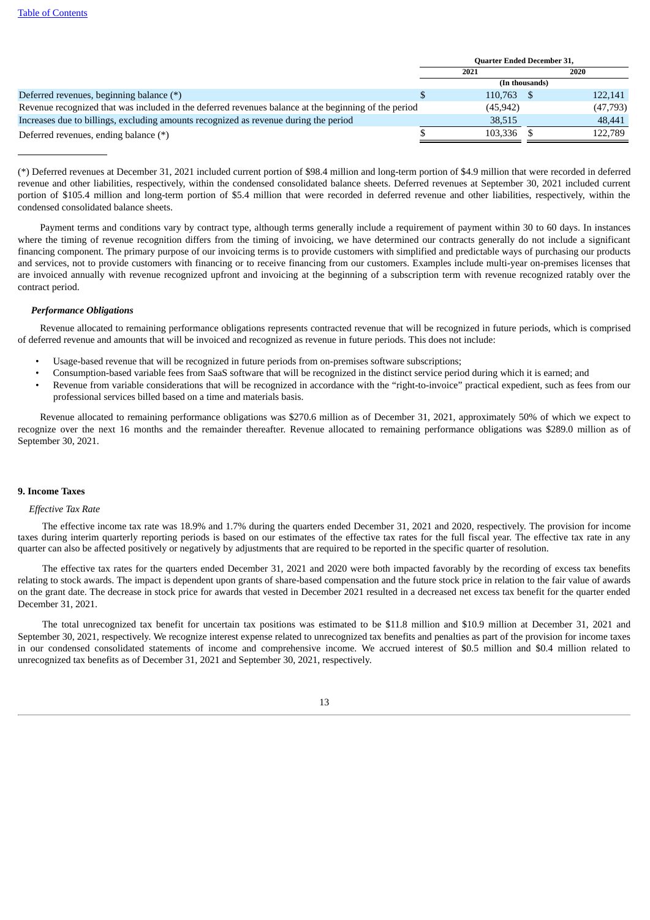|                                                                                                      | Quarter Ended December 31, |           |                |          |  |
|------------------------------------------------------------------------------------------------------|----------------------------|-----------|----------------|----------|--|
|                                                                                                      | 2021                       |           |                | 2020     |  |
|                                                                                                      |                            |           | (In thousands) |          |  |
| Deferred revenues, beginning balance (*)                                                             |                            | 110,763   |                | 122,141  |  |
| Revenue recognized that was included in the deferred revenues balance at the beginning of the period |                            | (45, 942) |                | (47,793) |  |
| Increases due to billings, excluding amounts recognized as revenue during the period                 |                            | 38,515    |                | 48,441   |  |
| Deferred revenues, ending balance (*)                                                                |                            | 103.336   |                | 122.789  |  |

(\*) Deferred revenues at December 31, 2021 included current portion of \$98.4 million and long-term portion of \$4.9 million that were recorded in deferred revenue and other liabilities, respectively, within the condensed consolidated balance sheets. Deferred revenues at September 30, 2021 included current portion of \$105.4 million and long-term portion of \$5.4 million that were recorded in deferred revenue and other liabilities, respectively, within the condensed consolidated balance sheets.

Payment terms and conditions vary by contract type, although terms generally include a requirement of payment within 30 to 60 days. In instances where the timing of revenue recognition differs from the timing of invoicing, we have determined our contracts generally do not include a significant financing component. The primary purpose of our invoicing terms is to provide customers with simplified and predictable ways of purchasing our products and services, not to provide customers with financing or to receive financing from our customers. Examples include multi-year on-premises licenses that are invoiced annually with revenue recognized upfront and invoicing at the beginning of a subscription term with revenue recognized ratably over the contract period.

#### *Performance Obligations*

Revenue allocated to remaining performance obligations represents contracted revenue that will be recognized in future periods, which is comprised of deferred revenue and amounts that will be invoiced and recognized as revenue in future periods. This does not include:

- Usage-based revenue that will be recognized in future periods from on-premises software subscriptions;
- Consumption-based variable fees from SaaS software that will be recognized in the distinct service period during which it is earned; and
- Revenue from variable considerations that will be recognized in accordance with the "right-to-invoice" practical expedient, such as fees from our professional services billed based on a time and materials basis.

Revenue allocated to remaining performance obligations was \$270.6 million as of December 31, 2021, approximately 50% of which we expect to recognize over the next 16 months and the remainder thereafter. Revenue allocated to remaining performance obligations was \$289.0 million as of September 30, 2021.

#### **9. Income Taxes**

#### *Effective Tax Rate*

The effective income tax rate was 18.9% and 1.7% during the quarters ended December 31, 2021 and 2020, respectively. The provision for income taxes during interim quarterly reporting periods is based on our estimates of the effective tax rates for the full fiscal year. The effective tax rate in any quarter can also be affected positively or negatively by adjustments that are required to be reported in the specific quarter of resolution.

The effective tax rates for the quarters ended December 31, 2021 and 2020 were both impacted favorably by the recording of excess tax benefits relating to stock awards. The impact is dependent upon grants of share-based compensation and the future stock price in relation to the fair value of awards on the grant date. The decrease in stock price for awards that vested in December 2021 resulted in a decreased net excess tax benefit for the quarter ended December 31, 2021.

The total unrecognized tax benefit for uncertain tax positions was estimated to be \$11.8 million and \$10.9 million at December 31, 2021 and September 30, 2021, respectively. We recognize interest expense related to unrecognized tax benefits and penalties as part of the provision for income taxes in our condensed consolidated statements of income and comprehensive income. We accrued interest of \$0.5 million and \$0.4 million related to unrecognized tax benefits as of December 31, 2021 and September 30, 2021, respectively.

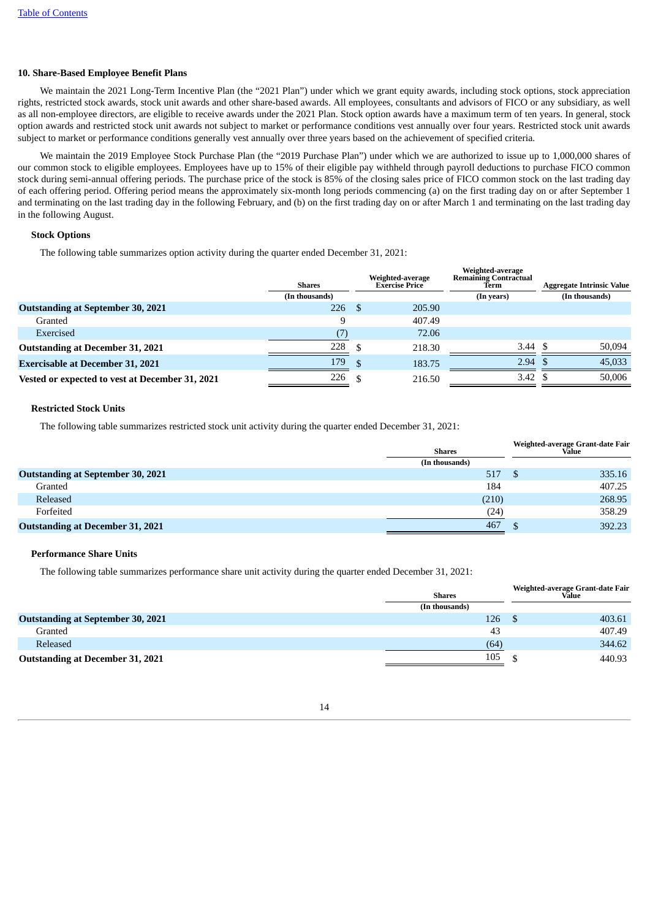## **10. Share-Based Employee Benefit Plans**

We maintain the 2021 Long-Term Incentive Plan (the "2021 Plan") under which we grant equity awards, including stock options, stock appreciation rights, restricted stock awards, stock unit awards and other share-based awards. All employees, consultants and advisors of FICO or any subsidiary, as well as all non-employee directors, are eligible to receive awards under the 2021 Plan. Stock option awards have a maximum term of ten years. In general, stock option awards and restricted stock unit awards not subject to market or performance conditions vest annually over four years. Restricted stock unit awards subject to market or performance conditions generally vest annually over three years based on the achievement of specified criteria.

We maintain the 2019 Employee Stock Purchase Plan (the "2019 Purchase Plan") under which we are authorized to issue up to 1,000,000 shares of our common stock to eligible employees. Employees have up to 15% of their eligible pay withheld through payroll deductions to purchase FICO common stock during semi-annual offering periods. The purchase price of the stock is 85% of the closing sales price of FICO common stock on the last trading day of each offering period. Offering period means the approximately six-month long periods commencing (a) on the first trading day on or after September 1 and terminating on the last trading day in the following February, and (b) on the first trading day on or after March 1 and terminating on the last trading day in the following August.

#### **Stock Options**

The following table summarizes option activity during the quarter ended December 31, 2021:

|                                                 | <b>Shares</b>  |      | Weighted-average<br><b>Exercise Price</b> | Weighted-average<br><b>Remaining Contractual</b><br>Term | <b>Aggregate Intrinsic Value</b> |
|-------------------------------------------------|----------------|------|-------------------------------------------|----------------------------------------------------------|----------------------------------|
|                                                 | (In thousands) |      |                                           | (In years)                                               | (In thousands)                   |
| <b>Outstanding at September 30, 2021</b>        | 226            | - \$ | 205.90                                    |                                                          |                                  |
| Granted                                         | 9              |      | 407.49                                    |                                                          |                                  |
| Exercised                                       |                |      | 72.06                                     |                                                          |                                  |
| <b>Outstanding at December 31, 2021</b>         | 228            |      | 218.30                                    | $3.44 \text{ } $$                                        | 50.094                           |
| <b>Exercisable at December 31, 2021</b>         | 179            |      | 183.75                                    | $2.94 \text{ } $5$                                       | 45,033                           |
| Vested or expected to vest at December 31, 2021 | 226            |      | 216.50                                    | $3.42 \text{ } $$                                        | 50,006                           |
|                                                 |                |      |                                           |                                                          |                                  |

#### **Restricted Stock Units**

The following table summarizes restricted stock unit activity during the quarter ended December 31, 2021:

|                                          | <b>Shares</b>  | Weighted-average Grant-date Fair<br>Value |
|------------------------------------------|----------------|-------------------------------------------|
|                                          | (In thousands) |                                           |
| <b>Outstanding at September 30, 2021</b> | 517            | 335.16                                    |
| Granted                                  | 184            | 407.25                                    |
| Released                                 | (210)          | 268.95                                    |
| Forfeited                                | (24)           | 358.29                                    |
| <b>Outstanding at December 31, 2021</b>  | 467            | 392.23                                    |

#### **Performance Share Units**

The following table summarizes performance share unit activity during the quarter ended December 31, 2021:

|                                          | <b>Shares</b>  | Weighted-average Grant-date Fair<br>Value |
|------------------------------------------|----------------|-------------------------------------------|
|                                          | (In thousands) |                                           |
| <b>Outstanding at September 30, 2021</b> | 126            | 403.61                                    |
| Granted                                  | 43             | 407.49                                    |
| Released                                 | (64)           | 344.62                                    |
| <b>Outstanding at December 31, 2021</b>  | 105            | 440.93                                    |

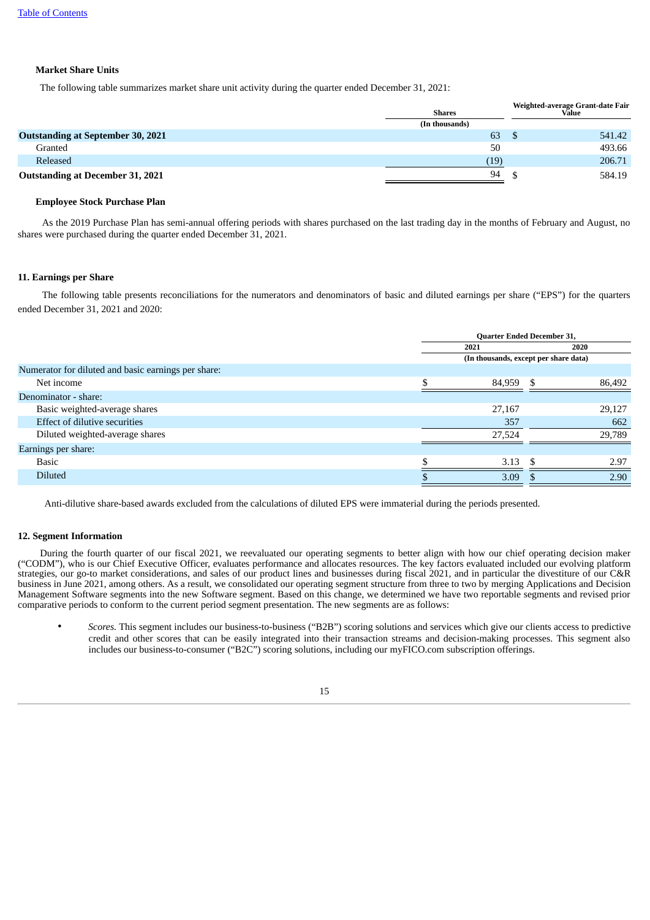#### **Market Share Units**

The following table summarizes market share unit activity during the quarter ended December 31, 2021:

|                                          | <b>Shares</b>  | Weighted-average Grant-date Fair<br>Value |
|------------------------------------------|----------------|-------------------------------------------|
|                                          | (In thousands) |                                           |
| <b>Outstanding at September 30, 2021</b> | 63             | 541.42                                    |
| Granted                                  | 50             | 493.66                                    |
| Released                                 | (19)           | 206.71                                    |
| <b>Outstanding at December 31, 2021</b>  | 94             | 584.19                                    |

#### **Employee Stock Purchase Plan**

As the 2019 Purchase Plan has semi-annual offering periods with shares purchased on the last trading day in the months of February and August, no shares were purchased during the quarter ended December 31, 2021.

#### **11. Earnings per Share**

The following table presents reconciliations for the numerators and denominators of basic and diluted earnings per share ("EPS") for the quarters ended December 31, 2021 and 2020:

|                                                     | Quarter Ended December 31, |                                       |      |        |  |  |  |
|-----------------------------------------------------|----------------------------|---------------------------------------|------|--------|--|--|--|
|                                                     |                            | 2021                                  |      | 2020   |  |  |  |
|                                                     |                            | (In thousands, except per share data) |      |        |  |  |  |
| Numerator for diluted and basic earnings per share: |                            |                                       |      |        |  |  |  |
| Net income                                          |                            | 84,959 \$                             |      | 86,492 |  |  |  |
| Denominator - share:                                |                            |                                       |      |        |  |  |  |
| Basic weighted-average shares                       |                            | 27,167                                |      | 29,127 |  |  |  |
| Effect of dilutive securities                       |                            | 357                                   |      | 662    |  |  |  |
| Diluted weighted-average shares                     |                            | 27,524                                |      | 29,789 |  |  |  |
| Earnings per share:                                 |                            |                                       |      |        |  |  |  |
| Basic                                               |                            | 3.13                                  | - \$ | 2.97   |  |  |  |
| <b>Diluted</b>                                      |                            | 3.09                                  |      | 2.90   |  |  |  |

Anti-dilutive share-based awards excluded from the calculations of diluted EPS were immaterial during the periods presented.

#### **12. Segment Information**

During the fourth quarter of our fiscal 2021, we reevaluated our operating segments to better align with how our chief operating decision maker ("CODM"), who is our Chief Executive Officer, evaluates performance and allocates resources. The key factors evaluated included our evolving platform strategies, our go-to market considerations, and sales of our product lines and businesses during fiscal 2021, and in particular the divestiture of our C&R business in June 2021, among others. As a result, we consolidated our operating segment structure from three to two by merging Applications and Decision Management Software segments into the new Software segment. Based on this change, we determined we have two reportable segments and revised prior comparative periods to conform to the current period segment presentation. The new segments are as follows:

• *Scores.* This segment includes our business-to-business ("B2B") scoring solutions and services which give our clients access to predictive credit and other scores that can be easily integrated into their transaction streams and decision-making processes. This segment also includes our business-to-consumer ("B2C") scoring solutions, including our myFICO.com subscription offerings.

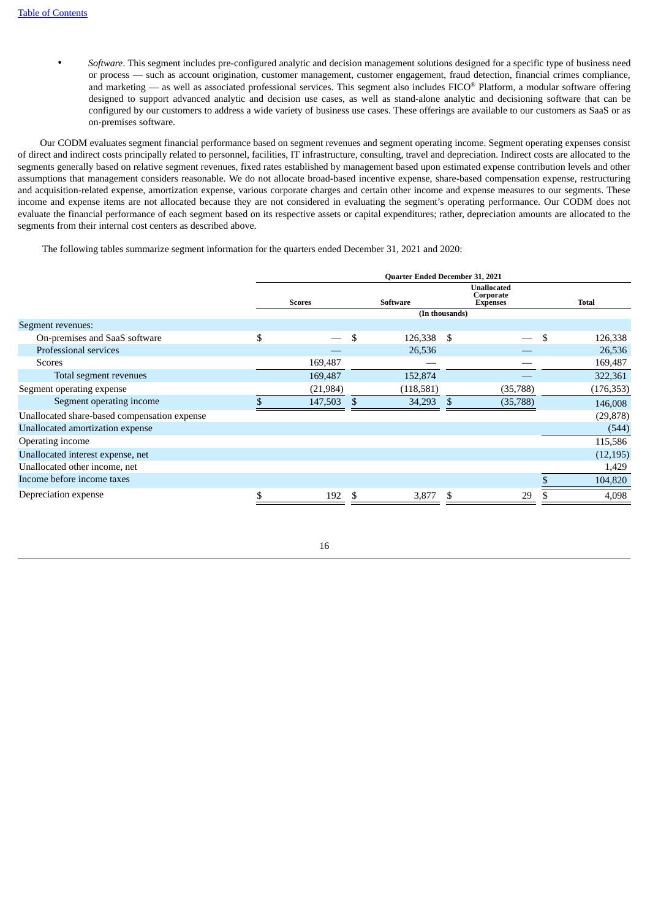*• Software*. This segment includes pre-configured analytic and decision management solutions designed for a specific type of business need or process — such as account origination, customer management, customer engagement, fraud detection, financial crimes compliance, and marketing — as well as associated professional services. This segment also includes FICO® Platform, a modular software offering designed to support advanced analytic and decision use cases, as well as stand-alone analytic and decisioning software that can be configured by our customers to address a wide variety of business use cases. These offerings are available to our customers as SaaS or as on-premises software.

Our CODM evaluates segment financial performance based on segment revenues and segment operating income. Segment operating expenses consist of direct and indirect costs principally related to personnel, facilities, IT infrastructure, consulting, travel and depreciation. Indirect costs are allocated to the segments generally based on relative segment revenues, fixed rates established by management based upon estimated expense contribution levels and other assumptions that management considers reasonable. We do not allocate broad-based incentive expense, share-based compensation expense, restructuring and acquisition-related expense, amortization expense, various corporate charges and certain other income and expense measures to our segments. These income and expense items are not allocated because they are not considered in evaluating the segment's operating performance. Our CODM does not evaluate the financial performance of each segment based on its respective assets or capital expenditures; rather, depreciation amounts are allocated to the segments from their internal cost centers as described above.

The following tables summarize segment information for the quarters ended December 31, 2021 and 2020:

|                                              |               |    | Quarter Ended December 31, 2021 |               |                                                    |               |
|----------------------------------------------|---------------|----|---------------------------------|---------------|----------------------------------------------------|---------------|
|                                              | <b>Scores</b> |    | Software                        |               | <b>Unallocated</b><br>Corporate<br><b>Expenses</b> | <b>Total</b>  |
|                                              |               |    | (In thousands)                  |               |                                                    |               |
| Segment revenues:                            |               |    |                                 |               |                                                    |               |
| On-premises and SaaS software                | \$            | \$ | 126,338 \$                      |               |                                                    | \$<br>126,338 |
| Professional services                        |               |    | 26,536                          |               |                                                    | 26,536        |
| <b>Scores</b>                                | 169,487       |    |                                 |               |                                                    | 169,487       |
| Total segment revenues                       | 169,487       |    | 152,874                         |               |                                                    | 322,361       |
| Segment operating expense                    | (21, 984)     |    | (118, 581)                      |               | (35, 788)                                          | (176, 353)    |
| Segment operating income                     | 147,503       | S. | 34,293                          | <sup>\$</sup> | (35, 788)                                          | 146,008       |
| Unallocated share-based compensation expense |               |    |                                 |               |                                                    | (29, 878)     |
| Unallocated amortization expense             |               |    |                                 |               |                                                    | (544)         |
| Operating income                             |               |    |                                 |               |                                                    | 115,586       |
| Unallocated interest expense, net            |               |    |                                 |               |                                                    | (12, 195)     |
| Unallocated other income, net                |               |    |                                 |               |                                                    | 1,429         |
| Income before income taxes                   |               |    |                                 |               |                                                    | 104,820       |
| Depreciation expense                         | 192           | \$ | 3,877                           | S             | 29                                                 | 4,098         |
|                                              |               |    |                                 |               |                                                    |               |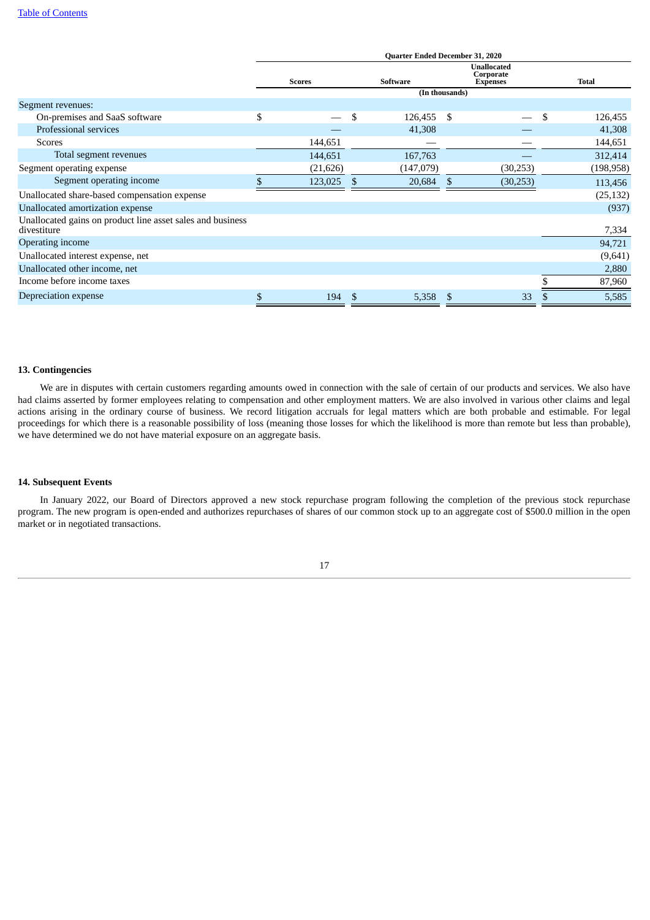|                                                                           |               |     | Quarter Ended December 31, 2020 |               |                                                    |               |
|---------------------------------------------------------------------------|---------------|-----|---------------------------------|---------------|----------------------------------------------------|---------------|
|                                                                           | <b>Scores</b> |     | <b>Software</b>                 |               | <b>Unallocated</b><br>Corporate<br><b>Expenses</b> | <b>Total</b>  |
|                                                                           |               |     | (In thousands)                  |               |                                                    |               |
| Segment revenues:                                                         |               |     |                                 |               |                                                    |               |
| On-premises and SaaS software                                             | \$            | \$  | 126,455 \$                      |               |                                                    | \$<br>126,455 |
| Professional services                                                     |               |     | 41,308                          |               |                                                    | 41,308        |
| Scores                                                                    | 144,651       |     |                                 |               |                                                    | 144,651       |
| Total segment revenues                                                    | 144,651       |     | 167,763                         |               |                                                    | 312,414       |
| Segment operating expense                                                 | (21, 626)     |     | (147,079)                       |               | (30,253)                                           | (198, 958)    |
| Segment operating income                                                  | 123,025       | \$. | 20,684                          | <sup>\$</sup> | (30, 253)                                          | 113,456       |
| Unallocated share-based compensation expense                              |               |     |                                 |               |                                                    | (25, 132)     |
| Unallocated amortization expense                                          |               |     |                                 |               |                                                    | (937)         |
| Unallocated gains on product line asset sales and business<br>divestiture |               |     |                                 |               |                                                    | 7,334         |
| Operating income                                                          |               |     |                                 |               |                                                    | 94,721        |
| Unallocated interest expense, net                                         |               |     |                                 |               |                                                    | (9,641)       |
| Unallocated other income, net                                             |               |     |                                 |               |                                                    | 2,880         |
| Income before income taxes                                                |               |     |                                 |               |                                                    | 87,960        |
| Depreciation expense                                                      | \$<br>194     | -\$ | 5,358                           | -S            | 33                                                 | 5,585         |

#### **13. Contingencies**

We are in disputes with certain customers regarding amounts owed in connection with the sale of certain of our products and services. We also have had claims asserted by former employees relating to compensation and other employment matters. We are also involved in various other claims and legal actions arising in the ordinary course of business. We record litigation accruals for legal matters which are both probable and estimable. For legal proceedings for which there is a reasonable possibility of loss (meaning those losses for which the likelihood is more than remote but less than probable), we have determined we do not have material exposure on an aggregate basis.

#### **14. Subsequent Events**

<span id="page-19-0"></span>In January 2022, our Board of Directors approved a new stock repurchase program following the completion of the previous stock repurchase program. The new program is open-ended and authorizes repurchases of shares of our common stock up to an aggregate cost of \$500.0 million in the open market or in negotiated transactions.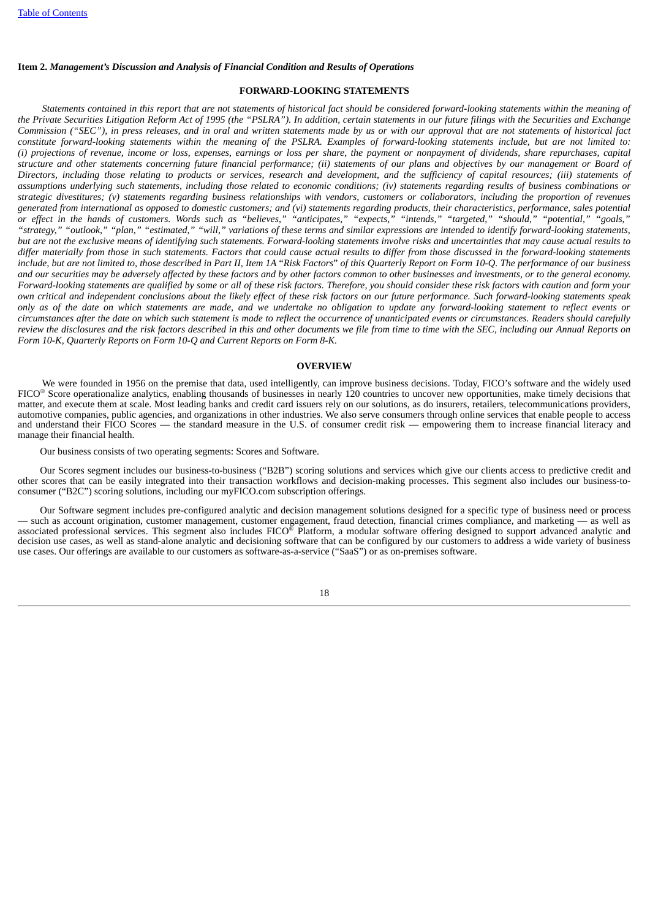#### **Item 2.** *Management's Discussion and Analysis of Financial Condition and Results of Operations*

#### **FORWARD-LOOKING STATEMENTS**

Statements contained in this report that are not statements of historical fact should be considered forward-looking statements within the meaning of the Private Securities Litigation Reform Act of 1995 (the "PSLRA"). In addition, certain statements in our future filings with the Securities and Exchange Commission ("SEC"), in press releases, and in oral and written statements made by us or with our approval that are not statements of historical fact constitute forward-looking statements within the meaning of the PSLRA. Examples of forward-looking statements include, but are not limited to: (i) projections of revenue, income or loss, expenses, earnings or loss per share, the payment or nonpayment of dividends, share repurchases, capital structure and other statements concerning future financial performance; (ii) statements of our plans and objectives by our management or Board of Directors, including those relating to products or services, research and development, and the sufficiency of capital resources; (iii) statements of assumptions underlying such statements, including those related to economic conditions; (iv) statements regarding results of business combinations or strategic divestitures; (v) statements regarding business relationships with vendors, customers or collaborators, including the proportion of revenues generated from international as opposed to domestic customers; and (vi) statements regarding products, their characteristics, performance, sales potential or effect in the hands of customers. Words such as "believes," "anticipates," "expects," "intends," "targeted," "should," "potential," "goals," "strategy," "outlook," "plan," "estimated," "will," variations of these terms and similar expressions are intended to identify forward-looking statements, but are not the exclusive means of identifying such statements. Forward-looking statements involve risks and uncertainties that may cause actual results to differ materially from those in such statements. Factors that could cause actual results to differ from those discussed in the forward-looking statements include, but are not limited to, those described in Part II, Item 1A "Risk Factors" of this Quarterly Report on Form 10-Q. The performance of our business and our securities may be adversely affected by these factors and by other factors common to other businesses and investments, or to the general economy. Forward-looking statements are qualified by some or all of these risk factors. Therefore, you should consider these risk factors with caution and form your own critical and independent conclusions about the likely effect of these risk factors on our future performance. Such forward-looking statements speak only as of the date on which statements are made, and we undertake no obligation to update any forward-looking statement to reflect events or circumstances after the date on which such statement is made to reflect the occurrence of unanticipated events or circumstances. Readers should carefully review the disclosures and the risk factors described in this and other documents we file from time to time with the SEC, including our Annual Reports on *Form 10-K, Quarterly Reports on Form 10-Q and Current Reports on Form 8-K.*

#### **OVERVIEW**

We were founded in 1956 on the premise that data, used intelligently, can improve business decisions. Today, FICO's software and the widely used FICO® Score operationalize analytics, enabling thousands of businesses in nearly 120 countries to uncover new opportunities, make timely decisions that matter, and execute them at scale. Most leading banks and credit card issuers rely on our solutions, as do insurers, retailers, telecommunications providers, automotive companies, public agencies, and organizations in other industries. We also serve consumers through online services that enable people to access and understand their FICO Scores — the standard measure in the U.S. of consumer credit risk — empowering them to increase financial literacy and manage their financial health.

Our business consists of two operating segments: Scores and Software.

Our Scores segment includes our business-to-business ("B2B") scoring solutions and services which give our clients access to predictive credit and other scores that can be easily integrated into their transaction workflows and decision-making processes. This segment also includes our business-toconsumer ("B2C") scoring solutions, including our myFICO.com subscription offerings.

Our Software segment includes pre-configured analytic and decision management solutions designed for a specific type of business need or process — such as account origination, customer management, customer engagement, fraud detection, financial crimes compliance, and marketing — as well as associated professional services. This segment also includes FICO<sup>®</sup> Platform, a modular software offering designed to support advanced analytic and decision use cases, as well as stand-alone analytic and decisioning software that can be configured by our customers to address a wide variety of business use cases. Our offerings are available to our customers as software-as-a-service ("SaaS") or as on-premises software.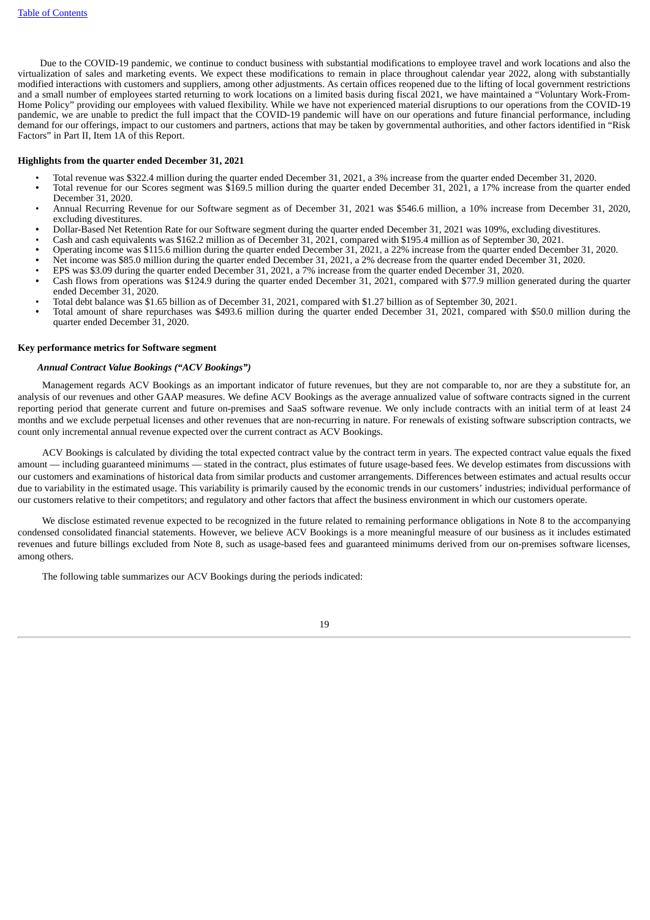Due to the COVID-19 pandemic, we continue to conduct business with substantial modifications to employee travel and work locations and also the virtualization of sales and marketing events. We expect these modifications to remain in place throughout calendar year 2022, along with substantially modified interactions with customers and suppliers, among other adjustments. As certain offices reopened due to the lifting of local government restrictions and a small number of employees started returning to work locations on a limited basis during fiscal 2021, we have maintained a "Voluntary Work-From-Home Policy" providing our employees with valued flexibility. While we have not experienced material disruptions to our operations from the COVID-19 pandemic, we are unable to predict the full impact that the COVID-19 pandemic will have on our operations and future financial performance, including demand for our offerings, impact to our customers and partners, actions that may be taken by governmental authorities, and other factors identified in "Risk Factors" in Part II, Item 1A of this Report.

#### **Highlights from the quarter ended December 31, 2021**

- Total revenue was \$322.4 million during the quarter ended December 31, 2021, a 3% increase from the quarter ended December 31, 2020.
- **•** Total revenue for our Scores segment was \$169.5 million during the quarter ended December 31, 2021, a 17% increase from the quarter ended December 31, 2020.
- Annual Recurring Revenue for our Software segment as of December 31, 2021 was \$546.6 million, a 10% increase from December 31, 2020, excluding divestitures.
- **•** Dollar-Based Net Retention Rate for our Software segment during the quarter ended December 31, 2021 was 109%, excluding divestitures.
- Cash and cash equivalents was \$162.2 million as of December 31, 2021, compared with \$195.4 million as of September 30, 2021.
- **•** Operating income was \$115.6 million during the quarter ended December 31, 2021, a 22% increase from the quarter ended December 31, 2020.
- **•** Net income was \$85.0 million during the quarter ended December 31, 2021, a 2% decrease from the quarter ended December 31, 2020.
- EPS was \$3.09 during the quarter ended December 31, 2021, a 7% increase from the quarter ended December 31, 2020.
- **•** Cash flows from operations was \$124.9 during the quarter ended December 31, 2021, compared with \$77.9 million generated during the quarter ended December 31, 2020.
- Total debt balance was \$1.65 billion as of December 31, 2021, compared with \$1.27 billion as of September 30, 2021.
- **•** Total amount of share repurchases was \$493.6 million during the quarter ended December 31, 2021, compared with \$50.0 million during the quarter ended December 31, 2020.

#### **Key performance metrics for Software segment**

#### *Annual Contract Value Bookings ("ACV Bookings")*

Management regards ACV Bookings as an important indicator of future revenues, but they are not comparable to, nor are they a substitute for, an analysis of our revenues and other GAAP measures. We define ACV Bookings as the average annualized value of software contracts signed in the current reporting period that generate current and future on-premises and SaaS software revenue. We only include contracts with an initial term of at least 24 months and we exclude perpetual licenses and other revenues that are non-recurring in nature. For renewals of existing software subscription contracts, we count only incremental annual revenue expected over the current contract as ACV Bookings.

ACV Bookings is calculated by dividing the total expected contract value by the contract term in years. The expected contract value equals the fixed amount — including guaranteed minimums — stated in the contract, plus estimates of future usage-based fees. We develop estimates from discussions with our customers and examinations of historical data from similar products and customer arrangements. Differences between estimates and actual results occur due to variability in the estimated usage. This variability is primarily caused by the economic trends in our customers' industries; individual performance of our customers relative to their competitors; and regulatory and other factors that affect the business environment in which our customers operate.

We disclose estimated revenue expected to be recognized in the future related to remaining performance obligations in Note 8 to the accompanying condensed consolidated financial statements. However, we believe ACV Bookings is a more meaningful measure of our business as it includes estimated revenues and future billings excluded from Note 8, such as usage-based fees and guaranteed minimums derived from our on-premises software licenses, among others.

The following table summarizes our ACV Bookings during the periods indicated: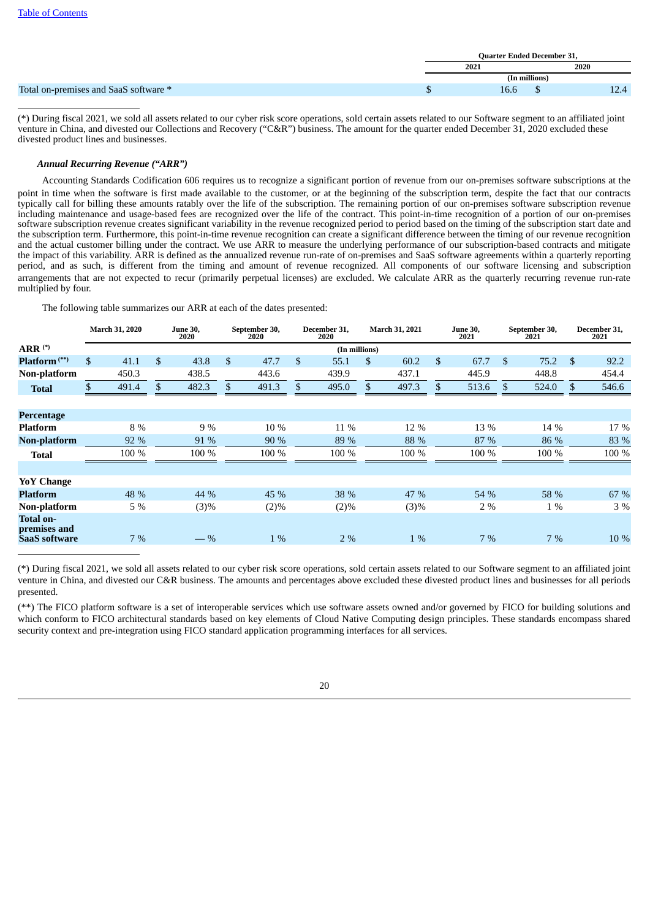|                                       |      |               | Quarter Ended December 31, |                |  |
|---------------------------------------|------|---------------|----------------------------|----------------|--|
|                                       | 2021 |               |                            | 2020           |  |
|                                       |      | (In millions) |                            |                |  |
| Total on-premises and SaaS software * |      | 16.6          |                            | $\overline{a}$ |  |

(\*) During fiscal 2021, we sold all assets related to our cyber risk score operations, sold certain assets related to our Software segment to an affiliated joint venture in China, and divested our Collections and Recovery ("C&R") business. The amount for the quarter ended December 31, 2020 excluded these divested product lines and businesses.

#### *Annual Recurring Revenue ("ARR")*

Accounting Standards Codification 606 requires us to recognize a significant portion of revenue from our on-premises software subscriptions at the point in time when the software is first made available to the customer, or at the beginning of the subscription term, despite the fact that our contracts typically call for billing these amounts ratably over the life of the subscription. The remaining portion of our on-premises software subscription revenue including maintenance and usage-based fees are recognized over the life of the contract. This point-in-time recognition of a portion of our on-premises software subscription revenue creates significant variability in the revenue recognized period to period based on the timing of the subscription start date and the subscription term. Furthermore, this point-in-time revenue recognition can create a significant difference between the timing of our revenue recognition and the actual customer billing under the contract. We use ARR to measure the underlying performance of our subscription-based contracts and mitigate the impact of this variability. ARR is defined as the annualized revenue run-rate of on-premises and SaaS software agreements within a quarterly reporting period, and as such, is different from the timing and amount of revenue recognized. All components of our software licensing and subscription arrangements that are not expected to recur (primarily perpetual licenses) are excluded. We calculate ARR as the quarterly recurring revenue run-rate multiplied by four.

The following table summarizes our ARR at each of the dates presented:

|                                                   |              | March 31, 2020 | <b>June 30,</b><br>2020 | September 30,<br>2020 |    | December 31,<br>2020 | March 31, 2021 |       | <b>June 30,</b><br>2021 |       | September 30,<br>2021 |       | December 31,<br>2021 |       |
|---------------------------------------------------|--------------|----------------|-------------------------|-----------------------|----|----------------------|----------------|-------|-------------------------|-------|-----------------------|-------|----------------------|-------|
| $ARR$ <sup>(*)</sup>                              |              |                |                         |                       |    | (In millions)        |                |       |                         |       |                       |       |                      |       |
| Platform <sup>(**)</sup>                          | $\mathbb{S}$ | 41.1           | \$<br>43.8              | \$<br>47.7            | \$ | 55.1                 | \$             | 60.2  | \$                      | 67.7  | $\mathbb{S}$          | 75.2  | $\mathbb{S}$         | 92.2  |
| Non-platform                                      |              | 450.3          | 438.5                   | 443.6                 |    | 439.9                |                | 437.1 |                         | 445.9 |                       | 448.8 |                      | 454.4 |
| <b>Total</b>                                      | \$           | 491.4          | 482.3                   | \$<br>491.3           | \$ | 495.0                | \$             | 497.3 |                         | 513.6 | \$                    | 524.0 | \$.                  | 546.6 |
|                                                   |              |                |                         |                       |    |                      |                |       |                         |       |                       |       |                      |       |
| Percentage                                        |              |                |                         |                       |    |                      |                |       |                         |       |                       |       |                      |       |
| <b>Platform</b>                                   |              | 8 %            | 9%                      | 10 %                  |    | 11 %                 |                | 12 %  |                         | 13 %  |                       | 14 %  |                      | 17 %  |
| Non-platform                                      |              | 92 %           | 91 %                    | 90 %                  |    | 89 %                 |                | 88 %  |                         | 87 %  |                       | 86 %  |                      | 83 %  |
| Total                                             |              | 100 %          | 100 %                   | 100 %                 |    | 100 %                |                | 100 % |                         | 100 % |                       | 100 % |                      | 100 % |
|                                                   |              |                |                         |                       |    |                      |                |       |                         |       |                       |       |                      |       |
| <b>YoY Change</b>                                 |              |                |                         |                       |    |                      |                |       |                         |       |                       |       |                      |       |
| <b>Platform</b>                                   |              | 48 %           | 44 %                    | 45 %                  |    | 38 %                 |                | 47 %  |                         | 54 %  |                       | 58 %  |                      | 67 %  |
| Non-platform                                      |              | 5 %            | (3)%                    | (2)%                  |    | (2)%                 |                | (3)%  |                         | 2 %   |                       | 1 %   |                      | $3\%$ |
| <b>Total on-</b><br>premises and<br>SaaS software |              | 7%             | $-$ %                   | $1\%$                 |    | 2%                   |                | $1\%$ |                         | 7%    |                       | $7\%$ |                      | 10 %  |
|                                                   |              |                |                         |                       |    |                      |                |       |                         |       |                       |       |                      |       |

(\*) During fiscal 2021, we sold all assets related to our cyber risk score operations, sold certain assets related to our Software segment to an affiliated joint venture in China, and divested our C&R business. The amounts and percentages above excluded these divested product lines and businesses for all periods presented.

(\*\*) The FICO platform software is a set of interoperable services which use software assets owned and/or governed by FICO for building solutions and which conform to FICO architectural standards based on key elements of Cloud Native Computing design principles. These standards encompass shared security context and pre-integration using FICO standard application programming interfaces for all services.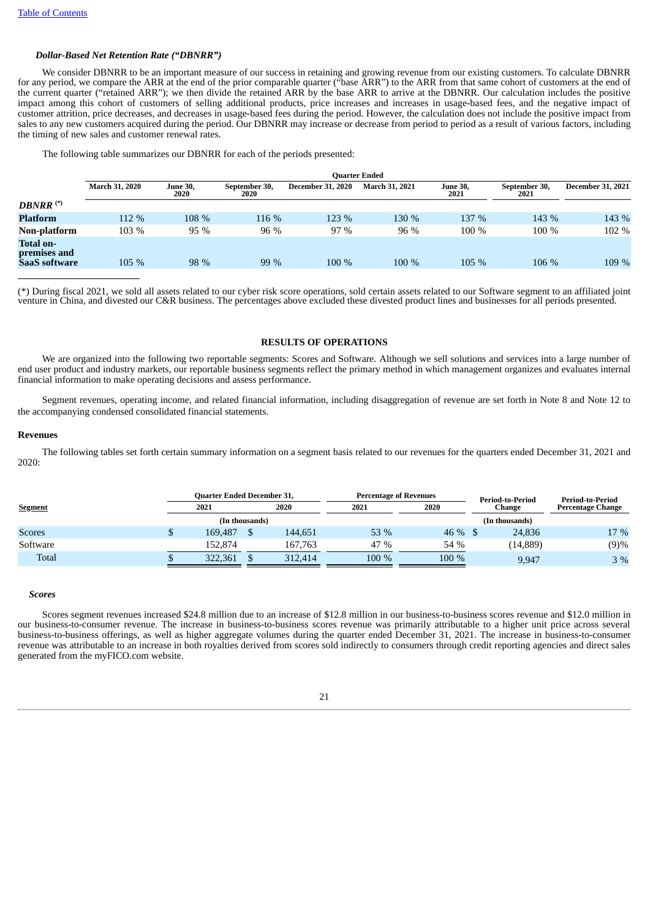## *Dollar-Based Net Retention Rate ("DBNRR")*

We consider DBNRR to be an important measure of our success in retaining and growing revenue from our existing customers. To calculate DBNRR for any period, we compare the ARR at the end of the prior comparable quarter ("base ARR") to the ARR from that same cohort of customers at the end of the current quarter ("retained ARR"); we then divide the retained ARR by the base ARR to arrive at the DBNRR. Our calculation includes the positive impact among this cohort of customers of selling additional products, price increases and increases in usage-based fees, and the negative impact of customer attrition, price decreases, and decreases in usage-based fees during the period. However, the calculation does not include the positive impact from sales to any new customers acquired during the period. Our DBNRR may increase or decrease from period to period as a result of various factors, including the timing of new sales and customer renewal rates.

The following table summarizes our DBNRR for each of the periods presented:

|                                                   | Ouarter Ended         |                  |                       |                          |                       |                         |                       |                          |  |  |  |  |  |
|---------------------------------------------------|-----------------------|------------------|-----------------------|--------------------------|-----------------------|-------------------------|-----------------------|--------------------------|--|--|--|--|--|
|                                                   | <b>March 31, 2020</b> | June 30,<br>2020 | September 30,<br>2020 | <b>December 31, 2020</b> | <b>March 31, 2021</b> | <b>June 30,</b><br>2021 | September 30,<br>2021 | <b>December 31, 2021</b> |  |  |  |  |  |
| $DBNRR$ <sup>(*)</sup>                            |                       |                  |                       |                          |                       |                         |                       |                          |  |  |  |  |  |
| <b>Platform</b>                                   | 112 %                 | 108 %            | 116 %                 | 123 %                    | 130 %                 | 137 %                   | 143 %                 | 143 %                    |  |  |  |  |  |
| Non-platform                                      | 103 %                 | $95\%$           | 96 %                  | 97%                      | 96 %                  | 100 %                   | 100 %                 | 102 %                    |  |  |  |  |  |
| <b>Total on-</b><br>premises and<br>SaaS software | 105 %                 | 98 %             | 99 %                  | 100 %                    | 100 %                 | 105 %                   | 106 %                 | 109 %                    |  |  |  |  |  |

(\*) During fiscal 2021, we sold all assets related to our cyber risk score operations, sold certain assets related to our Software segment to an affiliated joint venture in China, and divested our C&R business. The percentages above excluded these divested product lines and businesses for all periods presented.

#### **RESULTS OF OPERATIONS**

We are organized into the following two reportable segments: Scores and Software. Although we sell solutions and services into a large number of end user product and industry markets, our reportable business segments reflect the primary method in which management organizes and evaluates internal financial information to make operating decisions and assess performance.

Segment revenues, operating income, and related financial information, including disaggregation of revenue are set forth in Note 8 and Note 12 to the accompanying condensed consolidated financial statements.

#### **Revenues**

The following tables set forth certain summary information on a segment basis related to our revenues for the quarters ended December 31, 2021 and 2020:

| <b>Segment</b> |  | <b>Quarter Ended December 31,</b> |  |         |       | <b>Percentage of Revenues</b> |        | Period-to-Period | Period-to-Period         |  |
|----------------|--|-----------------------------------|--|---------|-------|-------------------------------|--------|------------------|--------------------------|--|
|                |  | 2021                              |  | 2020    | 2021  | 2020                          | Change |                  | <b>Percentage Change</b> |  |
|                |  | (In thousands)                    |  |         |       |                               |        | (In thousands)   |                          |  |
| <b>Scores</b>  |  | 169.487                           |  | 144.651 | 53 %  | 46 % \$                       |        | 24,836           | 17 %                     |  |
| Software       |  | 152.874                           |  | 167.763 | 47 %  | 54 %                          |        | (14, 889)        | (9)%                     |  |
| <b>Total</b>   |  | 322,361                           |  | 312,414 | 100 % | 100 %                         |        | 9,947            | 3%                       |  |

#### *Scores*

Scores segment revenues increased \$24.8 million due to an increase of \$12.8 million in our business-to-business scores revenue and \$12.0 million in our business-to-consumer revenue. The increase in business-to-business scores revenue was primarily attributable to a higher unit price across several business-to-business offerings, as well as higher aggregate volumes during the quarter ended December 31, 2021. The increase in business-to-consumer revenue was attributable to an increase in both royalties derived from scores sold indirectly to consumers through credit reporting agencies and direct sales generated from the myFICO.com website.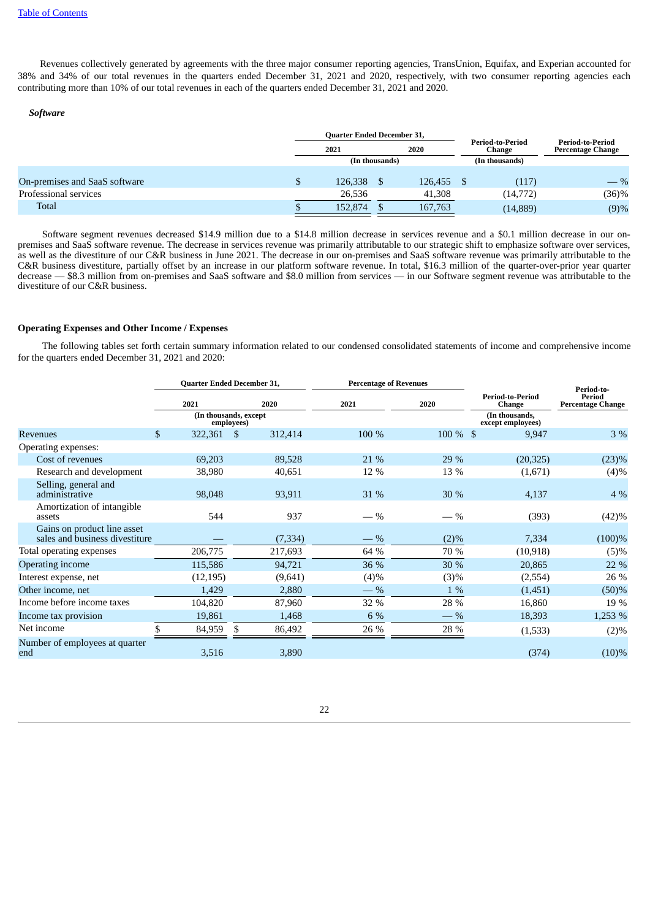Revenues collectively generated by agreements with the three major consumer reporting agencies, TransUnion, Equifax, and Experian accounted for 38% and 34% of our total revenues in the quarters ended December 31, 2021 and 2020, respectively, with two consumer reporting agencies each contributing more than 10% of our total revenues in each of the quarters ended December 31, 2021 and 2020.

#### *Software*

|                               |   | <b>Quarter Ended December 31,</b> |         |                                   |                                                     |  |  |
|-------------------------------|---|-----------------------------------|---------|-----------------------------------|-----------------------------------------------------|--|--|
|                               |   | 2021                              | 2020    | <b>Period-to-Period</b><br>Change | <b>Period-to-Period</b><br><b>Percentage Change</b> |  |  |
|                               |   | (In thousands)                    |         | (In thousands)                    |                                                     |  |  |
| On-premises and SaaS software | Ф | 126,338                           | 126,455 | (117)                             | $-$ %                                               |  |  |
| Professional services         |   | 26.536                            | 41,308  | (14, 772)                         | $(36)\%$                                            |  |  |
| <b>Total</b>                  |   | 152,874                           | 167,763 | (14, 889)                         | (9)%                                                |  |  |

Software segment revenues decreased \$14.9 million due to a \$14.8 million decrease in services revenue and a \$0.1 million decrease in our onpremises and SaaS software revenue. The decrease in services revenue was primarily attributable to our strategic shift to emphasize software over services, as well as the divestiture of our C&R business in June 2021. The decrease in our on-premises and SaaS software revenue was primarily attributable to the C&R business divestiture, partially offset by an increase in our platform software revenue. In total, \$16.3 million of the quarter-over-prior year quarter decrease — \$8.3 million from on-premises and SaaS software and \$8.0 million from services — in our Software segment revenue was attributable to the divestiture of our C&R business.

#### **Operating Expenses and Other Income / Expenses**

The following tables set forth certain summary information related to our condensed consolidated statements of income and comprehensive income for the quarters ended December 31, 2021 and 2020:

|                                                               | <b>Quarter Ended December 31,</b> |                                     | <b>Percentage of Revenues</b> |          |                                          | Period-to-                         |
|---------------------------------------------------------------|-----------------------------------|-------------------------------------|-------------------------------|----------|------------------------------------------|------------------------------------|
|                                                               | 2021                              | 2020                                | 2021                          | 2020     | <b>Period-to-Period</b><br><b>Change</b> | Period<br><b>Percentage Change</b> |
|                                                               |                                   | (In thousands, except<br>employees) |                               |          | (In thousands,<br>except employees)      |                                    |
| Revenues                                                      | \$<br>322,361 \$                  | 312,414                             | 100 %                         | 100 % \$ | 9,947                                    | 3%                                 |
| Operating expenses:                                           |                                   |                                     |                               |          |                                          |                                    |
| Cost of revenues                                              | 69,203                            | 89,528                              | 21 %                          | 29 %     | (20, 325)                                | (23)%                              |
| Research and development                                      | 38,980                            | 40,651                              | 12 %                          | 13 %     | (1,671)                                  | (4)%                               |
| Selling, general and<br>administrative                        | 98,048                            | 93,911                              | 31 %                          | 30 %     | 4,137                                    | 4 %                                |
| Amortization of intangible<br>assets                          | 544                               | 937                                 | $-$ %                         | $-$ %    | (393)                                    | (42)%                              |
| Gains on product line asset<br>sales and business divestiture |                                   | (7, 334)                            | $-$ %                         | (2)%     | 7,334                                    | (100)%                             |
| Total operating expenses                                      | 206,775                           | 217,693                             | 64 %                          | 70 %     | (10, 918)                                | (5)%                               |
| Operating income                                              | 115,586                           | 94,721                              | 36 %                          | 30 %     | 20,865                                   | 22 %                               |
| Interest expense, net                                         | (12, 195)                         | (9,641)                             | (4)%                          | $(3)\%$  | (2,554)                                  | 26 %                               |
| Other income, net                                             | 1,429                             | 2,880                               | $-$ %                         | 1 %      | (1,451)                                  | (50)%                              |
| Income before income taxes                                    | 104,820                           | 87,960                              | 32 %                          | 28 %     | 16,860                                   | 19 %                               |
| Income tax provision                                          | 19,861                            | 1,468                               | 6 %                           | $-$ %    | 18,393                                   | 1,253 %                            |
| Net income                                                    | 84,959<br>S.                      | 86,492<br>£.                        | 26 %                          | 28 %     | (1,533)                                  | (2)%                               |
| Number of employees at quarter<br>end                         | 3,516                             | 3,890                               |                               |          | (374)                                    | $(10)\%$                           |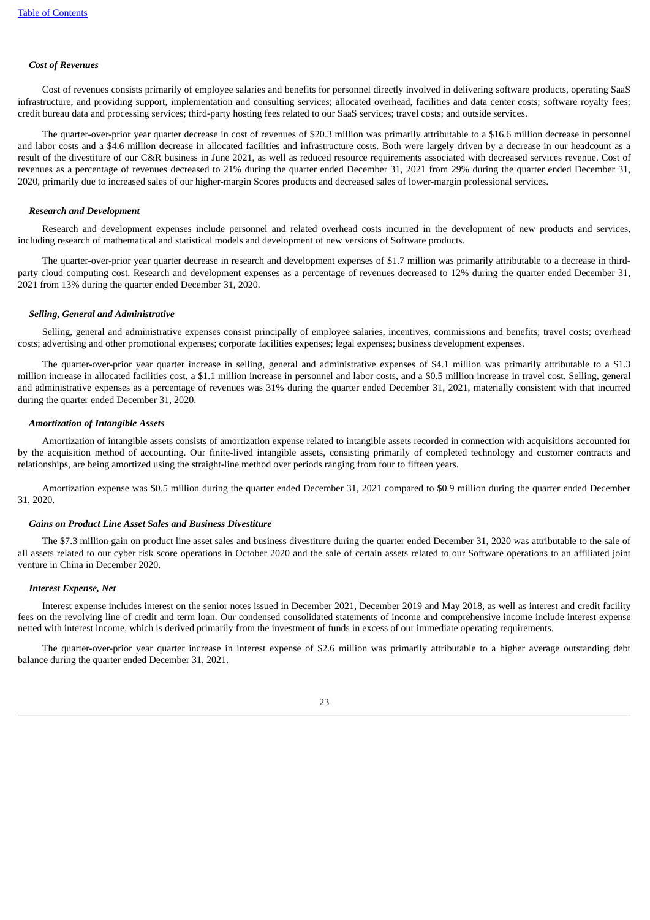#### *Cost of Revenues*

Cost of revenues consists primarily of employee salaries and benefits for personnel directly involved in delivering software products, operating SaaS infrastructure, and providing support, implementation and consulting services; allocated overhead, facilities and data center costs; software royalty fees; credit bureau data and processing services; third-party hosting fees related to our SaaS services; travel costs; and outside services.

The quarter-over-prior year quarter decrease in cost of revenues of \$20.3 million was primarily attributable to a \$16.6 million decrease in personnel and labor costs and a \$4.6 million decrease in allocated facilities and infrastructure costs. Both were largely driven by a decrease in our headcount as a result of the divestiture of our C&R business in June 2021, as well as reduced resource requirements associated with decreased services revenue. Cost of revenues as a percentage of revenues decreased to 21% during the quarter ended December 31, 2021 from 29% during the quarter ended December 31, 2020, primarily due to increased sales of our higher-margin Scores products and decreased sales of lower-margin professional services.

#### *Research and Development*

Research and development expenses include personnel and related overhead costs incurred in the development of new products and services, including research of mathematical and statistical models and development of new versions of Software products.

The quarter-over-prior year quarter decrease in research and development expenses of \$1.7 million was primarily attributable to a decrease in thirdparty cloud computing cost. Research and development expenses as a percentage of revenues decreased to 12% during the quarter ended December 31, 2021 from 13% during the quarter ended December 31, 2020.

#### *Selling, General and Administrative*

Selling, general and administrative expenses consist principally of employee salaries, incentives, commissions and benefits; travel costs; overhead costs; advertising and other promotional expenses; corporate facilities expenses; legal expenses; business development expenses.

The quarter-over-prior year quarter increase in selling, general and administrative expenses of \$4.1 million was primarily attributable to a \$1.3 million increase in allocated facilities cost, a \$1.1 million increase in personnel and labor costs, and a \$0.5 million increase in travel cost. Selling, general and administrative expenses as a percentage of revenues was 31% during the quarter ended December 31, 2021, materially consistent with that incurred during the quarter ended December 31, 2020.

#### *Amortization of Intangible Assets*

Amortization of intangible assets consists of amortization expense related to intangible assets recorded in connection with acquisitions accounted for by the acquisition method of accounting. Our finite-lived intangible assets, consisting primarily of completed technology and customer contracts and relationships, are being amortized using the straight-line method over periods ranging from four to fifteen years.

Amortization expense was \$0.5 million during the quarter ended December 31, 2021 compared to \$0.9 million during the quarter ended December 31, 2020.

#### *Gains on Product Line Asset Sales and Business Divestiture*

The \$7.3 million gain on product line asset sales and business divestiture during the quarter ended December 31, 2020 was attributable to the sale of all assets related to our cyber risk score operations in October 2020 and the sale of certain assets related to our Software operations to an affiliated joint venture in China in December 2020.

#### *Interest Expense, Net*

Interest expense includes interest on the senior notes issued in December 2021, December 2019 and May 2018, as well as interest and credit facility fees on the revolving line of credit and term loan. Our condensed consolidated statements of income and comprehensive income include interest expense netted with interest income, which is derived primarily from the investment of funds in excess of our immediate operating requirements.

The quarter-over-prior year quarter increase in interest expense of \$2.6 million was primarily attributable to a higher average outstanding debt balance during the quarter ended December 31, 2021.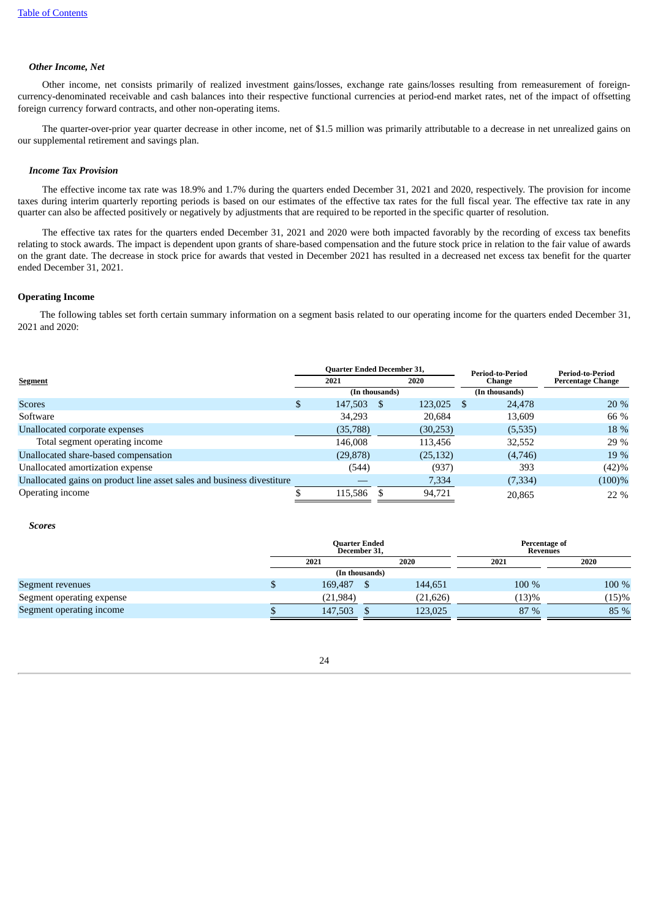#### *Other Income, Net*

Other income, net consists primarily of realized investment gains/losses, exchange rate gains/losses resulting from remeasurement of foreigncurrency-denominated receivable and cash balances into their respective functional currencies at period-end market rates, net of the impact of offsetting foreign currency forward contracts, and other non-operating items.

The quarter-over-prior year quarter decrease in other income, net of \$1.5 million was primarily attributable to a decrease in net unrealized gains on our supplemental retirement and savings plan.

#### *Income Tax Provision*

The effective income tax rate was 18.9% and 1.7% during the quarters ended December 31, 2021 and 2020, respectively. The provision for income taxes during interim quarterly reporting periods is based on our estimates of the effective tax rates for the full fiscal year. The effective tax rate in any quarter can also be affected positively or negatively by adjustments that are required to be reported in the specific quarter of resolution.

The effective tax rates for the quarters ended December 31, 2021 and 2020 were both impacted favorably by the recording of excess tax benefits relating to stock awards. The impact is dependent upon grants of share-based compensation and the future stock price in relation to the fair value of awards on the grant date. The decrease in stock price for awards that vested in December 2021 has resulted in a decreased net excess tax benefit for the quarter ended December 31, 2021.

#### **Operating Income**

The following tables set forth certain summary information on a segment basis related to our operating income for the quarters ended December 31, 2021 and 2020:

|                                                                        | <b>Ouarter Ended December 31.</b> |      |           |    | <b>Period-to-Period</b> | Period-to-Period         |  |
|------------------------------------------------------------------------|-----------------------------------|------|-----------|----|-------------------------|--------------------------|--|
| <b>Segment</b>                                                         | 2021                              | 2020 |           |    | Change                  | <b>Percentage Change</b> |  |
|                                                                        | (In thousands)                    |      |           |    | (In thousands)          |                          |  |
| <b>Scores</b>                                                          | \$<br>147,503                     | S    | 123,025   | -S | 24,478                  | 20%                      |  |
| Software                                                               | 34,293                            |      | 20,684    |    | 13,609                  | 66 %                     |  |
| Unallocated corporate expenses                                         | (35,788)                          |      | (30, 253) |    | (5,535)                 | 18 %                     |  |
| Total segment operating income                                         | 146.008                           |      | 113,456   |    | 32,552                  | 29 %                     |  |
| Unallocated share-based compensation                                   | (29, 878)                         |      | (25, 132) |    | (4,746)                 | 19 %                     |  |
| Unallocated amortization expense                                       | (544)                             |      | (937)     |    | 393                     | (42)%                    |  |
| Unallocated gains on product line asset sales and business divestiture |                                   |      | 7,334     |    | (7, 334)                | (100)%                   |  |
| Operating income                                                       | 115,586                           |      | 94,721    |    | 20,865                  | $22\%$                   |  |

#### *Scores*

|                           | <b>Ouarter Ended</b><br>December 31. |           | Percentage of<br><b>Revenues</b> |       |  |  |
|---------------------------|--------------------------------------|-----------|----------------------------------|-------|--|--|
|                           | 2021                                 | 2020      | 2021                             | 2020  |  |  |
|                           | (In thousands)                       |           |                                  |       |  |  |
| Segment revenues          | 169.487                              | 144,651   | 100 %                            | 100 % |  |  |
| Segment operating expense | (21, 984)                            | (21, 626) | (13)%                            | (15)% |  |  |
| Segment operating income  | 147,503                              | 123,025   | 87 %                             | 85 %  |  |  |

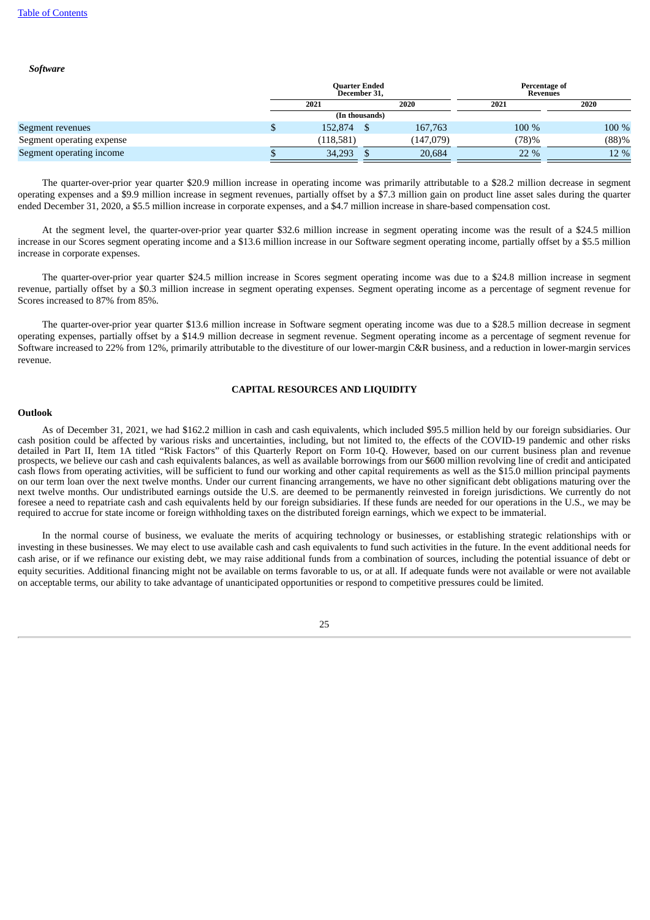*Software*

|                           |            | <b>Ouarter Ended</b><br>December 31, |           | Percentage of<br>Revenues |       |  |  |
|---------------------------|------------|--------------------------------------|-----------|---------------------------|-------|--|--|
|                           | 2021       |                                      | 2020      | 2021                      | 2020  |  |  |
|                           |            | (In thousands)                       |           |                           |       |  |  |
| Segment revenues          | 152,874    |                                      | 167,763   | 100 %                     | 100 % |  |  |
| Segment operating expense | (118, 581) |                                      | (147,079) | (78)%                     | (88)% |  |  |
| Segment operating income  | 34,293     |                                      | 20,684    | 22 %                      | 12 %  |  |  |

The quarter-over-prior year quarter \$20.9 million increase in operating income was primarily attributable to a \$28.2 million decrease in segment operating expenses and a \$9.9 million increase in segment revenues, partially offset by a \$7.3 million gain on product line asset sales during the quarter ended December 31, 2020, a \$5.5 million increase in corporate expenses, and a \$4.7 million increase in share-based compensation cost.

At the segment level, the quarter-over-prior year quarter \$32.6 million increase in segment operating income was the result of a \$24.5 million increase in our Scores segment operating income and a \$13.6 million increase in our Software segment operating income, partially offset by a \$5.5 million increase in corporate expenses.

The quarter-over-prior year quarter \$24.5 million increase in Scores segment operating income was due to a \$24.8 million increase in segment revenue, partially offset by a \$0.3 million increase in segment operating expenses. Segment operating income as a percentage of segment revenue for Scores increased to 87% from 85%.

The quarter-over-prior year quarter \$13.6 million increase in Software segment operating income was due to a \$28.5 million decrease in segment operating expenses, partially offset by a \$14.9 million decrease in segment revenue. Segment operating income as a percentage of segment revenue for Software increased to 22% from 12%, primarily attributable to the divestiture of our lower-margin C&R business, and a reduction in lower-margin services revenue.

#### **CAPITAL RESOURCES AND LIQUIDITY**

#### **Outlook**

As of December 31, 2021, we had \$162.2 million in cash and cash equivalents, which included \$95.5 million held by our foreign subsidiaries. Our cash position could be affected by various risks and uncertainties, including, but not limited to, the effects of the COVID-19 pandemic and other risks detailed in Part II, Item 1A titled "Risk Factors" of this Quarterly Report on Form 10-Q. However, based on our current business plan and revenue prospects, we believe our cash and cash equivalents balances, as well as available borrowings from our \$600 million revolving line of credit and anticipated cash flows from operating activities, will be sufficient to fund our working and other capital requirements as well as the \$15.0 million principal payments on our term loan over the next twelve months. Under our current financing arrangements, we have no other significant debt obligations maturing over the next twelve months. Our undistributed earnings outside the U.S. are deemed to be permanently reinvested in foreign jurisdictions. We currently do not foresee a need to repatriate cash and cash equivalents held by our foreign subsidiaries. If these funds are needed for our operations in the U.S., we may be required to accrue for state income or foreign withholding taxes on the distributed foreign earnings, which we expect to be immaterial.

In the normal course of business, we evaluate the merits of acquiring technology or businesses, or establishing strategic relationships with or investing in these businesses. We may elect to use available cash and cash equivalents to fund such activities in the future. In the event additional needs for cash arise, or if we refinance our existing debt, we may raise additional funds from a combination of sources, including the potential issuance of debt or equity securities. Additional financing might not be available on terms favorable to us, or at all. If adequate funds were not available or were not available on acceptable terms, our ability to take advantage of unanticipated opportunities or respond to competitive pressures could be limited.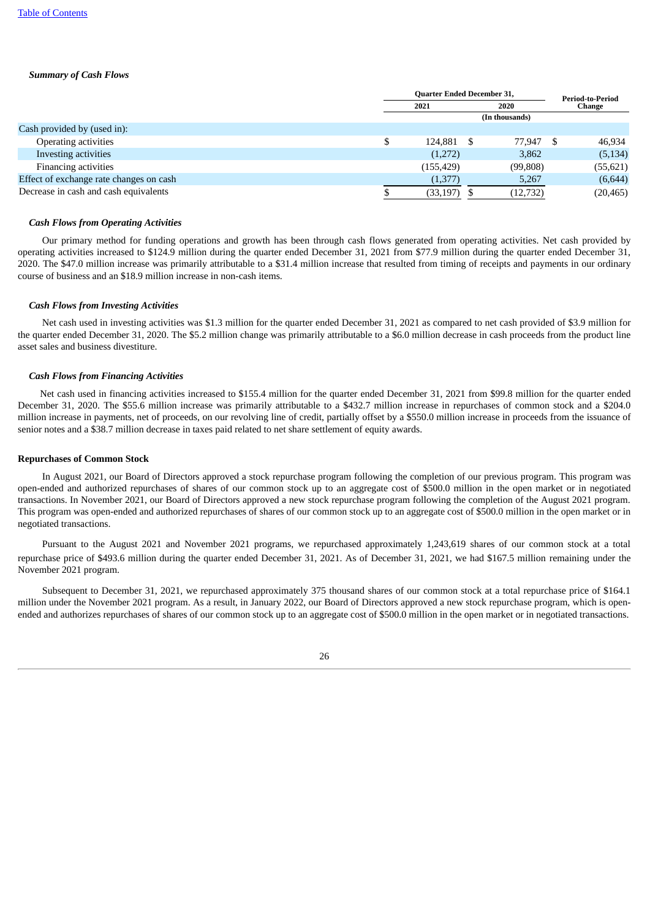## *Summary of Cash Flows*

|                                         |      | Quarter Ended December 31, |                |           |      | <b>Period-to-Period</b> |  |
|-----------------------------------------|------|----------------------------|----------------|-----------|------|-------------------------|--|
|                                         | 2021 |                            | 2020           |           |      | Change                  |  |
|                                         |      |                            | (In thousands) |           |      |                         |  |
| Cash provided by (used in):             |      |                            |                |           |      |                         |  |
| <b>Operating activities</b>             |      | 124.881                    | - \$           | 77.947    | - \$ | 46,934                  |  |
| Investing activities                    |      | (1,272)                    |                | 3,862     |      | (5, 134)                |  |
| Financing activities                    |      | (155, 429)                 |                | (99, 808) |      | (55, 621)               |  |
| Effect of exchange rate changes on cash |      | (1,377)                    |                | 5,267     |      | (6,644)                 |  |
| Decrease in cash and cash equivalents   |      | (33, 197)                  |                | (12, 732) |      | (20, 465)               |  |
|                                         |      |                            |                |           |      |                         |  |

#### *Cash Flows from Operating Activities*

Our primary method for funding operations and growth has been through cash flows generated from operating activities. Net cash provided by operating activities increased to \$124.9 million during the quarter ended December 31, 2021 from \$77.9 million during the quarter ended December 31, 2020. The \$47.0 million increase was primarily attributable to a \$31.4 million increase that resulted from timing of receipts and payments in our ordinary course of business and an \$18.9 million increase in non-cash items.

#### *Cash Flows from Investing Activities*

Net cash used in investing activities was \$1.3 million for the quarter ended December 31, 2021 as compared to net cash provided of \$3.9 million for the quarter ended December 31, 2020. The \$5.2 million change was primarily attributable to a \$6.0 million decrease in cash proceeds from the product line asset sales and business divestiture.

#### *Cash Flows from Financing Activities*

Net cash used in financing activities increased to \$155.4 million for the quarter ended December 31, 2021 from \$99.8 million for the quarter ended December 31, 2020. The \$55.6 million increase was primarily attributable to a \$432.7 million increase in repurchases of common stock and a \$204.0 million increase in payments, net of proceeds, on our revolving line of credit, partially offset by a \$550.0 million increase in proceeds from the issuance of senior notes and a \$38.7 million decrease in taxes paid related to net share settlement of equity awards.

#### **Repurchases of Common Stock**

In August 2021, our Board of Directors approved a stock repurchase program following the completion of our previous program. This program was open-ended and authorized repurchases of shares of our common stock up to an aggregate cost of \$500.0 million in the open market or in negotiated transactions. In November 2021, our Board of Directors approved a new stock repurchase program following the completion of the August 2021 program. This program was open-ended and authorized repurchases of shares of our common stock up to an aggregate cost of \$500.0 million in the open market or in negotiated transactions.

Pursuant to the August 2021 and November 2021 programs, we repurchased approximately 1,243,619 shares of our common stock at a total repurchase price of \$493.6 million during the quarter ended December 31, 2021. As of December 31, 2021, we had \$167.5 million remaining under the November 2021 program.

Subsequent to December 31, 2021, we repurchased approximately 375 thousand shares of our common stock at a total repurchase price of \$164.1 million under the November 2021 program. As a result, in January 2022, our Board of Directors approved a new stock repurchase program, which is openended and authorizes repurchases of shares of our common stock up to an aggregate cost of \$500.0 million in the open market or in negotiated transactions.

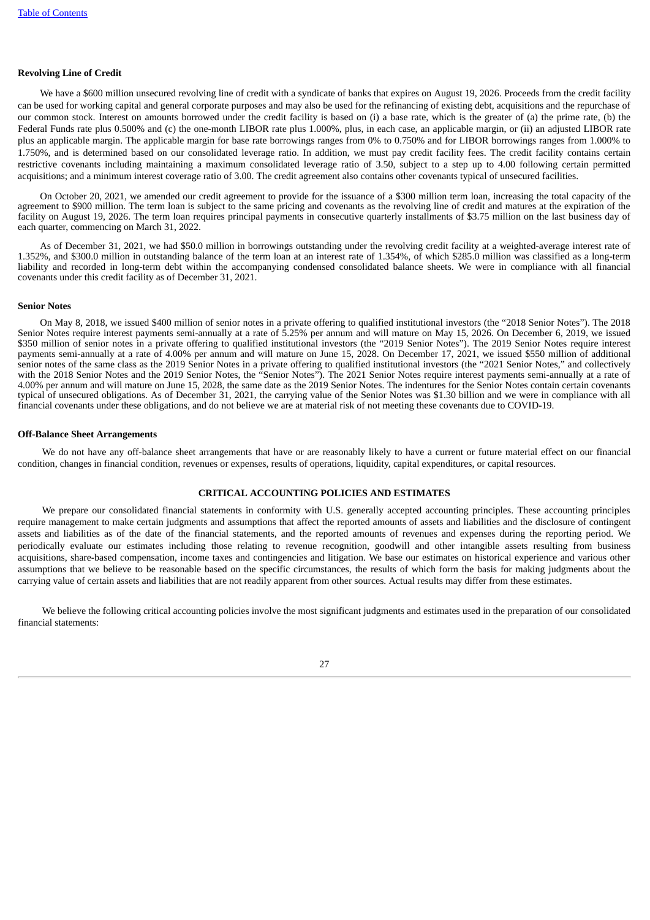#### **Revolving Line of Credit**

We have a \$600 million unsecured revolving line of credit with a syndicate of banks that expires on August 19, 2026. Proceeds from the credit facility can be used for working capital and general corporate purposes and may also be used for the refinancing of existing debt, acquisitions and the repurchase of our common stock. Interest on amounts borrowed under the credit facility is based on (i) a base rate, which is the greater of (a) the prime rate, (b) the Federal Funds rate plus 0.500% and (c) the one-month LIBOR rate plus 1.000%, plus, in each case, an applicable margin, or (ii) an adjusted LIBOR rate plus an applicable margin. The applicable margin for base rate borrowings ranges from 0% to 0.750% and for LIBOR borrowings ranges from 1.000% to 1.750%, and is determined based on our consolidated leverage ratio. In addition, we must pay credit facility fees. The credit facility contains certain restrictive covenants including maintaining a maximum consolidated leverage ratio of 3.50, subject to a step up to 4.00 following certain permitted acquisitions; and a minimum interest coverage ratio of 3.00. The credit agreement also contains other covenants typical of unsecured facilities.

On October 20, 2021, we amended our credit agreement to provide for the issuance of a \$300 million term loan, increasing the total capacity of the agreement to \$900 million. The term loan is subject to the same pricing and covenants as the revolving line of credit and matures at the expiration of the facility on August 19, 2026. The term loan requires principal payments in consecutive quarterly installments of \$3.75 million on the last business day of each quarter, commencing on March 31, 2022.

As of December 31, 2021, we had \$50.0 million in borrowings outstanding under the revolving credit facility at a weighted-average interest rate of 1.352%, and \$300.0 million in outstanding balance of the term loan at an interest rate of 1.354%, of which \$285.0 million was classified as a long-term liability and recorded in long-term debt within the accompanying condensed consolidated balance sheets. We were in compliance with all financial covenants under this credit facility as of December 31, 2021.

#### **Senior Notes**

On May 8, 2018, we issued \$400 million of senior notes in a private offering to qualified institutional investors (the "2018 Senior Notes"). The 2018 Senior Notes require interest payments semi-annually at a rate of 5.25% per annum and will mature on May 15, 2026. On December 6, 2019, we issued \$350 million of senior notes in a private offering to qualified institutional investors (the "2019 Senior Notes"). The 2019 Senior Notes require interest payments semi-annually at a rate of 4.00% per annum and will mature on June 15, 2028. On December 17, 2021, we issued \$550 million of additional senior notes of the same class as the 2019 Senior Notes in a private offering to qualified institutional investors (the "2021 Senior Notes," and collectively with the 2018 Senior Notes and the 2019 Senior Notes, the "Senior Notes"). The 2021 Senior Notes require interest payments semi-annually at a rate of 4.00% per annum and will mature on June 15, 2028, the same date as the 2019 Senior Notes. The indentures for the Senior Notes contain certain covenants typical of unsecured obligations. As of December 31, 2021, the carrying value of the Senior Notes was \$1.30 billion and we were in compliance with all financial covenants under these obligations, and do not believe we are at material risk of not meeting these covenants due to COVID-19.

#### **Off-Balance Sheet Arrangements**

We do not have any off-balance sheet arrangements that have or are reasonably likely to have a current or future material effect on our financial condition, changes in financial condition, revenues or expenses, results of operations, liquidity, capital expenditures, or capital resources.

#### **CRITICAL ACCOUNTING POLICIES AND ESTIMATES**

We prepare our consolidated financial statements in conformity with U.S. generally accepted accounting principles. These accounting principles require management to make certain judgments and assumptions that affect the reported amounts of assets and liabilities and the disclosure of contingent assets and liabilities as of the date of the financial statements, and the reported amounts of revenues and expenses during the reporting period. We periodically evaluate our estimates including those relating to revenue recognition, goodwill and other intangible assets resulting from business acquisitions, share-based compensation, income taxes and contingencies and litigation. We base our estimates on historical experience and various other assumptions that we believe to be reasonable based on the specific circumstances, the results of which form the basis for making judgments about the carrying value of certain assets and liabilities that are not readily apparent from other sources. Actual results may differ from these estimates.

We believe the following critical accounting policies involve the most significant judgments and estimates used in the preparation of our consolidated financial statements:

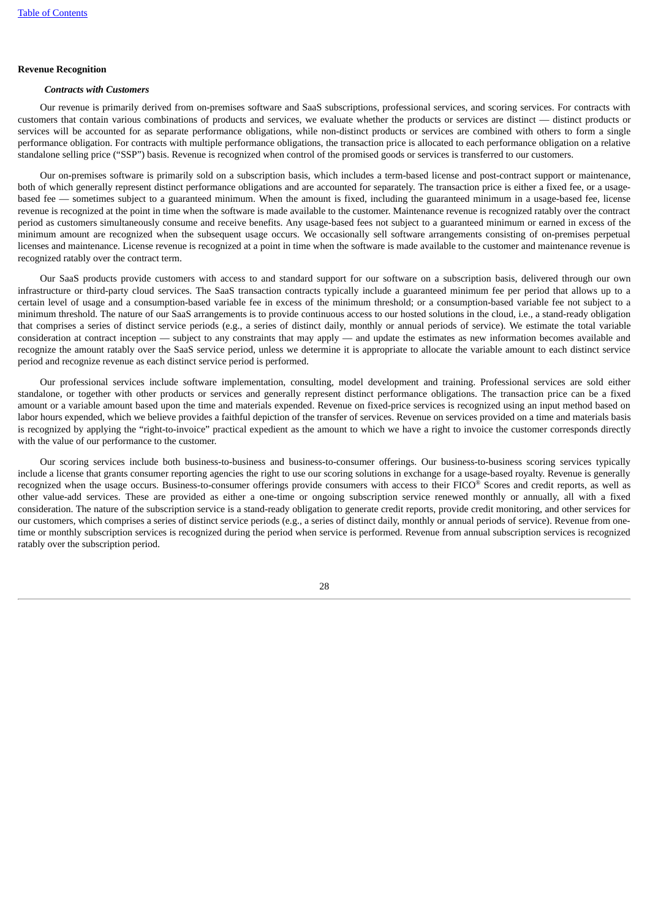#### **Revenue Recognition**

#### *Contracts with Customers*

Our revenue is primarily derived from on-premises software and SaaS subscriptions, professional services, and scoring services. For contracts with customers that contain various combinations of products and services, we evaluate whether the products or services are distinct — distinct products or services will be accounted for as separate performance obligations, while non-distinct products or services are combined with others to form a single performance obligation. For contracts with multiple performance obligations, the transaction price is allocated to each performance obligation on a relative standalone selling price ("SSP") basis. Revenue is recognized when control of the promised goods or services is transferred to our customers.

Our on-premises software is primarily sold on a subscription basis, which includes a term-based license and post-contract support or maintenance, both of which generally represent distinct performance obligations and are accounted for separately. The transaction price is either a fixed fee, or a usagebased fee — sometimes subject to a guaranteed minimum. When the amount is fixed, including the guaranteed minimum in a usage-based fee, license revenue is recognized at the point in time when the software is made available to the customer. Maintenance revenue is recognized ratably over the contract period as customers simultaneously consume and receive benefits. Any usage-based fees not subject to a guaranteed minimum or earned in excess of the minimum amount are recognized when the subsequent usage occurs. We occasionally sell software arrangements consisting of on-premises perpetual licenses and maintenance. License revenue is recognized at a point in time when the software is made available to the customer and maintenance revenue is recognized ratably over the contract term.

Our SaaS products provide customers with access to and standard support for our software on a subscription basis, delivered through our own infrastructure or third-party cloud services. The SaaS transaction contracts typically include a guaranteed minimum fee per period that allows up to a certain level of usage and a consumption-based variable fee in excess of the minimum threshold; or a consumption-based variable fee not subject to a minimum threshold. The nature of our SaaS arrangements is to provide continuous access to our hosted solutions in the cloud, i.e., a stand-ready obligation that comprises a series of distinct service periods (e.g., a series of distinct daily, monthly or annual periods of service). We estimate the total variable consideration at contract inception — subject to any constraints that may apply — and update the estimates as new information becomes available and recognize the amount ratably over the SaaS service period, unless we determine it is appropriate to allocate the variable amount to each distinct service period and recognize revenue as each distinct service period is performed.

Our professional services include software implementation, consulting, model development and training. Professional services are sold either standalone, or together with other products or services and generally represent distinct performance obligations. The transaction price can be a fixed amount or a variable amount based upon the time and materials expended. Revenue on fixed-price services is recognized using an input method based on labor hours expended, which we believe provides a faithful depiction of the transfer of services. Revenue on services provided on a time and materials basis is recognized by applying the "right-to-invoice" practical expedient as the amount to which we have a right to invoice the customer corresponds directly with the value of our performance to the customer.

Our scoring services include both business-to-business and business-to-consumer offerings. Our business-to-business scoring services typically include a license that grants consumer reporting agencies the right to use our scoring solutions in exchange for a usage-based royalty. Revenue is generally recognized when the usage occurs. Business-to-consumer offerings provide consumers with access to their FICO® Scores and credit reports, as well as other value-add services. These are provided as either a one-time or ongoing subscription service renewed monthly or annually, all with a fixed consideration. The nature of the subscription service is a stand-ready obligation to generate credit reports, provide credit monitoring, and other services for our customers, which comprises a series of distinct service periods (e.g., a series of distinct daily, monthly or annual periods of service). Revenue from onetime or monthly subscription services is recognized during the period when service is performed. Revenue from annual subscription services is recognized ratably over the subscription period.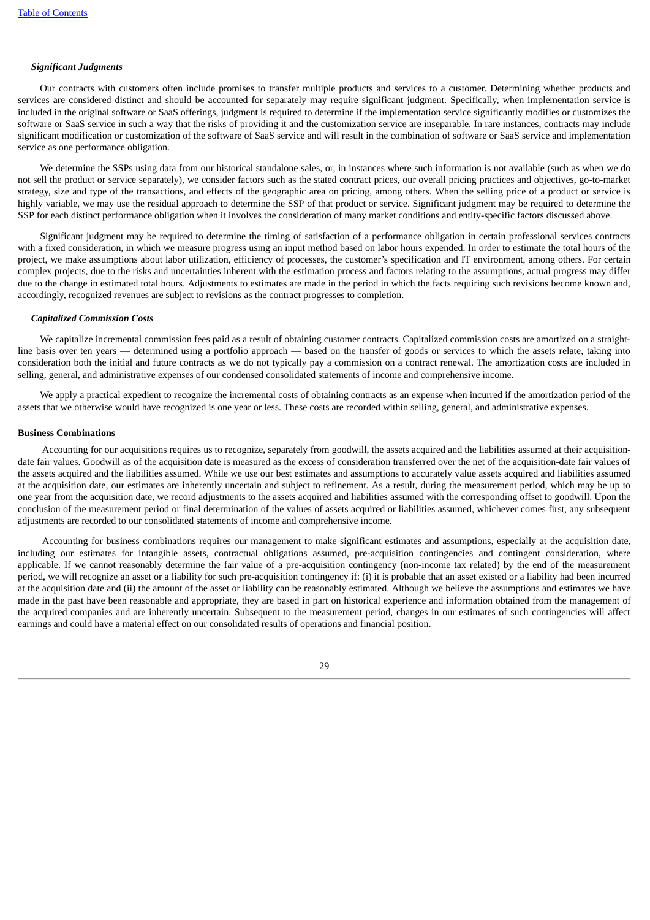#### *Significant Judgments*

Our contracts with customers often include promises to transfer multiple products and services to a customer. Determining whether products and services are considered distinct and should be accounted for separately may require significant judgment. Specifically, when implementation service is included in the original software or SaaS offerings, judgment is required to determine if the implementation service significantly modifies or customizes the software or SaaS service in such a way that the risks of providing it and the customization service are inseparable. In rare instances, contracts may include significant modification or customization of the software of SaaS service and will result in the combination of software or SaaS service and implementation service as one performance obligation.

We determine the SSPs using data from our historical standalone sales, or, in instances where such information is not available (such as when we do not sell the product or service separately), we consider factors such as the stated contract prices, our overall pricing practices and objectives, go-to-market strategy, size and type of the transactions, and effects of the geographic area on pricing, among others. When the selling price of a product or service is highly variable, we may use the residual approach to determine the SSP of that product or service. Significant judgment may be required to determine the SSP for each distinct performance obligation when it involves the consideration of many market conditions and entity-specific factors discussed above.

Significant judgment may be required to determine the timing of satisfaction of a performance obligation in certain professional services contracts with a fixed consideration, in which we measure progress using an input method based on labor hours expended. In order to estimate the total hours of the project, we make assumptions about labor utilization, efficiency of processes, the customer's specification and IT environment, among others. For certain complex projects, due to the risks and uncertainties inherent with the estimation process and factors relating to the assumptions, actual progress may differ due to the change in estimated total hours. Adjustments to estimates are made in the period in which the facts requiring such revisions become known and, accordingly, recognized revenues are subject to revisions as the contract progresses to completion.

#### *Capitalized Commission Costs*

We capitalize incremental commission fees paid as a result of obtaining customer contracts. Capitalized commission costs are amortized on a straightline basis over ten years — determined using a portfolio approach — based on the transfer of goods or services to which the assets relate, taking into consideration both the initial and future contracts as we do not typically pay a commission on a contract renewal. The amortization costs are included in selling, general, and administrative expenses of our condensed consolidated statements of income and comprehensive income.

We apply a practical expedient to recognize the incremental costs of obtaining contracts as an expense when incurred if the amortization period of the assets that we otherwise would have recognized is one year or less. These costs are recorded within selling, general, and administrative expenses.

#### **Business Combinations**

Accounting for our acquisitions requires us to recognize, separately from goodwill, the assets acquired and the liabilities assumed at their acquisitiondate fair values. Goodwill as of the acquisition date is measured as the excess of consideration transferred over the net of the acquisition-date fair values of the assets acquired and the liabilities assumed. While we use our best estimates and assumptions to accurately value assets acquired and liabilities assumed at the acquisition date, our estimates are inherently uncertain and subject to refinement. As a result, during the measurement period, which may be up to one year from the acquisition date, we record adjustments to the assets acquired and liabilities assumed with the corresponding offset to goodwill. Upon the conclusion of the measurement period or final determination of the values of assets acquired or liabilities assumed, whichever comes first, any subsequent adjustments are recorded to our consolidated statements of income and comprehensive income.

Accounting for business combinations requires our management to make significant estimates and assumptions, especially at the acquisition date, including our estimates for intangible assets, contractual obligations assumed, pre-acquisition contingencies and contingent consideration, where applicable. If we cannot reasonably determine the fair value of a pre-acquisition contingency (non-income tax related) by the end of the measurement period, we will recognize an asset or a liability for such pre-acquisition contingency if: (i) it is probable that an asset existed or a liability had been incurred at the acquisition date and (ii) the amount of the asset or liability can be reasonably estimated. Although we believe the assumptions and estimates we have made in the past have been reasonable and appropriate, they are based in part on historical experience and information obtained from the management of the acquired companies and are inherently uncertain. Subsequent to the measurement period, changes in our estimates of such contingencies will affect earnings and could have a material effect on our consolidated results of operations and financial position.

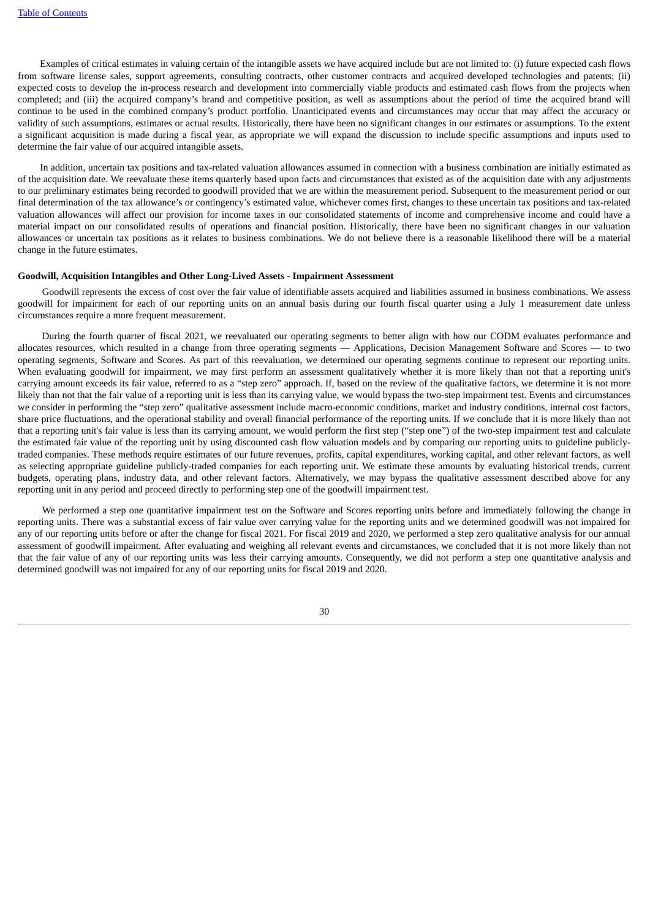Examples of critical estimates in valuing certain of the intangible assets we have acquired include but are not limited to: (i) future expected cash flows from software license sales, support agreements, consulting contracts, other customer contracts and acquired developed technologies and patents; (ii) expected costs to develop the in-process research and development into commercially viable products and estimated cash flows from the projects when completed; and (iii) the acquired company's brand and competitive position, as well as assumptions about the period of time the acquired brand will continue to be used in the combined company's product portfolio. Unanticipated events and circumstances may occur that may affect the accuracy or validity of such assumptions, estimates or actual results. Historically, there have been no significant changes in our estimates or assumptions. To the extent a significant acquisition is made during a fiscal year, as appropriate we will expand the discussion to include specific assumptions and inputs used to determine the fair value of our acquired intangible assets.

In addition, uncertain tax positions and tax-related valuation allowances assumed in connection with a business combination are initially estimated as of the acquisition date. We reevaluate these items quarterly based upon facts and circumstances that existed as of the acquisition date with any adjustments to our preliminary estimates being recorded to goodwill provided that we are within the measurement period. Subsequent to the measurement period or our final determination of the tax allowance's or contingency's estimated value, whichever comes first, changes to these uncertain tax positions and tax-related valuation allowances will affect our provision for income taxes in our consolidated statements of income and comprehensive income and could have a material impact on our consolidated results of operations and financial position. Historically, there have been no significant changes in our valuation allowances or uncertain tax positions as it relates to business combinations. We do not believe there is a reasonable likelihood there will be a material change in the future estimates.

#### **Goodwill, Acquisition Intangibles and Other Long-Lived Assets - Impairment Assessment**

Goodwill represents the excess of cost over the fair value of identifiable assets acquired and liabilities assumed in business combinations. We assess goodwill for impairment for each of our reporting units on an annual basis during our fourth fiscal quarter using a July 1 measurement date unless circumstances require a more frequent measurement.

During the fourth quarter of fiscal 2021, we reevaluated our operating segments to better align with how our CODM evaluates performance and allocates resources, which resulted in a change from three operating segments — Applications, Decision Management Software and Scores — to two operating segments, Software and Scores. As part of this reevaluation, we determined our operating segments continue to represent our reporting units. When evaluating goodwill for impairment, we may first perform an assessment qualitatively whether it is more likely than not that a reporting unit's carrying amount exceeds its fair value, referred to as a "step zero" approach. If, based on the review of the qualitative factors, we determine it is not more likely than not that the fair value of a reporting unit is less than its carrying value, we would bypass the two-step impairment test. Events and circumstances we consider in performing the "step zero" qualitative assessment include macro-economic conditions, market and industry conditions, internal cost factors, share price fluctuations, and the operational stability and overall financial performance of the reporting units. If we conclude that it is more likely than not that a reporting unit's fair value is less than its carrying amount, we would perform the first step ("step one") of the two-step impairment test and calculate the estimated fair value of the reporting unit by using discounted cash flow valuation models and by comparing our reporting units to guideline publiclytraded companies. These methods require estimates of our future revenues, profits, capital expenditures, working capital, and other relevant factors, as well as selecting appropriate guideline publicly-traded companies for each reporting unit. We estimate these amounts by evaluating historical trends, current budgets, operating plans, industry data, and other relevant factors. Alternatively, we may bypass the qualitative assessment described above for any reporting unit in any period and proceed directly to performing step one of the goodwill impairment test.

We performed a step one quantitative impairment test on the Software and Scores reporting units before and immediately following the change in reporting units. There was a substantial excess of fair value over carrying value for the reporting units and we determined goodwill was not impaired for any of our reporting units before or after the change for fiscal 2021. For fiscal 2019 and 2020, we performed a step zero qualitative analysis for our annual assessment of goodwill impairment. After evaluating and weighing all relevant events and circumstances, we concluded that it is not more likely than not that the fair value of any of our reporting units was less their carrying amounts. Consequently, we did not perform a step one quantitative analysis and determined goodwill was not impaired for any of our reporting units for fiscal 2019 and 2020.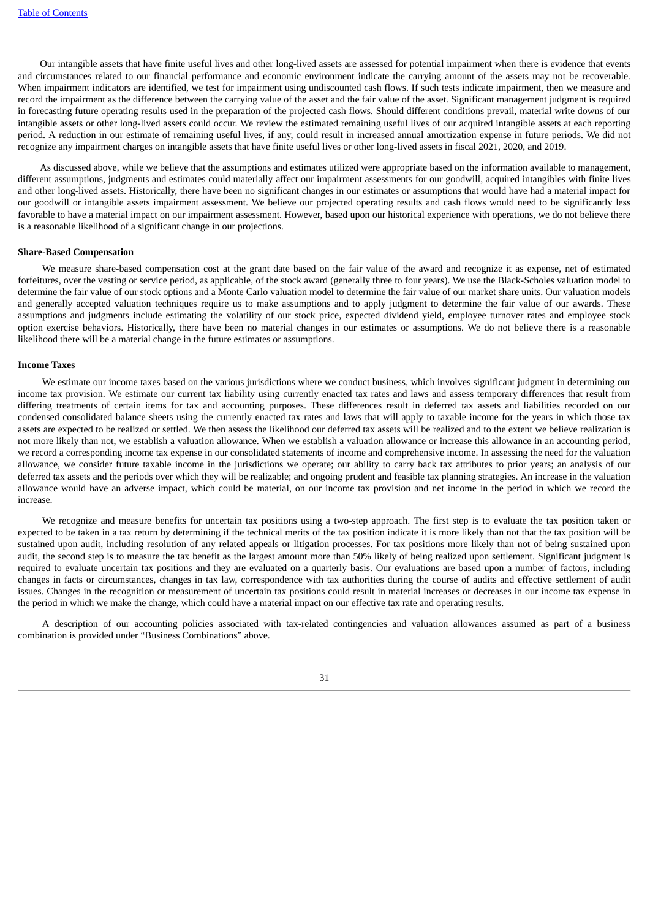Our intangible assets that have finite useful lives and other long-lived assets are assessed for potential impairment when there is evidence that events and circumstances related to our financial performance and economic environment indicate the carrying amount of the assets may not be recoverable. When impairment indicators are identified, we test for impairment using undiscounted cash flows. If such tests indicate impairment, then we measure and record the impairment as the difference between the carrying value of the asset and the fair value of the asset. Significant management judgment is required in forecasting future operating results used in the preparation of the projected cash flows. Should different conditions prevail, material write downs of our intangible assets or other long-lived assets could occur. We review the estimated remaining useful lives of our acquired intangible assets at each reporting period. A reduction in our estimate of remaining useful lives, if any, could result in increased annual amortization expense in future periods. We did not recognize any impairment charges on intangible assets that have finite useful lives or other long-lived assets in fiscal 2021, 2020, and 2019.

As discussed above, while we believe that the assumptions and estimates utilized were appropriate based on the information available to management, different assumptions, judgments and estimates could materially affect our impairment assessments for our goodwill, acquired intangibles with finite lives and other long-lived assets. Historically, there have been no significant changes in our estimates or assumptions that would have had a material impact for our goodwill or intangible assets impairment assessment. We believe our projected operating results and cash flows would need to be significantly less favorable to have a material impact on our impairment assessment. However, based upon our historical experience with operations, we do not believe there is a reasonable likelihood of a significant change in our projections.

#### **Share-Based Compensation**

We measure share-based compensation cost at the grant date based on the fair value of the award and recognize it as expense, net of estimated forfeitures, over the vesting or service period, as applicable, of the stock award (generally three to four years). We use the Black-Scholes valuation model to determine the fair value of our stock options and a Monte Carlo valuation model to determine the fair value of our market share units. Our valuation models and generally accepted valuation techniques require us to make assumptions and to apply judgment to determine the fair value of our awards. These assumptions and judgments include estimating the volatility of our stock price, expected dividend yield, employee turnover rates and employee stock option exercise behaviors. Historically, there have been no material changes in our estimates or assumptions. We do not believe there is a reasonable likelihood there will be a material change in the future estimates or assumptions.

#### **Income Taxes**

We estimate our income taxes based on the various jurisdictions where we conduct business, which involves significant judgment in determining our income tax provision. We estimate our current tax liability using currently enacted tax rates and laws and assess temporary differences that result from differing treatments of certain items for tax and accounting purposes. These differences result in deferred tax assets and liabilities recorded on our condensed consolidated balance sheets using the currently enacted tax rates and laws that will apply to taxable income for the years in which those tax assets are expected to be realized or settled. We then assess the likelihood our deferred tax assets will be realized and to the extent we believe realization is not more likely than not, we establish a valuation allowance. When we establish a valuation allowance or increase this allowance in an accounting period, we record a corresponding income tax expense in our consolidated statements of income and comprehensive income. In assessing the need for the valuation allowance, we consider future taxable income in the jurisdictions we operate; our ability to carry back tax attributes to prior years; an analysis of our deferred tax assets and the periods over which they will be realizable; and ongoing prudent and feasible tax planning strategies. An increase in the valuation allowance would have an adverse impact, which could be material, on our income tax provision and net income in the period in which we record the increase.

We recognize and measure benefits for uncertain tax positions using a two-step approach. The first step is to evaluate the tax position taken or expected to be taken in a tax return by determining if the technical merits of the tax position indicate it is more likely than not that the tax position will be sustained upon audit, including resolution of any related appeals or litigation processes. For tax positions more likely than not of being sustained upon audit, the second step is to measure the tax benefit as the largest amount more than 50% likely of being realized upon settlement. Significant judgment is required to evaluate uncertain tax positions and they are evaluated on a quarterly basis. Our evaluations are based upon a number of factors, including changes in facts or circumstances, changes in tax law, correspondence with tax authorities during the course of audits and effective settlement of audit issues. Changes in the recognition or measurement of uncertain tax positions could result in material increases or decreases in our income tax expense in the period in which we make the change, which could have a material impact on our effective tax rate and operating results.

A description of our accounting policies associated with tax-related contingencies and valuation allowances assumed as part of a business combination is provided under "Business Combinations" above.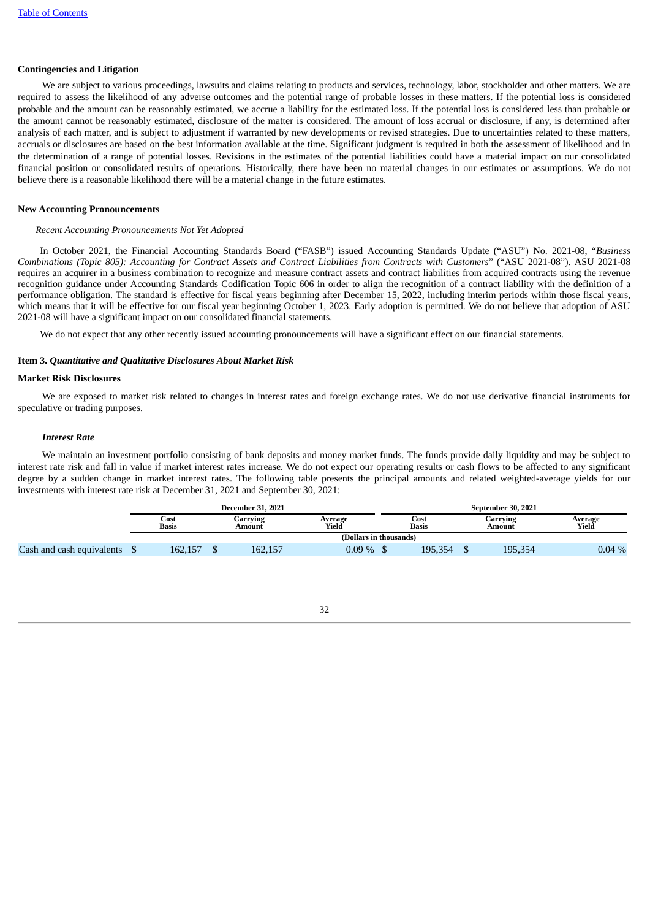## **Contingencies and Litigation**

We are subject to various proceedings, lawsuits and claims relating to products and services, technology, labor, stockholder and other matters. We are required to assess the likelihood of any adverse outcomes and the potential range of probable losses in these matters. If the potential loss is considered probable and the amount can be reasonably estimated, we accrue a liability for the estimated loss. If the potential loss is considered less than probable or the amount cannot be reasonably estimated, disclosure of the matter is considered. The amount of loss accrual or disclosure, if any, is determined after analysis of each matter, and is subject to adjustment if warranted by new developments or revised strategies. Due to uncertainties related to these matters, accruals or disclosures are based on the best information available at the time. Significant judgment is required in both the assessment of likelihood and in the determination of a range of potential losses. Revisions in the estimates of the potential liabilities could have a material impact on our consolidated financial position or consolidated results of operations. Historically, there have been no material changes in our estimates or assumptions. We do not believe there is a reasonable likelihood there will be a material change in the future estimates.

#### **New Accounting Pronouncements**

#### *Recent Accounting Pronouncements Not Yet Adopted*

In October 2021, the Financial Accounting Standards Board ("FASB") issued Accounting Standards Update ("ASU") No. 2021-08, "*Business* Combinations (Topic 805): Accounting for Contract Assets and Contract Liabilities from Contracts with Customers" ("ASU 2021-08"). ASU 2021-08 requires an acquirer in a business combination to recognize and measure contract assets and contract liabilities from acquired contracts using the revenue recognition guidance under Accounting Standards Codification Topic 606 in order to align the recognition of a contract liability with the definition of a performance obligation. The standard is effective for fiscal years beginning after December 15, 2022, including interim periods within those fiscal years, which means that it will be effective for our fiscal year beginning October 1, 2023. Early adoption is permitted. We do not believe that adoption of ASU 2021-08 will have a significant impact on our consolidated financial statements.

We do not expect that any other recently issued accounting pronouncements will have a significant effect on our financial statements.

#### <span id="page-34-0"></span>**Item 3.** *Quantitative and Qualitative Disclosures About Market Risk*

#### **Market Risk Disclosures**

We are exposed to market risk related to changes in interest rates and foreign exchange rates. We do not use derivative financial instruments for speculative or trading purposes.

#### *Interest Rate*

We maintain an investment portfolio consisting of bank deposits and money market funds. The funds provide daily liquidity and may be subject to interest rate risk and fall in value if market interest rates increase. We do not expect our operating results or cash flows to be affected to any significant degree by a sudden change in market interest rates. The following table presents the principal amounts and related weighted-average yields for our investments with interest rate risk at December 31, 2021 and September 30, 2021:

|                           |                      | <b>December 31, 2021</b>               |         |                        | <b>September 30, 2021</b> |                      |  |                    |                  |  |
|---------------------------|----------------------|----------------------------------------|---------|------------------------|---------------------------|----------------------|--|--------------------|------------------|--|
|                           | Cost<br><b>Basis</b> | Carrving<br>Average<br>Yield<br>Amount |         |                        |                           | Cost<br><b>Basis</b> |  | Carrving<br>Amount | Average<br>Yield |  |
|                           |                      |                                        |         | (Dollars in thousands) |                           |                      |  |                    |                  |  |
| Cash and cash equivalents | 162,157              |                                        | 162,157 | $0.09\%$               |                           | 195,354              |  | 195,354            | $0.04\%$         |  |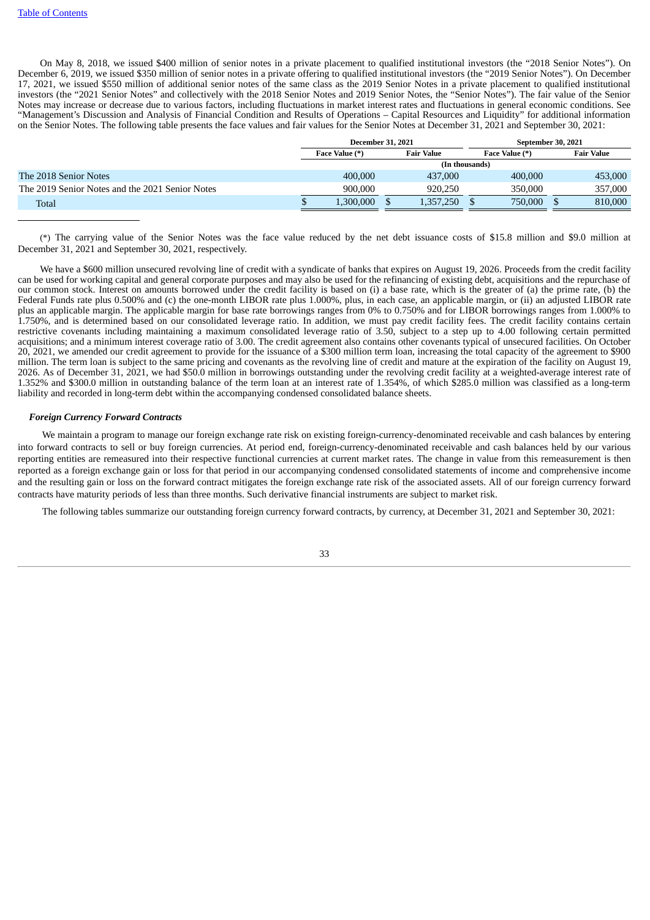On May 8, 2018, we issued \$400 million of senior notes in a private placement to qualified institutional investors (the "2018 Senior Notes"). On December 6, 2019, we issued \$350 million of senior notes in a private offering to qualified institutional investors (the "2019 Senior Notes"). On December 17, 2021, we issued \$550 million of additional senior notes of the same class as the 2019 Senior Notes in a private placement to qualified institutional investors (the "2021 Senior Notes" and collectively with the 2018 Senior Notes and 2019 Senior Notes, the "Senior Notes"). The fair value of the Senior Notes may increase or decrease due to various factors, including fluctuations in market interest rates and fluctuations in general economic conditions. See "Management's Discussion and Analysis of Financial Condition and Results of Operations – Capital Resources and Liquidity" for additional information on the Senior Notes. The following table presents the face values and fair values for the Senior Notes at December 31, 2021 and September 30, 2021:

|                                                 | <b>December 31, 2021</b>            |           |                | September 30, 2021 |                |         |                   |         |
|-------------------------------------------------|-------------------------------------|-----------|----------------|--------------------|----------------|---------|-------------------|---------|
|                                                 | <b>Fair Value</b><br>Face Value (*) |           |                |                    | Face Value (*) |         | <b>Fair Value</b> |         |
|                                                 |                                     |           | (In thousands) |                    |                |         |                   |         |
| The 2018 Senior Notes                           |                                     | 400,000   |                | 437,000            |                | 400,000 |                   | 453,000 |
| The 2019 Senior Notes and the 2021 Senior Notes |                                     | 900,000   |                | 920.250            |                | 350,000 |                   | 357,000 |
| Total                                           |                                     | 1.300.000 |                | 1,357,250          |                | 750,000 |                   | 810,000 |

(\*) The carrying value of the Senior Notes was the face value reduced by the net debt issuance costs of \$15.8 million and \$9.0 million at December 31, 2021 and September 30, 2021, respectively.

We have a \$600 million unsecured revolving line of credit with a syndicate of banks that expires on August 19, 2026. Proceeds from the credit facility can be used for working capital and general corporate purposes and may also be used for the refinancing of existing debt, acquisitions and the repurchase of our common stock. Interest on amounts borrowed under the credit facility is based on (i) a base rate, which is the greater of (a) the prime rate, (b) the Federal Funds rate plus 0.500% and (c) the one-month LIBOR rate plus 1.000%, plus, in each case, an applicable margin, or (ii) an adjusted LIBOR rate plus an applicable margin. The applicable margin for base rate borrowings ranges from 0% to 0.750% and for LIBOR borrowings ranges from 1.000% to 1.750%, and is determined based on our consolidated leverage ratio. In addition, we must pay credit facility fees. The credit facility contains certain restrictive covenants including maintaining a maximum consolidated leverage ratio of 3.50, subject to a step up to 4.00 following certain permitted acquisitions; and a minimum interest coverage ratio of 3.00. The credit agreement also contains other covenants typical of unsecured facilities. On October 20, 2021, we amended our credit agreement to provide for the issuance of a \$300 million term loan, increasing the total capacity of the agreement to \$900 million. The term loan is subject to the same pricing and covenants as the revolving line of credit and mature at the expiration of the facility on August 19, 2026. As of December 31, 2021, we had \$50.0 million in borrowings outstanding under the revolving credit facility at a weighted-average interest rate of 1.352% and \$300.0 million in outstanding balance of the term loan at an interest rate of 1.354%, of which \$285.0 million was classified as a long-term liability and recorded in long-term debt within the accompanying condensed consolidated balance sheets.

#### *Foreign Currency Forward Contracts*

We maintain a program to manage our foreign exchange rate risk on existing foreign-currency-denominated receivable and cash balances by entering into forward contracts to sell or buy foreign currencies. At period end, foreign-currency-denominated receivable and cash balances held by our various reporting entities are remeasured into their respective functional currencies at current market rates. The change in value from this remeasurement is then reported as a foreign exchange gain or loss for that period in our accompanying condensed consolidated statements of income and comprehensive income and the resulting gain or loss on the forward contract mitigates the foreign exchange rate risk of the associated assets. All of our foreign currency forward contracts have maturity periods of less than three months. Such derivative financial instruments are subject to market risk.

The following tables summarize our outstanding foreign currency forward contracts, by currency, at December 31, 2021 and September 30, 2021: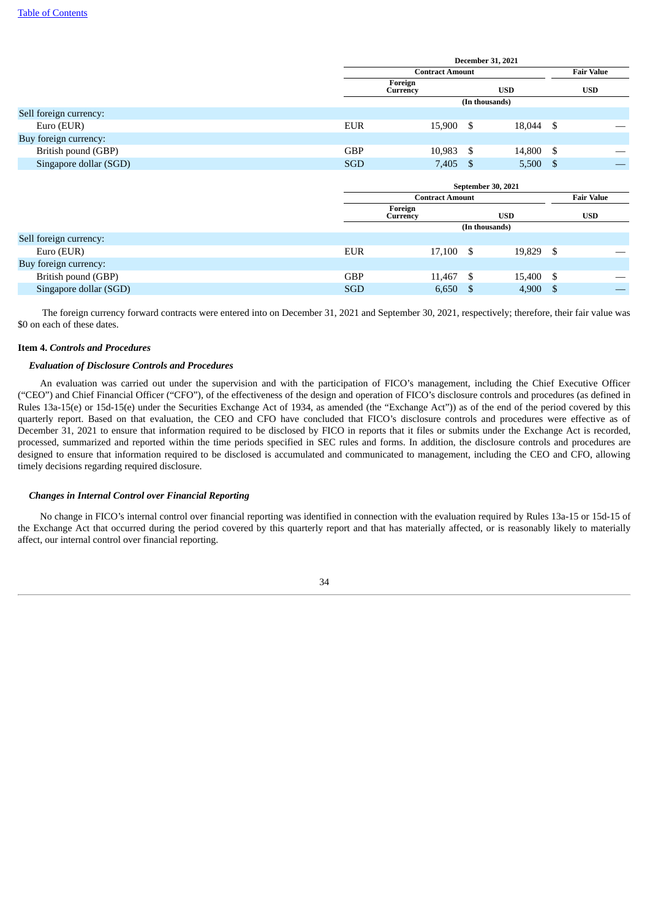|                        |                            | <b>December 31, 2021</b>                    |                         |                   |  |  |
|------------------------|----------------------------|---------------------------------------------|-------------------------|-------------------|--|--|
|                        |                            | <b>Contract Amount</b>                      |                         | <b>Fair Value</b> |  |  |
|                        | Foreign<br><b>Currency</b> |                                             | <b>USD</b>              | <b>USD</b>        |  |  |
|                        |                            | (In thousands)                              |                         |                   |  |  |
| Sell foreign currency: |                            |                                             |                         |                   |  |  |
| Euro (EUR)             | <b>EUR</b>                 | \$<br>15,900                                | - \$<br>18,044          |                   |  |  |
| Buy foreign currency:  |                            |                                             |                         |                   |  |  |
| British pound (GBP)    | GBP                        | 10,983<br>-\$                               | 14,800<br>- \$          |                   |  |  |
| Singapore dollar (SGD) | <b>SGD</b>                 | 7,405<br>-\$                                | 5,500<br>-\$            |                   |  |  |
|                        |                            |                                             |                         |                   |  |  |
|                        |                            | September 30, 2021                          |                         |                   |  |  |
|                        |                            | <b>Contract Amount</b><br><b>Fair Value</b> |                         |                   |  |  |
|                        |                            | Foreign<br><b>USD</b><br><b>Currency</b>    |                         |                   |  |  |
|                        |                            | (In thousands)                              |                         |                   |  |  |
| Sell foreign currency: |                            |                                             |                         |                   |  |  |
| Euro (EUR)             | <b>EUR</b>                 | - \$<br>17,100                              | - \$<br>19,829          |                   |  |  |
| Buy foreign currency:  |                            |                                             |                         |                   |  |  |
| British pound (GBP)    | GBP                        | \$<br>11,467                                | <sup>\$</sup><br>15,400 |                   |  |  |

The foreign currency forward contracts were entered into on December 31, 2021 and September 30, 2021, respectively; therefore, their fair value was \$0 on each of these dates.

Singapore dollar (SGD) SGD 6,650 \$ 4,900 \$

#### <span id="page-36-0"></span>**Item 4.** *Controls and Procedures*

#### *Evaluation of Disclosure Controls and Procedures*

An evaluation was carried out under the supervision and with the participation of FICO's management, including the Chief Executive Officer ("CEO") and Chief Financial Officer ("CFO"), of the effectiveness of the design and operation of FICO's disclosure controls and procedures (as defined in Rules 13a-15(e) or 15d-15(e) under the Securities Exchange Act of 1934, as amended (the "Exchange Act")) as of the end of the period covered by this quarterly report. Based on that evaluation, the CEO and CFO have concluded that FICO's disclosure controls and procedures were effective as of December 31, 2021 to ensure that information required to be disclosed by FICO in reports that it files or submits under the Exchange Act is recorded, processed, summarized and reported within the time periods specified in SEC rules and forms. In addition, the disclosure controls and procedures are designed to ensure that information required to be disclosed is accumulated and communicated to management, including the CEO and CFO, allowing timely decisions regarding required disclosure.

#### *Changes in Internal Control over Financial Reporting*

<span id="page-36-1"></span>No change in FICO's internal control over financial reporting was identified in connection with the evaluation required by Rules 13a-15 or 15d-15 of the Exchange Act that occurred during the period covered by this quarterly report and that has materially affected, or is reasonably likely to materially affect, our internal control over financial reporting.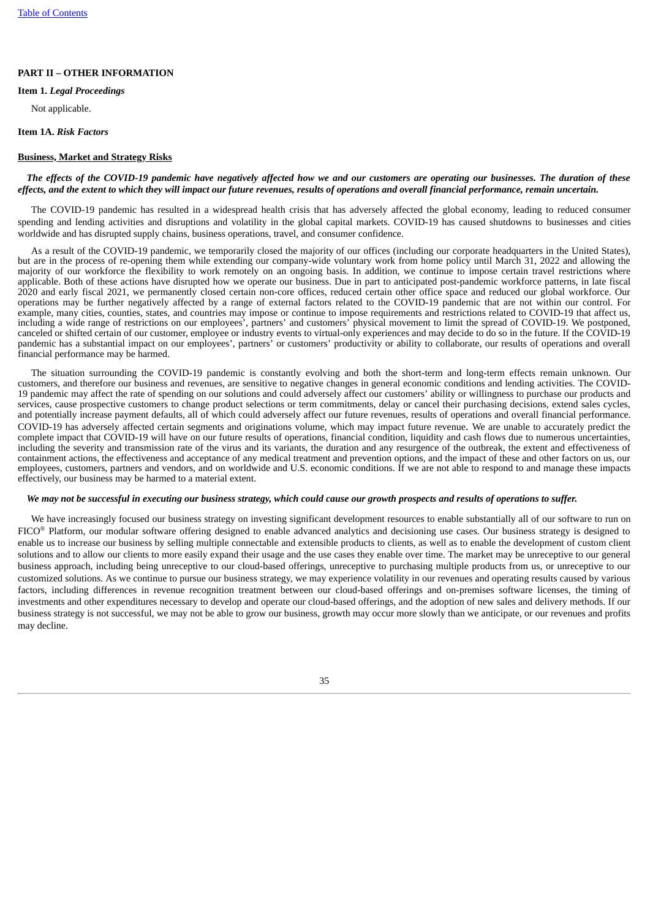## **PART II – OTHER INFORMATION**

<span id="page-37-0"></span>**Item 1.** *Legal Proceedings*

Not applicable.

<span id="page-37-1"></span>**Item 1A.** *Risk Factors*

## **Business, Market and Strategy Risks**

#### The effects of the COVID-19 pandemic have negatively affected how we and our customers are operating our businesses. The duration of these effects, and the extent to which they will impact our future revenues, results of operations and overall financial performance, remain uncertain.

The COVID-19 pandemic has resulted in a widespread health crisis that has adversely affected the global economy, leading to reduced consumer spending and lending activities and disruptions and volatility in the global capital markets. COVID-19 has caused shutdowns to businesses and cities worldwide and has disrupted supply chains, business operations, travel, and consumer confidence.

As a result of the COVID-19 pandemic, we temporarily closed the majority of our offices (including our corporate headquarters in the United States), but are in the process of re-opening them while extending our company-wide voluntary work from home policy until March 31, 2022 and allowing the majority of our workforce the flexibility to work remotely on an ongoing basis. In addition, we continue to impose certain travel restrictions where applicable. Both of these actions have disrupted how we operate our business. Due in part to anticipated post-pandemic workforce patterns, in late fiscal 2020 and early fiscal 2021, we permanently closed certain non-core offices, reduced certain other office space and reduced our global workforce. Our operations may be further negatively affected by a range of external factors related to the COVID-19 pandemic that are not within our control. For example, many cities, counties, states, and countries may impose or continue to impose requirements and restrictions related to COVID-19 that affect us, including a wide range of restrictions on our employees', partners' and customers' physical movement to limit the spread of COVID-19. We postponed, canceled or shifted certain of our customer, employee or industry events to virtual-only experiences and may decide to do so in the future. If the COVID-19 pandemic has a substantial impact on our employees', partners' or customers' productivity or ability to collaborate, our results of operations and overall financial performance may be harmed.

The situation surrounding the COVID-19 pandemic is constantly evolving and both the short-term and long-term effects remain unknown. Our customers, and therefore our business and revenues, are sensitive to negative changes in general economic conditions and lending activities. The COVID-19 pandemic may affect the rate of spending on our solutions and could adversely affect our customers' ability or willingness to purchase our products and services, cause prospective customers to change product selections or term commitments, delay or cancel their purchasing decisions, extend sales cycles, and potentially increase payment defaults, all of which could adversely affect our future revenues, results of operations and overall financial performance. COVID-19 has adversely affected certain segments and originations volume, which may impact future revenue. We are unable to accurately predict the complete impact that COVID-19 will have on our future results of operations, financial condition, liquidity and cash flows due to numerous uncertainties, including the severity and transmission rate of the virus and its variants, the duration and any resurgence of the outbreak, the extent and effectiveness of containment actions, the effectiveness and acceptance of any medical treatment and prevention options, and the impact of these and other factors on us, our employees, customers, partners and vendors, and on worldwide and U.S. economic conditions. If we are not able to respond to and manage these impacts effectively, our business may be harmed to a material extent.

## We may not be successful in executing our business strategy, which could cause our growth prospects and results of operations to suffer.

We have increasingly focused our business strategy on investing significant development resources to enable substantially all of our software to run on FICO® Platform, our modular software offering designed to enable advanced analytics and decisioning use cases. Our business strategy is designed to enable us to increase our business by selling multiple connectable and extensible products to clients, as well as to enable the development of custom client solutions and to allow our clients to more easily expand their usage and the use cases they enable over time. The market may be unreceptive to our general business approach, including being unreceptive to our cloud-based offerings, unreceptive to purchasing multiple products from us, or unreceptive to our customized solutions. As we continue to pursue our business strategy, we may experience volatility in our revenues and operating results caused by various factors, including differences in revenue recognition treatment between our cloud-based offerings and on-premises software licenses, the timing of investments and other expenditures necessary to develop and operate our cloud-based offerings, and the adoption of new sales and delivery methods. If our business strategy is not successful, we may not be able to grow our business, growth may occur more slowly than we anticipate, or our revenues and profits may decline.

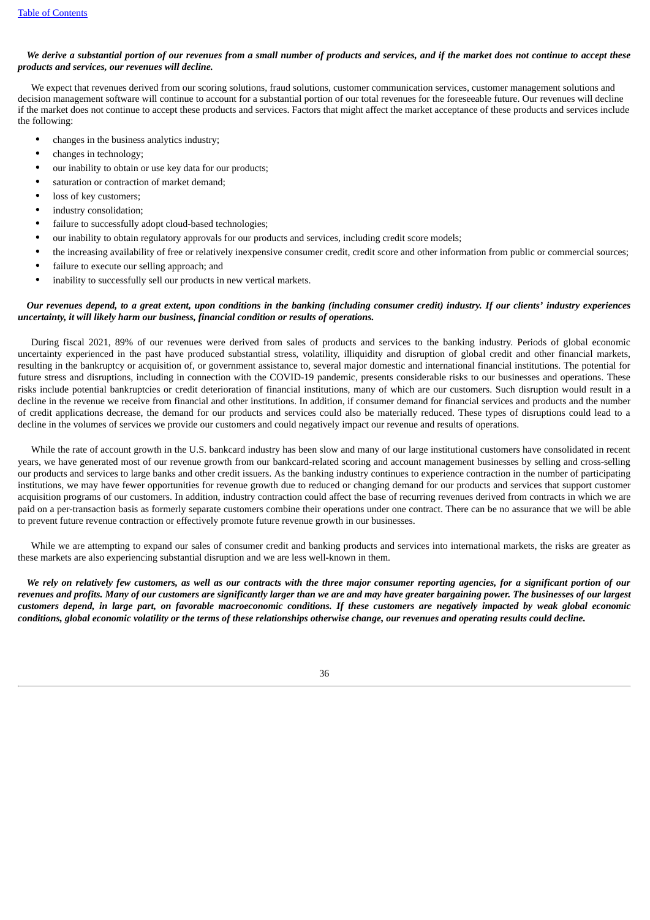#### We derive a substantial portion of our revenues from a small number of products and services, and if the market does not continue to accept these *products and services, our revenues will decline.*

We expect that revenues derived from our scoring solutions, fraud solutions, customer communication services, customer management solutions and decision management software will continue to account for a substantial portion of our total revenues for the foreseeable future. Our revenues will decline if the market does not continue to accept these products and services. Factors that might affect the market acceptance of these products and services include the following:

- changes in the business analytics industry;
- changes in technology;
- our inability to obtain or use key data for our products;
- saturation or contraction of market demand:
- loss of key customers;
- industry consolidation;
- failure to successfully adopt cloud-based technologies;
- our inability to obtain regulatory approvals for our products and services, including credit score models;
- the increasing availability of free or relatively inexpensive consumer credit, credit score and other information from public or commercial sources;
- failure to execute our selling approach; and
- inability to successfully sell our products in new vertical markets.

#### Our revenues depend, to a great extent, upon conditions in the banking (including consumer credit) industry. If our clients' industry experiences *uncertainty, it will likely harm our business, financial condition or results of operations.*

During fiscal 2021, 89% of our revenues were derived from sales of products and services to the banking industry. Periods of global economic uncertainty experienced in the past have produced substantial stress, volatility, illiquidity and disruption of global credit and other financial markets, resulting in the bankruptcy or acquisition of, or government assistance to, several major domestic and international financial institutions. The potential for future stress and disruptions, including in connection with the COVID-19 pandemic, presents considerable risks to our businesses and operations. These risks include potential bankruptcies or credit deterioration of financial institutions, many of which are our customers. Such disruption would result in a decline in the revenue we receive from financial and other institutions. In addition, if consumer demand for financial services and products and the number of credit applications decrease, the demand for our products and services could also be materially reduced. These types of disruptions could lead to a decline in the volumes of services we provide our customers and could negatively impact our revenue and results of operations.

While the rate of account growth in the U.S. bankcard industry has been slow and many of our large institutional customers have consolidated in recent years, we have generated most of our revenue growth from our bankcard-related scoring and account management businesses by selling and cross-selling our products and services to large banks and other credit issuers. As the banking industry continues to experience contraction in the number of participating institutions, we may have fewer opportunities for revenue growth due to reduced or changing demand for our products and services that support customer acquisition programs of our customers. In addition, industry contraction could affect the base of recurring revenues derived from contracts in which we are paid on a per-transaction basis as formerly separate customers combine their operations under one contract. There can be no assurance that we will be able to prevent future revenue contraction or effectively promote future revenue growth in our businesses.

While we are attempting to expand our sales of consumer credit and banking products and services into international markets, the risks are greater as these markets are also experiencing substantial disruption and we are less well-known in them.

We rely on relatively few customers, as well as our contracts with the three major consumer reporting agencies, for a significant portion of our revenues and profits. Many of our customers are significantly larger than we are and may have greater bargaining power. The businesses of our largest customers depend, in large part, on favorable macroeconomic conditions. If these customers are negatively impacted by weak global economic conditions, global economic volatility or the terms of these relationships otherwise change, our revenues and operating results could decline.

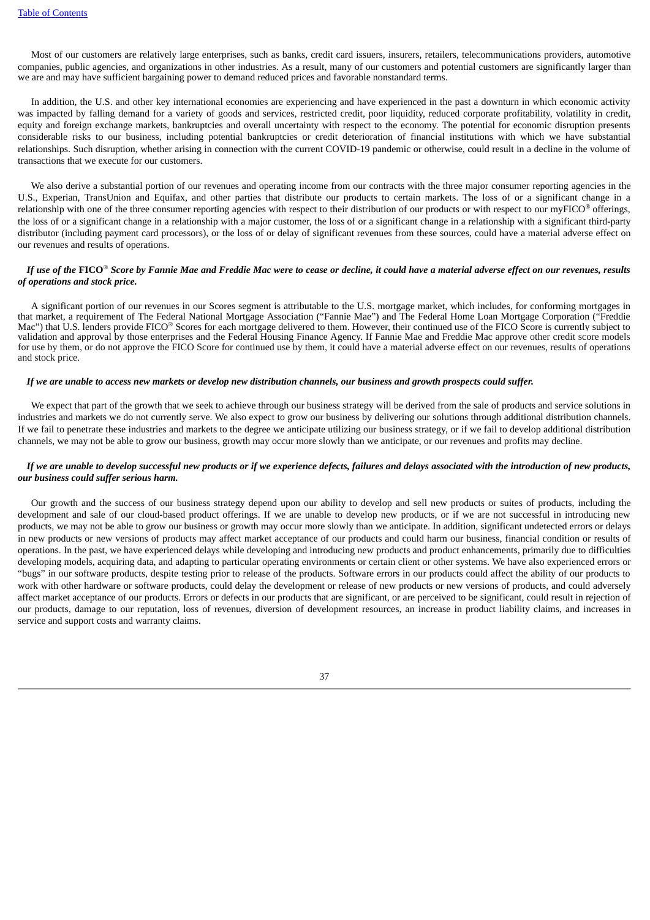Most of our customers are relatively large enterprises, such as banks, credit card issuers, insurers, retailers, telecommunications providers, automotive companies, public agencies, and organizations in other industries. As a result, many of our customers and potential customers are significantly larger than we are and may have sufficient bargaining power to demand reduced prices and favorable nonstandard terms.

In addition, the U.S. and other key international economies are experiencing and have experienced in the past a downturn in which economic activity was impacted by falling demand for a variety of goods and services, restricted credit, poor liquidity, reduced corporate profitability, volatility in credit, equity and foreign exchange markets, bankruptcies and overall uncertainty with respect to the economy. The potential for economic disruption presents considerable risks to our business, including potential bankruptcies or credit deterioration of financial institutions with which we have substantial relationships. Such disruption, whether arising in connection with the current COVID-19 pandemic or otherwise, could result in a decline in the volume of transactions that we execute for our customers.

We also derive a substantial portion of our revenues and operating income from our contracts with the three major consumer reporting agencies in the U.S., Experian, TransUnion and Equifax, and other parties that distribute our products to certain markets. The loss of or a significant change in a relationship with one of the three consumer reporting agencies with respect to their distribution of our products or with respect to our myFICO® offerings, the loss of or a significant change in a relationship with a major customer, the loss of or a significant change in a relationship with a significant third-party distributor (including payment card processors), or the loss of or delay of significant revenues from these sources, could have a material adverse effect on our revenues and results of operations.

#### If use of the FICO® Score by Fannie Mae and Freddie Mac were to cease or decline, it could have a material adverse effect on our revenues, results *of operations and stock price.*

A significant portion of our revenues in our Scores segment is attributable to the U.S. mortgage market, which includes, for conforming mortgages in that market, a requirement of The Federal National Mortgage Association ("Fannie Mae") and The Federal Home Loan Mortgage Corporation ("Freddie Mac") that U.S. lenders provide FICO® Scores for each mortgage delivered to them. However, their continued use of the FICO Score is currently subject to validation and approval by those enterprises and the Federal Housing Finance Agency. If Fannie Mae and Freddie Mac approve other credit score models for use by them, or do not approve the FICO Score for continued use by them, it could have a material adverse effect on our revenues, results of operations and stock price.

#### If we are unable to access new markets or develop new distribution channels, our business and arowth prospects could suffer.

We expect that part of the growth that we seek to achieve through our business strategy will be derived from the sale of products and service solutions in industries and markets we do not currently serve. We also expect to grow our business by delivering our solutions through additional distribution channels. If we fail to penetrate these industries and markets to the degree we anticipate utilizing our business strategy, or if we fail to develop additional distribution channels, we may not be able to grow our business, growth may occur more slowly than we anticipate, or our revenues and profits may decline.

#### If we are unable to develop successful new products or if we experience defects, failures and delays associated with the introduction of new products, *our business could suffer serious harm.*

Our growth and the success of our business strategy depend upon our ability to develop and sell new products or suites of products, including the development and sale of our cloud-based product offerings. If we are unable to develop new products, or if we are not successful in introducing new products, we may not be able to grow our business or growth may occur more slowly than we anticipate. In addition, significant undetected errors or delays in new products or new versions of products may affect market acceptance of our products and could harm our business, financial condition or results of operations. In the past, we have experienced delays while developing and introducing new products and product enhancements, primarily due to difficulties developing models, acquiring data, and adapting to particular operating environments or certain client or other systems. We have also experienced errors or "bugs" in our software products, despite testing prior to release of the products. Software errors in our products could affect the ability of our products to work with other hardware or software products, could delay the development or release of new products or new versions of products, and could adversely affect market acceptance of our products. Errors or defects in our products that are significant, or are perceived to be significant, could result in rejection of our products, damage to our reputation, loss of revenues, diversion of development resources, an increase in product liability claims, and increases in service and support costs and warranty claims.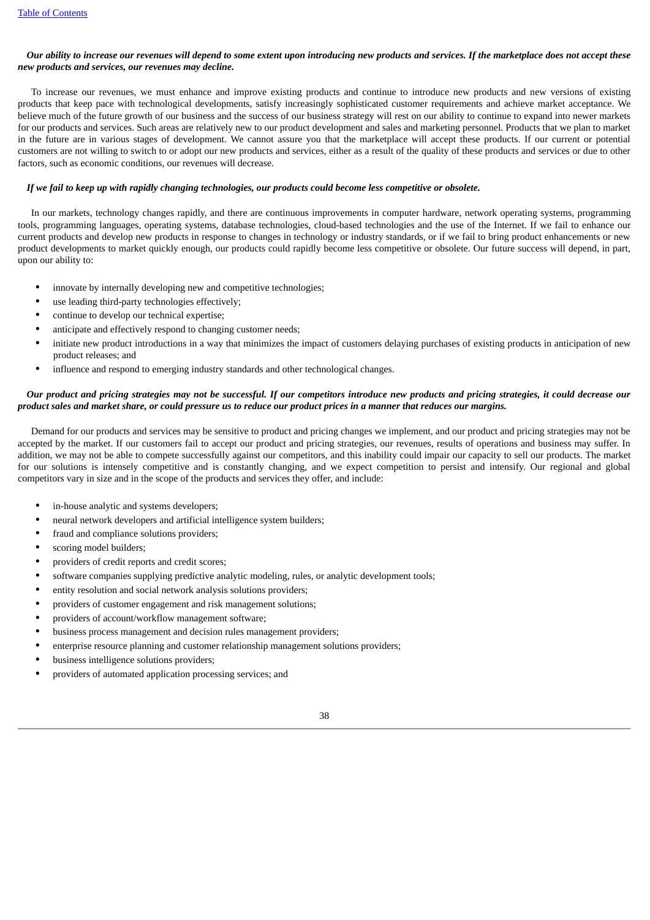### Our ability to increase our revenues will depend to some extent upon introducing new products and services. If the marketplace does not accept these *new products and services, our revenues may decline.*

To increase our revenues, we must enhance and improve existing products and continue to introduce new products and new versions of existing products that keep pace with technological developments, satisfy increasingly sophisticated customer requirements and achieve market acceptance. We believe much of the future growth of our business and the success of our business strategy will rest on our ability to continue to expand into newer markets for our products and services. Such areas are relatively new to our product development and sales and marketing personnel. Products that we plan to market in the future are in various stages of development. We cannot assure you that the marketplace will accept these products. If our current or potential customers are not willing to switch to or adopt our new products and services, either as a result of the quality of these products and services or due to other factors, such as economic conditions, our revenues will decrease.

#### If we fail to keep up with rapidly changing technologies, our products could become less competitive or obsolete.

In our markets, technology changes rapidly, and there are continuous improvements in computer hardware, network operating systems, programming tools, programming languages, operating systems, database technologies, cloud-based technologies and the use of the Internet. If we fail to enhance our current products and develop new products in response to changes in technology or industry standards, or if we fail to bring product enhancements or new product developments to market quickly enough, our products could rapidly become less competitive or obsolete. Our future success will depend, in part, upon our ability to:

- innovate by internally developing new and competitive technologies;
- use leading third-party technologies effectively;
- continue to develop our technical expertise;
- anticipate and effectively respond to changing customer needs;
- initiate new product introductions in a way that minimizes the impact of customers delaying purchases of existing products in anticipation of new product releases; and
- influence and respond to emerging industry standards and other technological changes.

#### Our product and pricing strategies may not be successful. If our competitors introduce new products and pricing strategies, it could decrease our product sales and market share, or could pressure us to reduce our product prices in a manner that reduces our margins.

Demand for our products and services may be sensitive to product and pricing changes we implement, and our product and pricing strategies may not be accepted by the market. If our customers fail to accept our product and pricing strategies, our revenues, results of operations and business may suffer. In addition, we may not be able to compete successfully against our competitors, and this inability could impair our capacity to sell our products. The market for our solutions is intensely competitive and is constantly changing, and we expect competition to persist and intensify. Our regional and global competitors vary in size and in the scope of the products and services they offer, and include:

- in-house analytic and systems developers;
- neural network developers and artificial intelligence system builders;
- fraud and compliance solutions providers;
- scoring model builders;
- providers of credit reports and credit scores;
- software companies supplying predictive analytic modeling, rules, or analytic development tools;
- entity resolution and social network analysis solutions providers;
- providers of customer engagement and risk management solutions;
- providers of account/workflow management software;
- business process management and decision rules management providers;
- enterprise resource planning and customer relationship management solutions providers;
- business intelligence solutions providers;
- providers of automated application processing services; and

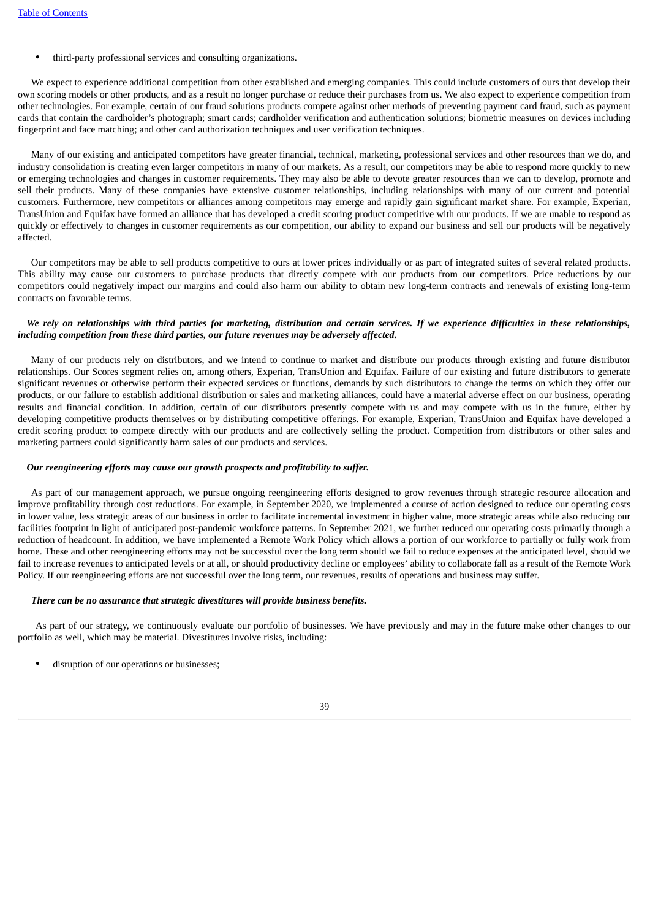• third-party professional services and consulting organizations.

We expect to experience additional competition from other established and emerging companies. This could include customers of ours that develop their own scoring models or other products, and as a result no longer purchase or reduce their purchases from us. We also expect to experience competition from other technologies. For example, certain of our fraud solutions products compete against other methods of preventing payment card fraud, such as payment cards that contain the cardholder's photograph; smart cards; cardholder verification and authentication solutions; biometric measures on devices including fingerprint and face matching; and other card authorization techniques and user verification techniques.

Many of our existing and anticipated competitors have greater financial, technical, marketing, professional services and other resources than we do, and industry consolidation is creating even larger competitors in many of our markets. As a result, our competitors may be able to respond more quickly to new or emerging technologies and changes in customer requirements. They may also be able to devote greater resources than we can to develop, promote and sell their products. Many of these companies have extensive customer relationships, including relationships with many of our current and potential customers. Furthermore, new competitors or alliances among competitors may emerge and rapidly gain significant market share. For example, Experian, TransUnion and Equifax have formed an alliance that has developed a credit scoring product competitive with our products. If we are unable to respond as quickly or effectively to changes in customer requirements as our competition, our ability to expand our business and sell our products will be negatively affected.

Our competitors may be able to sell products competitive to ours at lower prices individually or as part of integrated suites of several related products. This ability may cause our customers to purchase products that directly compete with our products from our competitors. Price reductions by our competitors could negatively impact our margins and could also harm our ability to obtain new long-term contracts and renewals of existing long-term contracts on favorable terms.

#### We rely on relationships with third parties for marketing, distribution and certain services. If we experience difficulties in these relationships, *including competition from these third parties, our future revenues may be adversely affected.*

Many of our products rely on distributors, and we intend to continue to market and distribute our products through existing and future distributor relationships. Our Scores segment relies on, among others, Experian, TransUnion and Equifax. Failure of our existing and future distributors to generate significant revenues or otherwise perform their expected services or functions, demands by such distributors to change the terms on which they offer our products, or our failure to establish additional distribution or sales and marketing alliances, could have a material adverse effect on our business, operating results and financial condition. In addition, certain of our distributors presently compete with us and may compete with us in the future, either by developing competitive products themselves or by distributing competitive offerings. For example, Experian, TransUnion and Equifax have developed a credit scoring product to compete directly with our products and are collectively selling the product. Competition from distributors or other sales and marketing partners could significantly harm sales of our products and services.

#### *Our reengineering efforts may cause our growth prospects and profitability to suffer.*

As part of our management approach, we pursue ongoing reengineering efforts designed to grow revenues through strategic resource allocation and improve profitability through cost reductions. For example, in September 2020, we implemented a course of action designed to reduce our operating costs in lower value, less strategic areas of our business in order to facilitate incremental investment in higher value, more strategic areas while also reducing our facilities footprint in light of anticipated post-pandemic workforce patterns. In September 2021, we further reduced our operating costs primarily through a reduction of headcount. In addition, we have implemented a Remote Work Policy which allows a portion of our workforce to partially or fully work from home. These and other reengineering efforts may not be successful over the long term should we fail to reduce expenses at the anticipated level, should we fail to increase revenues to anticipated levels or at all, or should productivity decline or employees' ability to collaborate fall as a result of the Remote Work Policy. If our reengineering efforts are not successful over the long term, our revenues, results of operations and business may suffer.

#### *There can be no assurance that strategic divestitures will provide business benefits.*

As part of our strategy, we continuously evaluate our portfolio of businesses. We have previously and may in the future make other changes to our portfolio as well, which may be material. Divestitures involve risks, including:

disruption of our operations or businesses;

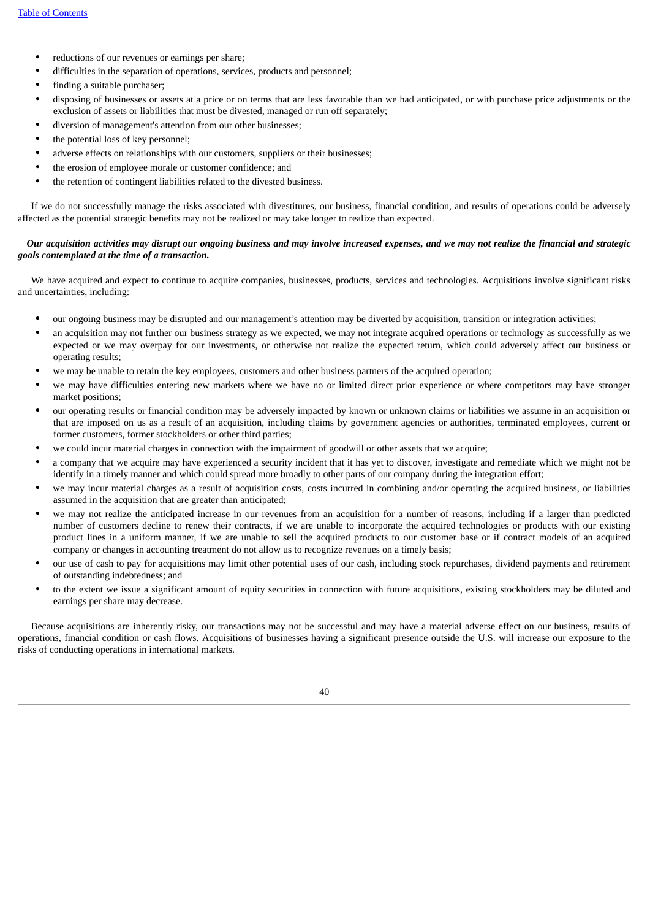- reductions of our revenues or earnings per share;
- difficulties in the separation of operations, services, products and personnel;
- finding a suitable purchaser;
- disposing of businesses or assets at a price or on terms that are less favorable than we had anticipated, or with purchase price adjustments or the exclusion of assets or liabilities that must be divested, managed or run off separately;
- diversion of management's attention from our other businesses;
- the potential loss of key personnel;
- adverse effects on relationships with our customers, suppliers or their businesses;
- the erosion of employee morale or customer confidence; and
- the retention of contingent liabilities related to the divested business.

If we do not successfully manage the risks associated with divestitures, our business, financial condition, and results of operations could be adversely affected as the potential strategic benefits may not be realized or may take longer to realize than expected.

#### Our acquisition activities may disrupt our ongoing business and may involve increased expenses, and we may not realize the financial and strategic *goals contemplated at the time of a transaction.*

We have acquired and expect to continue to acquire companies, businesses, products, services and technologies. Acquisitions involve significant risks and uncertainties, including:

- our ongoing business may be disrupted and our management's attention may be diverted by acquisition, transition or integration activities;
- an acquisition may not further our business strategy as we expected, we may not integrate acquired operations or technology as successfully as we expected or we may overpay for our investments, or otherwise not realize the expected return, which could adversely affect our business or operating results;
- we may be unable to retain the key employees, customers and other business partners of the acquired operation;
- we may have difficulties entering new markets where we have no or limited direct prior experience or where competitors may have stronger market positions;
- our operating results or financial condition may be adversely impacted by known or unknown claims or liabilities we assume in an acquisition or that are imposed on us as a result of an acquisition, including claims by government agencies or authorities, terminated employees, current or former customers, former stockholders or other third parties;
- we could incur material charges in connection with the impairment of goodwill or other assets that we acquire;
- a company that we acquire may have experienced a security incident that it has yet to discover, investigate and remediate which we might not be identify in a timely manner and which could spread more broadly to other parts of our company during the integration effort;
- we may incur material charges as a result of acquisition costs, costs incurred in combining and/or operating the acquired business, or liabilities assumed in the acquisition that are greater than anticipated;
- we may not realize the anticipated increase in our revenues from an acquisition for a number of reasons, including if a larger than predicted number of customers decline to renew their contracts, if we are unable to incorporate the acquired technologies or products with our existing product lines in a uniform manner, if we are unable to sell the acquired products to our customer base or if contract models of an acquired company or changes in accounting treatment do not allow us to recognize revenues on a timely basis;
- our use of cash to pay for acquisitions may limit other potential uses of our cash, including stock repurchases, dividend payments and retirement of outstanding indebtedness; and
- to the extent we issue a significant amount of equity securities in connection with future acquisitions, existing stockholders may be diluted and earnings per share may decrease.

Because acquisitions are inherently risky, our transactions may not be successful and may have a material adverse effect on our business, results of operations, financial condition or cash flows. Acquisitions of businesses having a significant presence outside the U.S. will increase our exposure to the risks of conducting operations in international markets.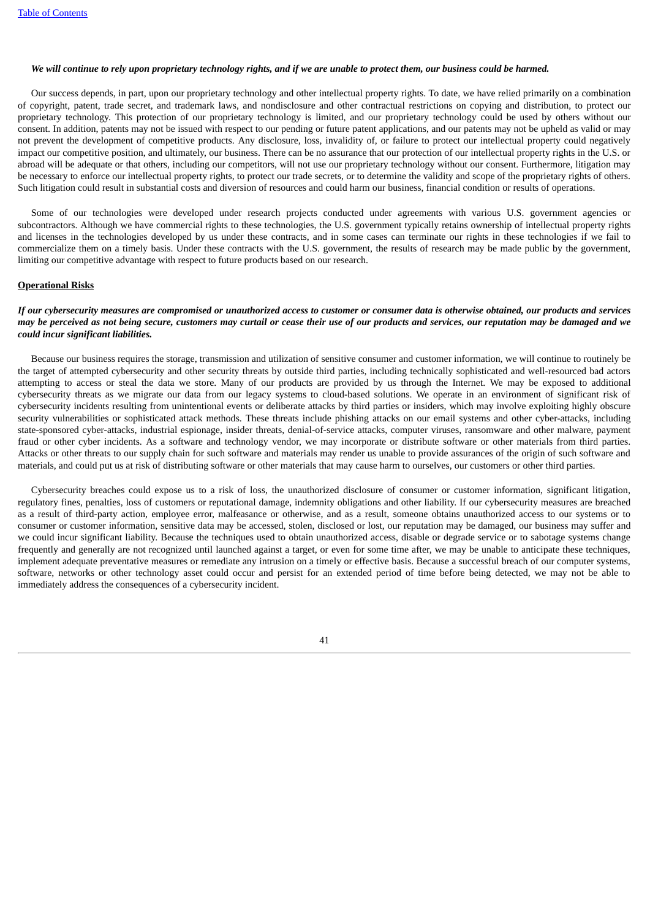#### We will continue to rely upon proprietary technology rights, and if we are unable to protect them, our business could be harmed.

Our success depends, in part, upon our proprietary technology and other intellectual property rights. To date, we have relied primarily on a combination of copyright, patent, trade secret, and trademark laws, and nondisclosure and other contractual restrictions on copying and distribution, to protect our proprietary technology. This protection of our proprietary technology is limited, and our proprietary technology could be used by others without our consent. In addition, patents may not be issued with respect to our pending or future patent applications, and our patents may not be upheld as valid or may not prevent the development of competitive products. Any disclosure, loss, invalidity of, or failure to protect our intellectual property could negatively impact our competitive position, and ultimately, our business. There can be no assurance that our protection of our intellectual property rights in the U.S. or abroad will be adequate or that others, including our competitors, will not use our proprietary technology without our consent. Furthermore, litigation may be necessary to enforce our intellectual property rights, to protect our trade secrets, or to determine the validity and scope of the proprietary rights of others. Such litigation could result in substantial costs and diversion of resources and could harm our business, financial condition or results of operations.

Some of our technologies were developed under research projects conducted under agreements with various U.S. government agencies or subcontractors. Although we have commercial rights to these technologies, the U.S. government typically retains ownership of intellectual property rights and licenses in the technologies developed by us under these contracts, and in some cases can terminate our rights in these technologies if we fail to commercialize them on a timely basis. Under these contracts with the U.S. government, the results of research may be made public by the government, limiting our competitive advantage with respect to future products based on our research.

#### **Operational Risks**

#### If our cybersecurity measures are compromised or unauthorized access to customer or consumer data is otherwise obtained, our products and services may be perceived as not being secure, customers may curtail or cease their use of our products and services, our reputation may be damaged and we *could incur significant liabilities.*

Because our business requires the storage, transmission and utilization of sensitive consumer and customer information, we will continue to routinely be the target of attempted cybersecurity and other security threats by outside third parties, including technically sophisticated and well-resourced bad actors attempting to access or steal the data we store. Many of our products are provided by us through the Internet. We may be exposed to additional cybersecurity threats as we migrate our data from our legacy systems to cloud-based solutions. We operate in an environment of significant risk of cybersecurity incidents resulting from unintentional events or deliberate attacks by third parties or insiders, which may involve exploiting highly obscure security vulnerabilities or sophisticated attack methods. These threats include phishing attacks on our email systems and other cyber-attacks, including state-sponsored cyber-attacks, industrial espionage, insider threats, denial-of-service attacks, computer viruses, ransomware and other malware, payment fraud or other cyber incidents. As a software and technology vendor, we may incorporate or distribute software or other materials from third parties. Attacks or other threats to our supply chain for such software and materials may render us unable to provide assurances of the origin of such software and materials, and could put us at risk of distributing software or other materials that may cause harm to ourselves, our customers or other third parties.

Cybersecurity breaches could expose us to a risk of loss, the unauthorized disclosure of consumer or customer information, significant litigation, regulatory fines, penalties, loss of customers or reputational damage, indemnity obligations and other liability. If our cybersecurity measures are breached as a result of third-party action, employee error, malfeasance or otherwise, and as a result, someone obtains unauthorized access to our systems or to consumer or customer information, sensitive data may be accessed, stolen, disclosed or lost, our reputation may be damaged, our business may suffer and we could incur significant liability. Because the techniques used to obtain unauthorized access, disable or degrade service or to sabotage systems change frequently and generally are not recognized until launched against a target, or even for some time after, we may be unable to anticipate these techniques, implement adequate preventative measures or remediate any intrusion on a timely or effective basis. Because a successful breach of our computer systems, software, networks or other technology asset could occur and persist for an extended period of time before being detected, we may not be able to immediately address the consequences of a cybersecurity incident.

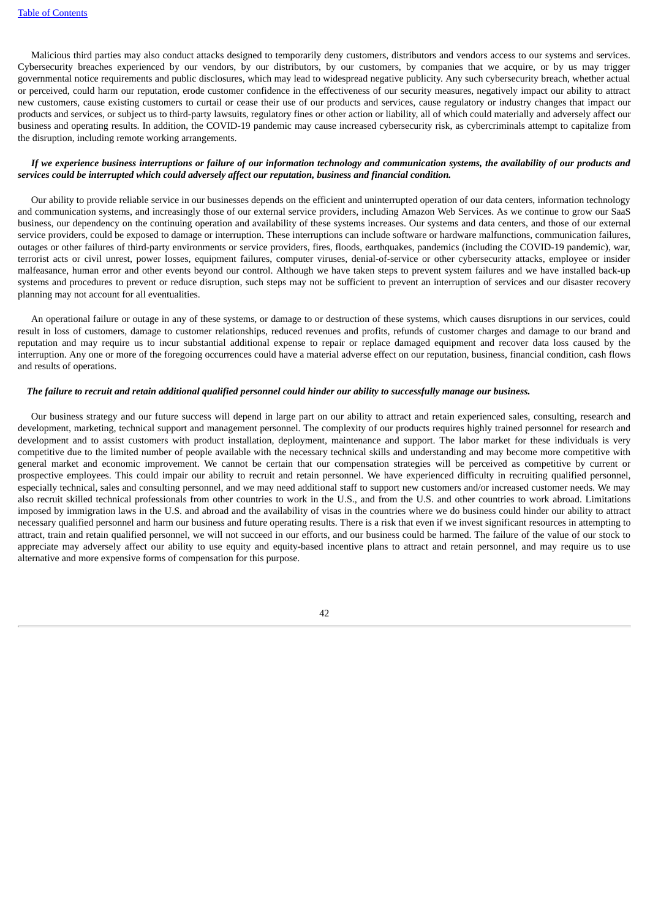Malicious third parties may also conduct attacks designed to temporarily deny customers, distributors and vendors access to our systems and services. Cybersecurity breaches experienced by our vendors, by our distributors, by our customers, by companies that we acquire, or by us may trigger governmental notice requirements and public disclosures, which may lead to widespread negative publicity. Any such cybersecurity breach, whether actual or perceived, could harm our reputation, erode customer confidence in the effectiveness of our security measures, negatively impact our ability to attract new customers, cause existing customers to curtail or cease their use of our products and services, cause regulatory or industry changes that impact our products and services, or subject us to third-party lawsuits, regulatory fines or other action or liability, all of which could materially and adversely affect our business and operating results. In addition, the COVID-19 pandemic may cause increased cybersecurity risk, as cybercriminals attempt to capitalize from the disruption, including remote working arrangements.

#### If we experience business interruptions or failure of our information technology and communication systems, the availability of our products and *services could be interrupted which could adversely affect our reputation, business and financial condition.*

Our ability to provide reliable service in our businesses depends on the efficient and uninterrupted operation of our data centers, information technology and communication systems, and increasingly those of our external service providers, including Amazon Web Services. As we continue to grow our SaaS business, our dependency on the continuing operation and availability of these systems increases. Our systems and data centers, and those of our external service providers, could be exposed to damage or interruption. These interruptions can include software or hardware malfunctions, communication failures, outages or other failures of third-party environments or service providers, fires, floods, earthquakes, pandemics (including the COVID-19 pandemic), war, terrorist acts or civil unrest, power losses, equipment failures, computer viruses, denial-of-service or other cybersecurity attacks, employee or insider malfeasance, human error and other events beyond our control. Although we have taken steps to prevent system failures and we have installed back-up systems and procedures to prevent or reduce disruption, such steps may not be sufficient to prevent an interruption of services and our disaster recovery planning may not account for all eventualities.

An operational failure or outage in any of these systems, or damage to or destruction of these systems, which causes disruptions in our services, could result in loss of customers, damage to customer relationships, reduced revenues and profits, refunds of customer charges and damage to our brand and reputation and may require us to incur substantial additional expense to repair or replace damaged equipment and recover data loss caused by the interruption. Any one or more of the foregoing occurrences could have a material adverse effect on our reputation, business, financial condition, cash flows and results of operations.

#### The failure to recruit and retain additional qualified personnel could hinder our ability to successfully manage our business.

Our business strategy and our future success will depend in large part on our ability to attract and retain experienced sales, consulting, research and development, marketing, technical support and management personnel. The complexity of our products requires highly trained personnel for research and development and to assist customers with product installation, deployment, maintenance and support. The labor market for these individuals is very competitive due to the limited number of people available with the necessary technical skills and understanding and may become more competitive with general market and economic improvement. We cannot be certain that our compensation strategies will be perceived as competitive by current or prospective employees. This could impair our ability to recruit and retain personnel. We have experienced difficulty in recruiting qualified personnel, especially technical, sales and consulting personnel, and we may need additional staff to support new customers and/or increased customer needs. We may also recruit skilled technical professionals from other countries to work in the U.S., and from the U.S. and other countries to work abroad. Limitations imposed by immigration laws in the U.S. and abroad and the availability of visas in the countries where we do business could hinder our ability to attract necessary qualified personnel and harm our business and future operating results. There is a risk that even if we invest significant resources in attempting to attract, train and retain qualified personnel, we will not succeed in our efforts, and our business could be harmed. The failure of the value of our stock to appreciate may adversely affect our ability to use equity and equity-based incentive plans to attract and retain personnel, and may require us to use alternative and more expensive forms of compensation for this purpose.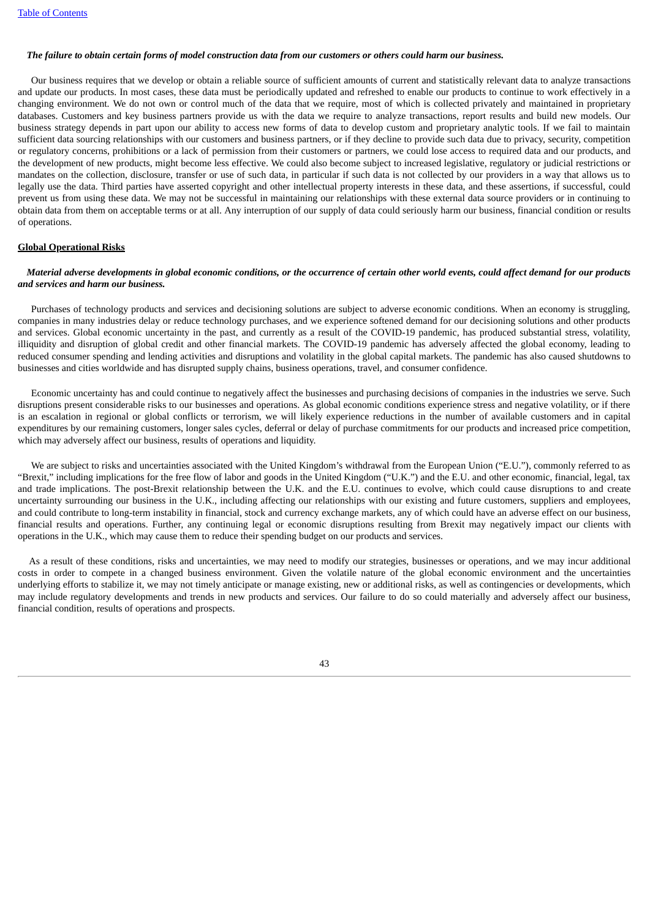#### The failure to obtain certain forms of model construction data from our customers or others could harm our business.

Our business requires that we develop or obtain a reliable source of sufficient amounts of current and statistically relevant data to analyze transactions and update our products. In most cases, these data must be periodically updated and refreshed to enable our products to continue to work effectively in a changing environment. We do not own or control much of the data that we require, most of which is collected privately and maintained in proprietary databases. Customers and key business partners provide us with the data we require to analyze transactions, report results and build new models. Our business strategy depends in part upon our ability to access new forms of data to develop custom and proprietary analytic tools. If we fail to maintain sufficient data sourcing relationships with our customers and business partners, or if they decline to provide such data due to privacy, security, competition or regulatory concerns, prohibitions or a lack of permission from their customers or partners, we could lose access to required data and our products, and the development of new products, might become less effective. We could also become subject to increased legislative, regulatory or judicial restrictions or mandates on the collection, disclosure, transfer or use of such data, in particular if such data is not collected by our providers in a way that allows us to legally use the data. Third parties have asserted copyright and other intellectual property interests in these data, and these assertions, if successful, could prevent us from using these data. We may not be successful in maintaining our relationships with these external data source providers or in continuing to obtain data from them on acceptable terms or at all. Any interruption of our supply of data could seriously harm our business, financial condition or results of operations.

#### **Global Operational Risks**

#### Material adverse developments in global economic conditions, or the occurrence of certain other world events, could affect demand for our products *and services and harm our business.*

Purchases of technology products and services and decisioning solutions are subject to adverse economic conditions. When an economy is struggling, companies in many industries delay or reduce technology purchases, and we experience softened demand for our decisioning solutions and other products and services. Global economic uncertainty in the past, and currently as a result of the COVID-19 pandemic, has produced substantial stress, volatility, illiquidity and disruption of global credit and other financial markets. The COVID-19 pandemic has adversely affected the global economy, leading to reduced consumer spending and lending activities and disruptions and volatility in the global capital markets. The pandemic has also caused shutdowns to businesses and cities worldwide and has disrupted supply chains, business operations, travel, and consumer confidence.

Economic uncertainty has and could continue to negatively affect the businesses and purchasing decisions of companies in the industries we serve. Such disruptions present considerable risks to our businesses and operations. As global economic conditions experience stress and negative volatility, or if there is an escalation in regional or global conflicts or terrorism, we will likely experience reductions in the number of available customers and in capital expenditures by our remaining customers, longer sales cycles, deferral or delay of purchase commitments for our products and increased price competition, which may adversely affect our business, results of operations and liquidity.

We are subject to risks and uncertainties associated with the United Kingdom's withdrawal from the European Union ("E.U."), commonly referred to as "Brexit," including implications for the free flow of labor and goods in the United Kingdom ("U.K.") and the E.U. and other economic, financial, legal, tax and trade implications. The post-Brexit relationship between the U.K. and the E.U. continues to evolve, which could cause disruptions to and create uncertainty surrounding our business in the U.K., including affecting our relationships with our existing and future customers, suppliers and employees, and could contribute to long-term instability in financial, stock and currency exchange markets, any of which could have an adverse effect on our business, financial results and operations. Further, any continuing legal or economic disruptions resulting from Brexit may negatively impact our clients with operations in the U.K., which may cause them to reduce their spending budget on our products and services.

As a result of these conditions, risks and uncertainties, we may need to modify our strategies, businesses or operations, and we may incur additional costs in order to compete in a changed business environment. Given the volatile nature of the global economic environment and the uncertainties underlying efforts to stabilize it, we may not timely anticipate or manage existing, new or additional risks, as well as contingencies or developments, which may include regulatory developments and trends in new products and services. Our failure to do so could materially and adversely affect our business, financial condition, results of operations and prospects.

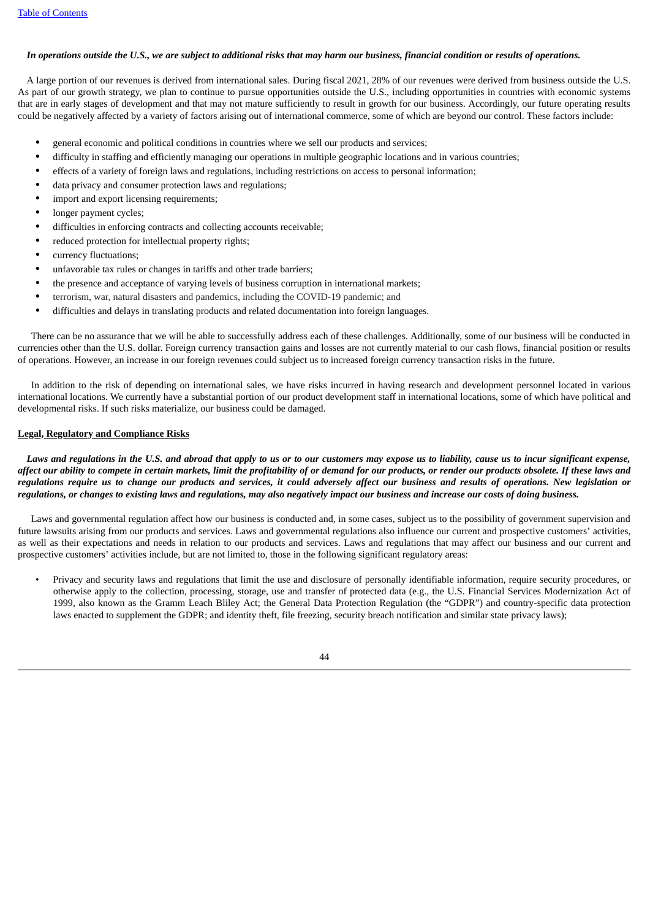#### In operations outside the U.S., we are subject to additional risks that may harm our business, financial condition or results of operations.

A large portion of our revenues is derived from international sales. During fiscal 2021, 28% of our revenues were derived from business outside the U.S. As part of our growth strategy, we plan to continue to pursue opportunities outside the U.S., including opportunities in countries with economic systems that are in early stages of development and that may not mature sufficiently to result in growth for our business. Accordingly, our future operating results could be negatively affected by a variety of factors arising out of international commerce, some of which are beyond our control. These factors include:

- general economic and political conditions in countries where we sell our products and services;
- difficulty in staffing and efficiently managing our operations in multiple geographic locations and in various countries;
- effects of a variety of foreign laws and regulations, including restrictions on access to personal information;
- data privacy and consumer protection laws and regulations;
- import and export licensing requirements;
- longer payment cycles;
- difficulties in enforcing contracts and collecting accounts receivable;
- reduced protection for intellectual property rights;
- currency fluctuations:
- unfavorable tax rules or changes in tariffs and other trade barriers;
- the presence and acceptance of varying levels of business corruption in international markets;
- terrorism, war, natural disasters and pandemics, including the COVID-19 pandemic; and
- difficulties and delays in translating products and related documentation into foreign languages.

There can be no assurance that we will be able to successfully address each of these challenges. Additionally, some of our business will be conducted in currencies other than the U.S. dollar. Foreign currency transaction gains and losses are not currently material to our cash flows, financial position or results of operations. However, an increase in our foreign revenues could subject us to increased foreign currency transaction risks in the future.

In addition to the risk of depending on international sales, we have risks incurred in having research and development personnel located in various international locations. We currently have a substantial portion of our product development staff in international locations, some of which have political and developmental risks. If such risks materialize, our business could be damaged.

#### **Legal, Regulatory and Compliance Risks**

Laws and regulations in the U.S. and abroad that apply to us or to our customers may expose us to liability, cause us to incur significant expense, affect our ability to compete in certain markets, limit the profitability of or demand for our products, or render our products obsolete. If these laws and regulations require us to change our products and services, it could adversely affect our business and results of operations. New legislation or regulations, or changes to existing laws and regulations, may also negatively impact our business and increase our costs of doing business.

Laws and governmental regulation affect how our business is conducted and, in some cases, subject us to the possibility of government supervision and future lawsuits arising from our products and services. Laws and governmental regulations also influence our current and prospective customers' activities, as well as their expectations and needs in relation to our products and services. Laws and regulations that may affect our business and our current and prospective customers' activities include, but are not limited to, those in the following significant regulatory areas:

• Privacy and security laws and regulations that limit the use and disclosure of personally identifiable information, require security procedures, or otherwise apply to the collection, processing, storage, use and transfer of protected data (e.g., the U.S. Financial Services Modernization Act of 1999, also known as the Gramm Leach Bliley Act; the General Data Protection Regulation (the "GDPR") and country-specific data protection laws enacted to supplement the GDPR; and identity theft, file freezing, security breach notification and similar state privacy laws);

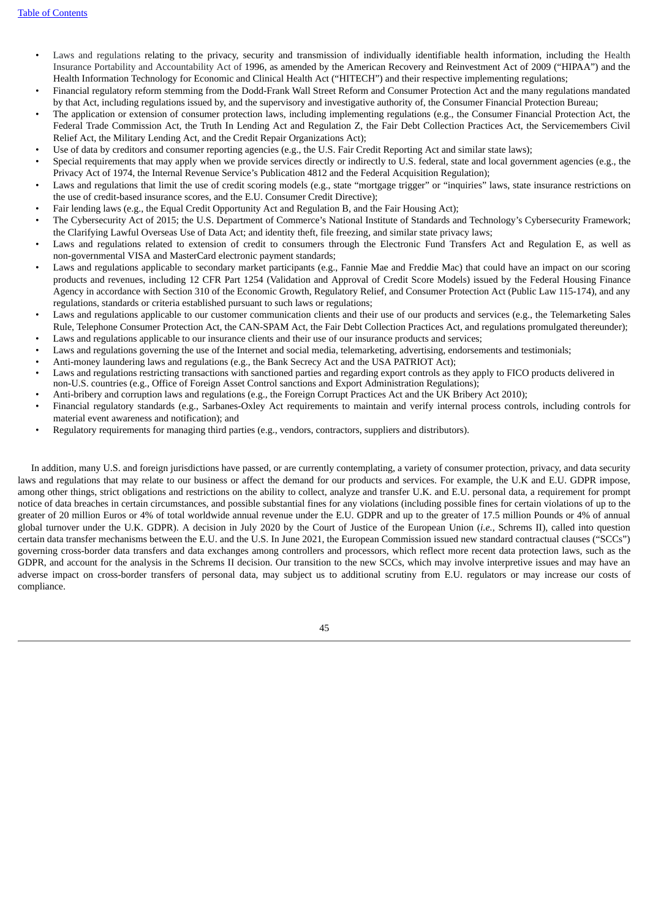- Laws and regulations relating to the privacy, security and transmission of individually identifiable health information, including the Health Insurance Portability and Accountability Act of 1996, as amended by the American Recovery and Reinvestment Act of 2009 ("HIPAA") and the Health Information Technology for Economic and Clinical Health Act ("HITECH") and their respective implementing regulations;
- Financial regulatory reform stemming from the Dodd-Frank Wall Street Reform and Consumer Protection Act and the many regulations mandated by that Act, including regulations issued by, and the supervisory and investigative authority of, the Consumer Financial Protection Bureau;
- The application or extension of consumer protection laws, including implementing regulations (e.g., the Consumer Financial Protection Act, the Federal Trade Commission Act, the Truth In Lending Act and Regulation Z, the Fair Debt Collection Practices Act, the Servicemembers Civil Relief Act, the Military Lending Act, and the Credit Repair Organizations Act);
- Use of data by creditors and consumer reporting agencies (e.g., the U.S. Fair Credit Reporting Act and similar state laws);
- Special requirements that may apply when we provide services directly or indirectly to U.S. federal, state and local government agencies (e.g., the Privacy Act of 1974, the Internal Revenue Service's Publication 4812 and the Federal Acquisition Regulation);
- Laws and regulations that limit the use of credit scoring models (e.g., state "mortgage trigger" or "inquiries" laws, state insurance restrictions on the use of credit-based insurance scores, and the E.U. Consumer Credit Directive);
- Fair lending laws (e.g., the Equal Credit Opportunity Act and Regulation B, and the Fair Housing Act);
- The Cybersecurity Act of 2015; the U.S. Department of Commerce's National Institute of Standards and Technology's Cybersecurity Framework; the Clarifying Lawful Overseas Use of Data Act; and identity theft, file freezing, and similar state privacy laws;
- Laws and regulations related to extension of credit to consumers through the Electronic Fund Transfers Act and Regulation E, as well as non‑governmental VISA and MasterCard electronic payment standards;
- Laws and regulations applicable to secondary market participants (e.g., Fannie Mae and Freddie Mac) that could have an impact on our scoring products and revenues, including 12 CFR Part 1254 (Validation and Approval of Credit Score Models) issued by the Federal Housing Finance Agency in accordance with Section 310 of the Economic Growth, Regulatory Relief, and Consumer Protection Act (Public Law 115-174), and any regulations, standards or criteria established pursuant to such laws or regulations;
- Laws and regulations applicable to our customer communication clients and their use of our products and services (e.g., the Telemarketing Sales Rule, Telephone Consumer Protection Act, the CAN-SPAM Act, the Fair Debt Collection Practices Act, and regulations promulgated thereunder);
- Laws and regulations applicable to our insurance clients and their use of our insurance products and services;
- Laws and regulations governing the use of the Internet and social media, telemarketing, advertising, endorsements and testimonials;
- Anti-money laundering laws and regulations (e.g., the Bank Secrecy Act and the USA PATRIOT Act);
- Laws and regulations restricting transactions with sanctioned parties and regarding export controls as they apply to FICO products delivered in non-U.S. countries (e.g., Office of Foreign Asset Control sanctions and Export Administration Regulations);
- Anti-bribery and corruption laws and regulations (e.g., the Foreign Corrupt Practices Act and the UK Bribery Act 2010);
- Financial regulatory standards (e.g., Sarbanes-Oxley Act requirements to maintain and verify internal process controls, including controls for material event awareness and notification); and
- Regulatory requirements for managing third parties (e.g., vendors, contractors, suppliers and distributors).

In addition, many U.S. and foreign jurisdictions have passed, or are currently contemplating, a variety of consumer protection, privacy, and data security laws and regulations that may relate to our business or affect the demand for our products and services. For example, the U.K and E.U. GDPR impose, among other things, strict obligations and restrictions on the ability to collect, analyze and transfer U.K. and E.U. personal data, a requirement for prompt notice of data breaches in certain circumstances, and possible substantial fines for any violations (including possible fines for certain violations of up to the greater of 20 million Euros or 4% of total worldwide annual revenue under the E.U. GDPR and up to the greater of 17.5 million Pounds or 4% of annual global turnover under the U.K. GDPR). A decision in July 2020 by the Court of Justice of the European Union (*i.e.*, Schrems II), called into question certain data transfer mechanisms between the E.U. and the U.S. In June 2021, the European Commission issued new standard contractual clauses ("SCCs") governing cross-border data transfers and data exchanges among controllers and processors, which reflect more recent data protection laws, such as the GDPR, and account for the analysis in the Schrems II decision. Our transition to the new SCCs, which may involve interpretive issues and may have an adverse impact on cross-border transfers of personal data, may subject us to additional scrutiny from E.U. regulators or may increase our costs of compliance.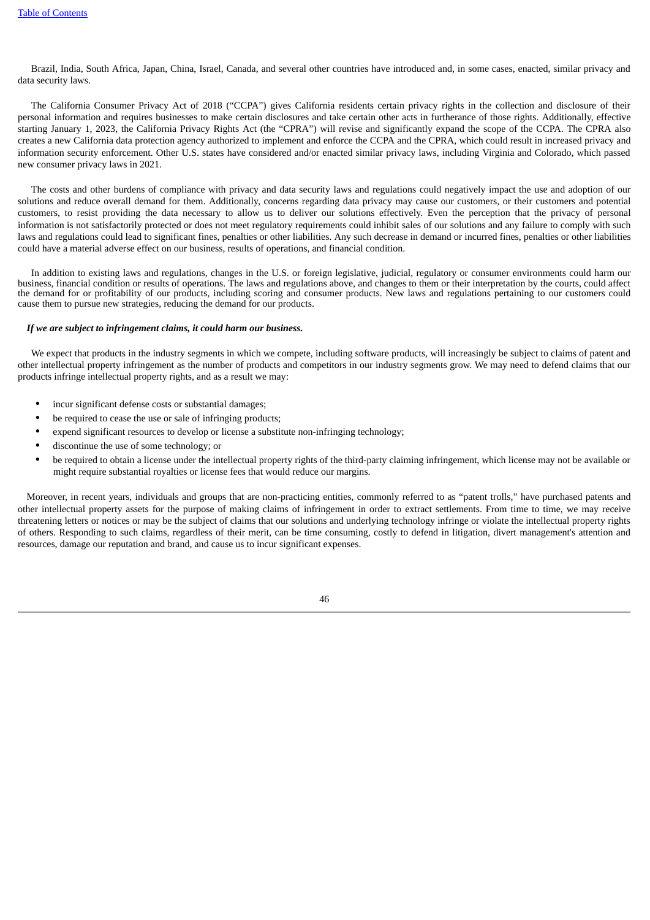Brazil, India, South Africa, Japan, China, Israel, Canada, and several other countries have introduced and, in some cases, enacted, similar privacy and data security laws.

The California Consumer Privacy Act of 2018 ("CCPA") gives California residents certain privacy rights in the collection and disclosure of their personal information and requires businesses to make certain disclosures and take certain other acts in furtherance of those rights. Additionally, effective starting January 1, 2023, the California Privacy Rights Act (the "CPRA") will revise and significantly expand the scope of the CCPA. The CPRA also creates a new California data protection agency authorized to implement and enforce the CCPA and the CPRA, which could result in increased privacy and information security enforcement. Other U.S. states have considered and/or enacted similar privacy laws, including Virginia and Colorado, which passed new consumer privacy laws in 2021.

The costs and other burdens of compliance with privacy and data security laws and regulations could negatively impact the use and adoption of our solutions and reduce overall demand for them. Additionally, concerns regarding data privacy may cause our customers, or their customers and potential customers, to resist providing the data necessary to allow us to deliver our solutions effectively. Even the perception that the privacy of personal information is not satisfactorily protected or does not meet regulatory requirements could inhibit sales of our solutions and any failure to comply with such laws and regulations could lead to significant fines, penalties or other liabilities. Any such decrease in demand or incurred fines, penalties or other liabilities could have a material adverse effect on our business, results of operations, and financial condition.

In addition to existing laws and regulations, changes in the U.S. or foreign legislative, judicial, regulatory or consumer environments could harm our business, financial condition or results of operations. The laws and regulations above, and changes to them or their interpretation by the courts, could affect the demand for or profitability of our products, including scoring and consumer products. New laws and regulations pertaining to our customers could cause them to pursue new strategies, reducing the demand for our products.

#### *If we are subject to infringement claims, it could harm our business.*

We expect that products in the industry segments in which we compete, including software products, will increasingly be subject to claims of patent and other intellectual property infringement as the number of products and competitors in our industry segments grow. We may need to defend claims that our products infringe intellectual property rights, and as a result we may:

- incur significant defense costs or substantial damages:
- be required to cease the use or sale of infringing products:
- expend significant resources to develop or license a substitute non-infringing technology;
- discontinue the use of some technology; or
- be required to obtain a license under the intellectual property rights of the third-party claiming infringement, which license may not be available or might require substantial royalties or license fees that would reduce our margins.

Moreover, in recent years, individuals and groups that are non-practicing entities, commonly referred to as "patent trolls," have purchased patents and other intellectual property assets for the purpose of making claims of infringement in order to extract settlements. From time to time, we may receive threatening letters or notices or may be the subject of claims that our solutions and underlying technology infringe or violate the intellectual property rights of others. Responding to such claims, regardless of their merit, can be time consuming, costly to defend in litigation, divert management's attention and resources, damage our reputation and brand, and cause us to incur significant expenses.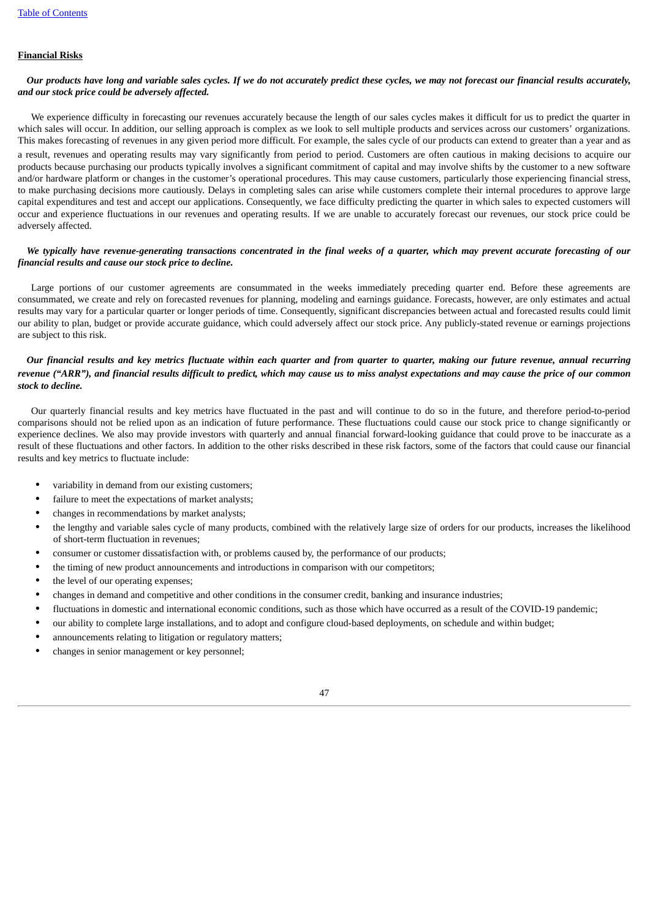#### **Financial Risks**

#### Our products have long and variable sales cycles. If we do not accurately predict these cycles, we may not forecast our financial results accurately, *and our stock price could be adversely affected.*

We experience difficulty in forecasting our revenues accurately because the length of our sales cycles makes it difficult for us to predict the quarter in which sales will occur. In addition, our selling approach is complex as we look to sell multiple products and services across our customers' organizations. This makes forecasting of revenues in any given period more difficult. For example, the sales cycle of our products can extend to greater than a year and as a result, revenues and operating results may vary significantly from period to period. Customers are often cautious in making decisions to acquire our products because purchasing our products typically involves a significant commitment of capital and may involve shifts by the customer to a new software and/or hardware platform or changes in the customer's operational procedures. This may cause customers, particularly those experiencing financial stress, to make purchasing decisions more cautiously. Delays in completing sales can arise while customers complete their internal procedures to approve large capital expenditures and test and accept our applications. Consequently, we face difficulty predicting the quarter in which sales to expected customers will occur and experience fluctuations in our revenues and operating results. If we are unable to accurately forecast our revenues, our stock price could be adversely affected.

#### We typically have revenue-generating transactions concentrated in the final weeks of a quarter, which may prevent accurate forecasting of our *financial results and cause our stock price to decline.*

Large portions of our customer agreements are consummated in the weeks immediately preceding quarter end. Before these agreements are consummated, we create and rely on forecasted revenues for planning, modeling and earnings guidance. Forecasts, however, are only estimates and actual results may vary for a particular quarter or longer periods of time. Consequently, significant discrepancies between actual and forecasted results could limit our ability to plan, budget or provide accurate guidance, which could adversely affect our stock price. Any publicly-stated revenue or earnings projections are subject to this risk.

## Our financial results and key metrics fluctuate within each quarter and from quarter to quarter, making our future revenue, annual recurring revenue ("ARR"), and financial results difficult to predict, which may cause us to miss analyst expectations and may cause the price of our common *stock to decline.*

Our quarterly financial results and key metrics have fluctuated in the past and will continue to do so in the future, and therefore period-to-period comparisons should not be relied upon as an indication of future performance. These fluctuations could cause our stock price to change significantly or experience declines. We also may provide investors with quarterly and annual financial forward-looking guidance that could prove to be inaccurate as a result of these fluctuations and other factors. In addition to the other risks described in these risk factors, some of the factors that could cause our financial results and key metrics to fluctuate include:

- variability in demand from our existing customers;
- failure to meet the expectations of market analysts:
- changes in recommendations by market analysts;
- the lengthy and variable sales cycle of many products, combined with the relatively large size of orders for our products, increases the likelihood of short-term fluctuation in revenues;
- consumer or customer dissatisfaction with, or problems caused by, the performance of our products;
- the timing of new product announcements and introductions in comparison with our competitors;
- the level of our operating expenses;
- changes in demand and competitive and other conditions in the consumer credit, banking and insurance industries;
- fluctuations in domestic and international economic conditions, such as those which have occurred as a result of the COVID-19 pandemic;
- our ability to complete large installations, and to adopt and configure cloud-based deployments, on schedule and within budget;
- announcements relating to litigation or regulatory matters;
- changes in senior management or key personnel;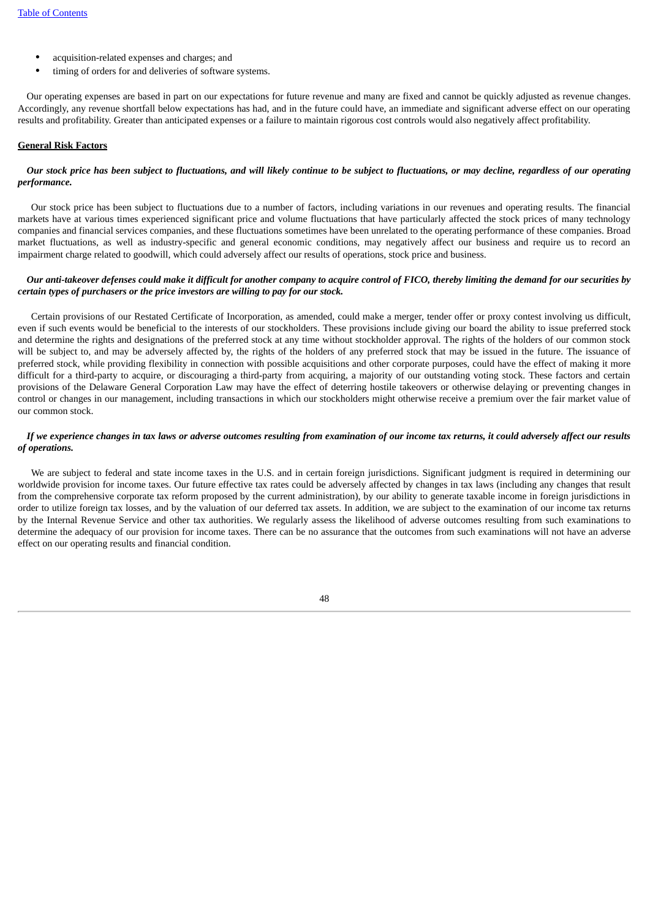- acquisition-related expenses and charges; and
- timing of orders for and deliveries of software systems.

Our operating expenses are based in part on our expectations for future revenue and many are fixed and cannot be quickly adjusted as revenue changes. Accordingly, any revenue shortfall below expectations has had, and in the future could have, an immediate and significant adverse effect on our operating results and profitability. Greater than anticipated expenses or a failure to maintain rigorous cost controls would also negatively affect profitability.

#### **General Risk Factors**

#### Our stock price has been subject to fluctuations, and will likely continue to be subject to fluctuations, or may decline, regardless of our operating *performance.*

Our stock price has been subject to fluctuations due to a number of factors, including variations in our revenues and operating results. The financial markets have at various times experienced significant price and volume fluctuations that have particularly affected the stock prices of many technology companies and financial services companies, and these fluctuations sometimes have been unrelated to the operating performance of these companies. Broad market fluctuations, as well as industry-specific and general economic conditions, may negatively affect our business and require us to record an impairment charge related to goodwill, which could adversely affect our results of operations, stock price and business.

#### Our anti-takeover defenses could make it difficult for another company to acquire control of FICO, thereby limiting the demand for our securities by *certain types of purchasers or the price investors are willing to pay for our stock.*

Certain provisions of our Restated Certificate of Incorporation, as amended, could make a merger, tender offer or proxy contest involving us difficult, even if such events would be beneficial to the interests of our stockholders. These provisions include giving our board the ability to issue preferred stock and determine the rights and designations of the preferred stock at any time without stockholder approval. The rights of the holders of our common stock will be subject to, and may be adversely affected by, the rights of the holders of any preferred stock that may be issued in the future. The issuance of preferred stock, while providing flexibility in connection with possible acquisitions and other corporate purposes, could have the effect of making it more difficult for a third-party to acquire, or discouraging a third-party from acquiring, a majority of our outstanding voting stock. These factors and certain provisions of the Delaware General Corporation Law may have the effect of deterring hostile takeovers or otherwise delaying or preventing changes in control or changes in our management, including transactions in which our stockholders might otherwise receive a premium over the fair market value of our common stock.

#### If we experience changes in tax laws or adverse outcomes resulting from examination of our income tax returns, it could adversely affect our results *of operations.*

<span id="page-50-0"></span>We are subject to federal and state income taxes in the U.S. and in certain foreign jurisdictions. Significant judgment is required in determining our worldwide provision for income taxes. Our future effective tax rates could be adversely affected by changes in tax laws (including any changes that result from the comprehensive corporate tax reform proposed by the current administration), by our ability to generate taxable income in foreign jurisdictions in order to utilize foreign tax losses, and by the valuation of our deferred tax assets. In addition, we are subject to the examination of our income tax returns by the Internal Revenue Service and other tax authorities. We regularly assess the likelihood of adverse outcomes resulting from such examinations to determine the adequacy of our provision for income taxes. There can be no assurance that the outcomes from such examinations will not have an adverse effect on our operating results and financial condition.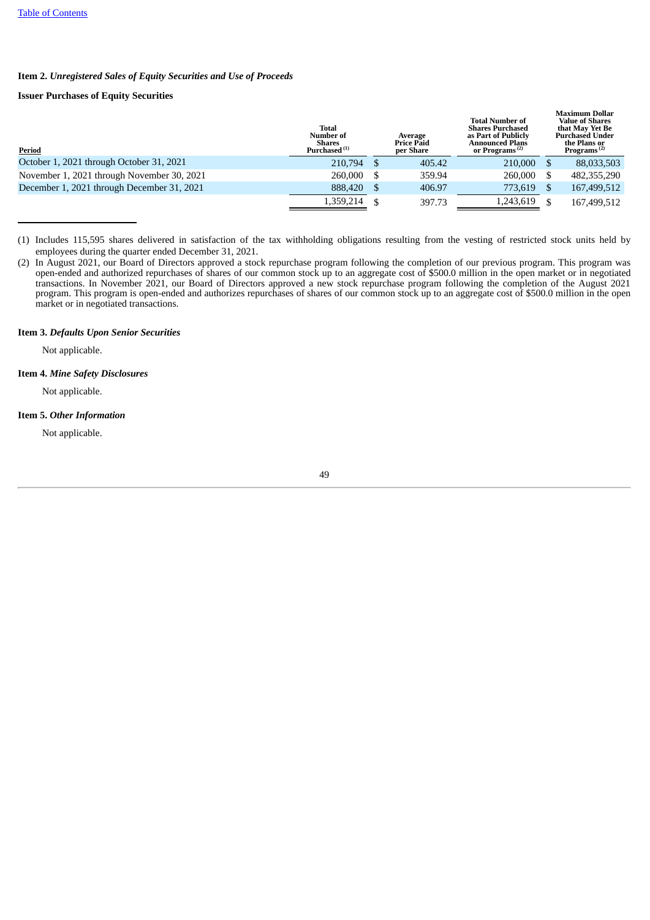## **Item 2.** *Unregistered Sales of Equity Securities and Use of Proceeds*

## **Issuer Purchases of Equity Securities**

| Period                                     | Total<br>Number of<br><b>Shares</b><br>Purchased <sup>(1)</sup> | <b>Total Number of</b><br><b>Shares Purchased</b><br>as Part of Publicly<br>Average<br>Price Paid<br><b>Announced Plans</b><br>or Programs $(2)$<br>per Share |        | <b>Maximum Dollar</b><br><b>Value of Shares</b><br>that May Yet Be<br><b>Purchased Under</b><br>the Plans or<br>Programs $(2)$ |  |             |
|--------------------------------------------|-----------------------------------------------------------------|---------------------------------------------------------------------------------------------------------------------------------------------------------------|--------|--------------------------------------------------------------------------------------------------------------------------------|--|-------------|
| October 1, 2021 through October 31, 2021   | 210,794                                                         |                                                                                                                                                               | 405.42 | 210,000                                                                                                                        |  | 88,033,503  |
| November 1, 2021 through November 30, 2021 | 260,000                                                         |                                                                                                                                                               | 359.94 | 260,000                                                                                                                        |  | 482,355,290 |
| December 1, 2021 through December 31, 2021 | 888,420                                                         |                                                                                                                                                               | 406.97 | 773,619                                                                                                                        |  | 167,499,512 |
|                                            | 1,359,214                                                       |                                                                                                                                                               | 397.73 | 1,243,619                                                                                                                      |  | 167,499,512 |

<sup>(1)</sup> Includes 115,595 shares delivered in satisfaction of the tax withholding obligations resulting from the vesting of restricted stock units held by employees during the quarter ended December 31, 2021.

## <span id="page-51-0"></span>**Item 3.** *Defaults Upon Senior Securities*

Not applicable.

## <span id="page-51-1"></span>**Item 4.** *Mine Safety Disclosures*

Not applicable.

#### <span id="page-51-2"></span>**Item 5.** *Other Information*

<span id="page-51-3"></span>Not applicable.

<sup>(2)</sup> In August 2021, our Board of Directors approved a stock repurchase program following the completion of our previous program. This program was open-ended and authorized repurchases of shares of our common stock up to an aggregate cost of \$500.0 million in the open market or in negotiated transactions. In November 2021, our Board of Directors approved a new stock repurchase program following the completion of the August 2021 program. This program is open-ended and authorizes repurchases of shares of our common stock up to an aggregate cost of \$500.0 million in the open market or in negotiated transactions.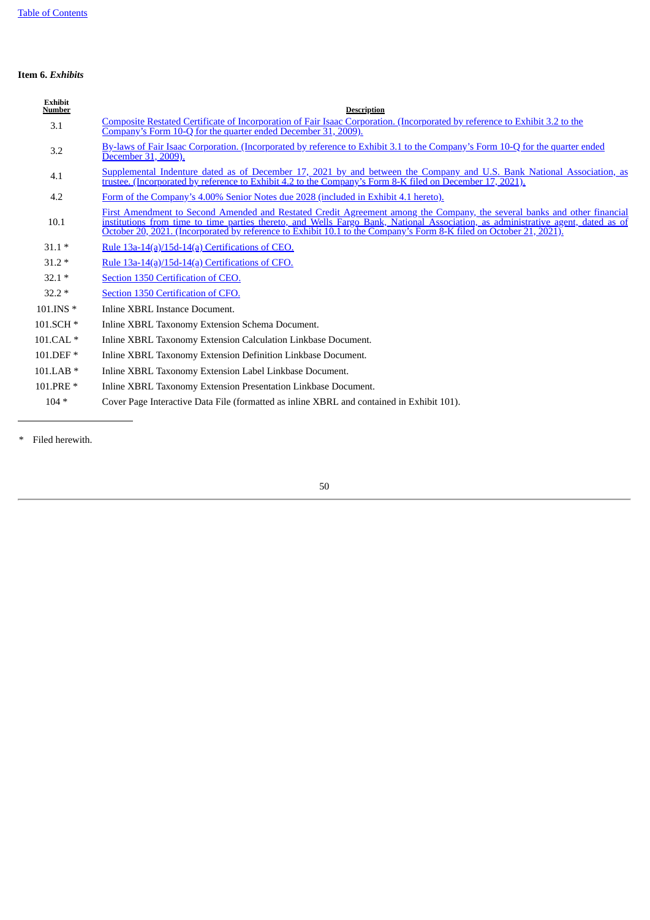## **Item 6.** *Exhibits*

| <b>Exhibit</b><br>Number | <b>Description</b>                                                                                                                                                                                                                                                                                                                                                                 |
|--------------------------|------------------------------------------------------------------------------------------------------------------------------------------------------------------------------------------------------------------------------------------------------------------------------------------------------------------------------------------------------------------------------------|
| 3.1                      | Composite Restated Certificate of Incorporation of Fair Isaac Corporation. (Incorporated by reference to Exhibit 3.2 to the<br>Company's Form 10-Q for the quarter ended December 31, 2009).                                                                                                                                                                                       |
| 3.2                      | By-laws of Fair Isaac Corporation. (Incorporated by reference to Exhibit 3.1 to the Company's Form 10-Q for the quarter ended<br>December 31, 2009).                                                                                                                                                                                                                               |
| 4.1                      | Supplemental Indenture dated as of December 17, 2021 by and between the Company and U.S. Bank National Association, as<br>trustee. (Incorporated by reference to Exhibit 4.2 to the Company's Form 8-K filed on December 17, 2021).                                                                                                                                                |
| 4.2                      | Form of the Company's 4.00% Senior Notes due 2028 (included in Exhibit 4.1 hereto).                                                                                                                                                                                                                                                                                                |
| 10.1                     | First Amendment to Second Amended and Restated Credit Agreement among the Company, the several banks and other financial<br>institutions from time to time parties thereto, and Wells Fargo Bank, National Association, as administrative agent, dated as of<br>October 20, 2021. (Incorporated by reference to Exhibit 10.1 to the Company's Form 8-K filed on October 21, 2021). |
| $31.1*$                  | Rule 13a-14(a)/15d-14(a) Certifications of CEO.                                                                                                                                                                                                                                                                                                                                    |
| $31.2*$                  | Rule 13a-14(a)/15d-14(a) Certifications of CFO.                                                                                                                                                                                                                                                                                                                                    |
| $32.1*$                  | Section 1350 Certification of CEO.                                                                                                                                                                                                                                                                                                                                                 |
| $32.2*$                  | Section 1350 Certification of CFO.                                                                                                                                                                                                                                                                                                                                                 |
| $101$ . INS $*$          | Inline XBRL Instance Document.                                                                                                                                                                                                                                                                                                                                                     |
| 101.SCH *                | Inline XBRL Taxonomy Extension Schema Document.                                                                                                                                                                                                                                                                                                                                    |
| 101.CAL *                | Inline XBRL Taxonomy Extension Calculation Linkbase Document.                                                                                                                                                                                                                                                                                                                      |
| 101.DEF *                | Inline XBRL Taxonomy Extension Definition Linkbase Document.                                                                                                                                                                                                                                                                                                                       |
| $101.LAB*$               | Inline XBRL Taxonomy Extension Label Linkbase Document.                                                                                                                                                                                                                                                                                                                            |
| 101.PRE *                | Inline XBRL Taxonomy Extension Presentation Linkbase Document.                                                                                                                                                                                                                                                                                                                     |
| $104*$                   | Cover Page Interactive Data File (formatted as inline XBRL and contained in Exhibit 101).                                                                                                                                                                                                                                                                                          |
|                          |                                                                                                                                                                                                                                                                                                                                                                                    |

<span id="page-52-0"></span>\* Filed herewith.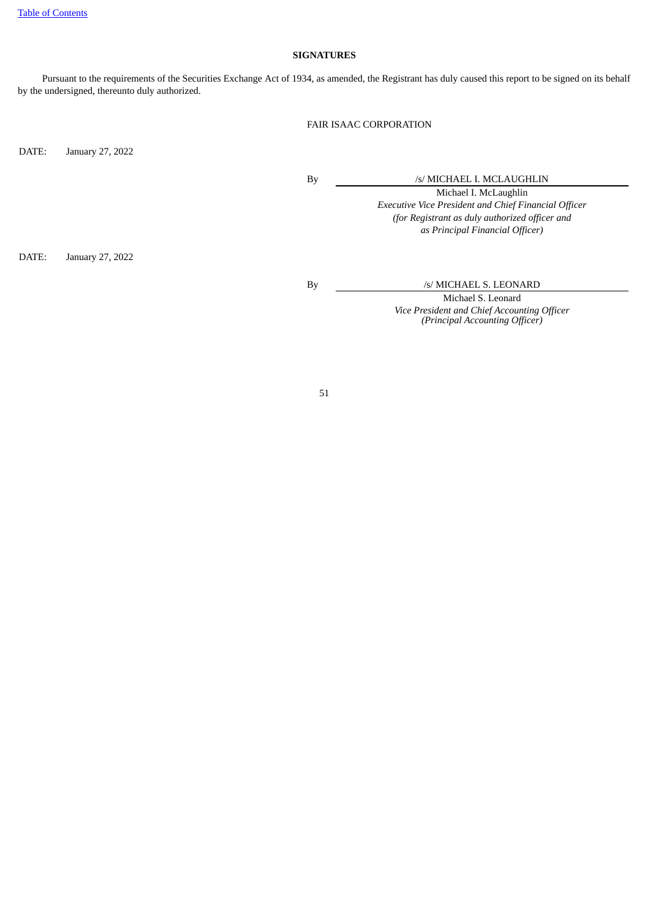## **SIGNATURES**

Pursuant to the requirements of the Securities Exchange Act of 1934, as amended, the Registrant has duly caused this report to be signed on its behalf by the undersigned, thereunto duly authorized.

#### FAIR ISAAC CORPORATION

DATE: January 27, 2022

By /s/ MICHAEL I. MCLAUGHLIN

Michael I. McLaughlin *Executive Vice President and Chief Financial Officer (for Registrant as duly authorized officer and as Principal Financial Officer)*

DATE: January 27, 2022

By /s/ MICHAEL S. LEONARD

Michael S. Leonard *Vice President and Chief Accounting Officer (Principal Accounting Officer)*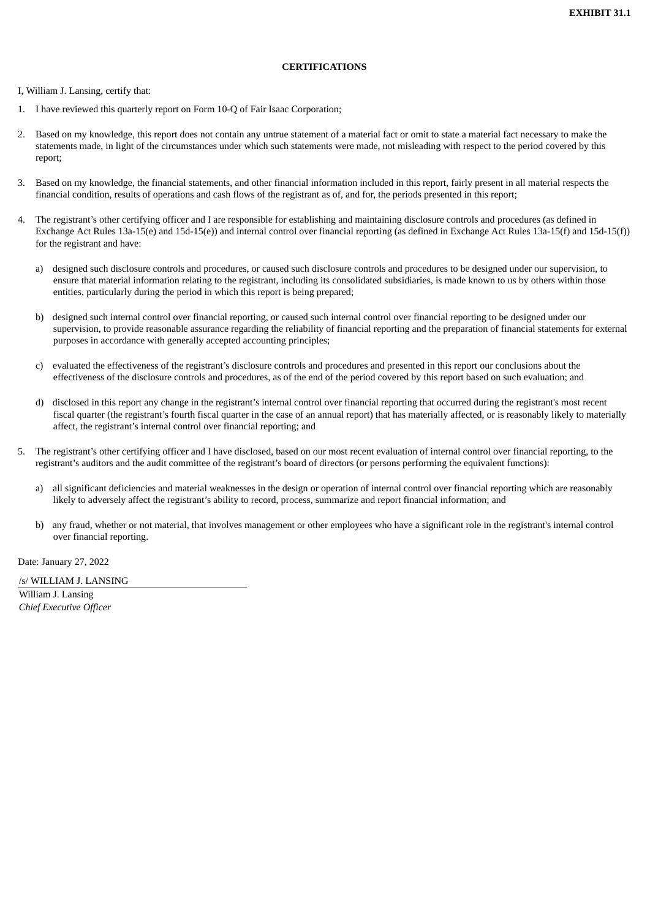#### **CERTIFICATIONS**

<span id="page-54-0"></span>I, William J. Lansing, certify that:

- 1. I have reviewed this quarterly report on Form 10-Q of Fair Isaac Corporation;
- 2. Based on my knowledge, this report does not contain any untrue statement of a material fact or omit to state a material fact necessary to make the statements made, in light of the circumstances under which such statements were made, not misleading with respect to the period covered by this report;
- 3. Based on my knowledge, the financial statements, and other financial information included in this report, fairly present in all material respects the financial condition, results of operations and cash flows of the registrant as of, and for, the periods presented in this report;
- 4. The registrant's other certifying officer and I are responsible for establishing and maintaining disclosure controls and procedures (as defined in Exchange Act Rules 13a-15(e) and 15d-15(e)) and internal control over financial reporting (as defined in Exchange Act Rules 13a-15(f) and 15d-15(f)) for the registrant and have:
	- a) designed such disclosure controls and procedures, or caused such disclosure controls and procedures to be designed under our supervision, to ensure that material information relating to the registrant, including its consolidated subsidiaries, is made known to us by others within those entities, particularly during the period in which this report is being prepared;
	- b) designed such internal control over financial reporting, or caused such internal control over financial reporting to be designed under our supervision, to provide reasonable assurance regarding the reliability of financial reporting and the preparation of financial statements for external purposes in accordance with generally accepted accounting principles;
	- c) evaluated the effectiveness of the registrant's disclosure controls and procedures and presented in this report our conclusions about the effectiveness of the disclosure controls and procedures, as of the end of the period covered by this report based on such evaluation; and
	- d) disclosed in this report any change in the registrant's internal control over financial reporting that occurred during the registrant's most recent fiscal quarter (the registrant's fourth fiscal quarter in the case of an annual report) that has materially affected, or is reasonably likely to materially affect, the registrant's internal control over financial reporting; and
- 5. The registrant's other certifying officer and I have disclosed, based on our most recent evaluation of internal control over financial reporting, to the registrant's auditors and the audit committee of the registrant's board of directors (or persons performing the equivalent functions):
	- a) all significant deficiencies and material weaknesses in the design or operation of internal control over financial reporting which are reasonably likely to adversely affect the registrant's ability to record, process, summarize and report financial information; and
	- b) any fraud, whether or not material, that involves management or other employees who have a significant role in the registrant's internal control over financial reporting.

Date: January 27, 2022

/s/ WILLIAM J. LANSING

William J. Lansing *Chief Executive Officer*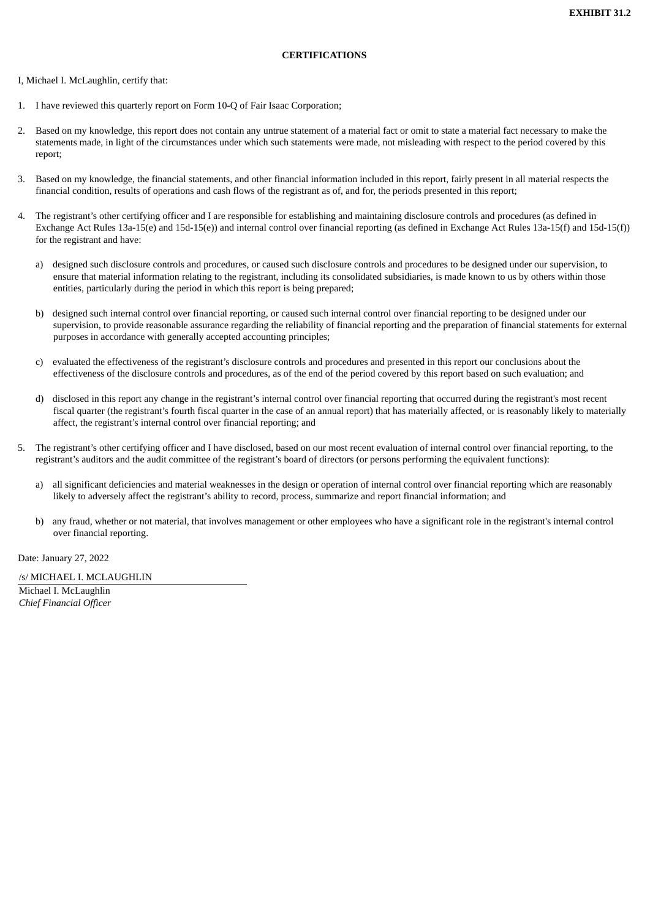#### **CERTIFICATIONS**

<span id="page-55-0"></span>I, Michael I. McLaughlin, certify that:

- 1. I have reviewed this quarterly report on Form 10-Q of Fair Isaac Corporation;
- 2. Based on my knowledge, this report does not contain any untrue statement of a material fact or omit to state a material fact necessary to make the statements made, in light of the circumstances under which such statements were made, not misleading with respect to the period covered by this report;
- 3. Based on my knowledge, the financial statements, and other financial information included in this report, fairly present in all material respects the financial condition, results of operations and cash flows of the registrant as of, and for, the periods presented in this report;
- 4. The registrant's other certifying officer and I are responsible for establishing and maintaining disclosure controls and procedures (as defined in Exchange Act Rules 13a-15(e) and 15d-15(e)) and internal control over financial reporting (as defined in Exchange Act Rules 13a-15(f) and 15d-15(f)) for the registrant and have:
	- a) designed such disclosure controls and procedures, or caused such disclosure controls and procedures to be designed under our supervision, to ensure that material information relating to the registrant, including its consolidated subsidiaries, is made known to us by others within those entities, particularly during the period in which this report is being prepared;
	- b) designed such internal control over financial reporting, or caused such internal control over financial reporting to be designed under our supervision, to provide reasonable assurance regarding the reliability of financial reporting and the preparation of financial statements for external purposes in accordance with generally accepted accounting principles;
	- c) evaluated the effectiveness of the registrant's disclosure controls and procedures and presented in this report our conclusions about the effectiveness of the disclosure controls and procedures, as of the end of the period covered by this report based on such evaluation; and
	- d) disclosed in this report any change in the registrant's internal control over financial reporting that occurred during the registrant's most recent fiscal quarter (the registrant's fourth fiscal quarter in the case of an annual report) that has materially affected, or is reasonably likely to materially affect, the registrant's internal control over financial reporting; and
- 5. The registrant's other certifying officer and I have disclosed, based on our most recent evaluation of internal control over financial reporting, to the registrant's auditors and the audit committee of the registrant's board of directors (or persons performing the equivalent functions):
	- a) all significant deficiencies and material weaknesses in the design or operation of internal control over financial reporting which are reasonably likely to adversely affect the registrant's ability to record, process, summarize and report financial information; and
	- b) any fraud, whether or not material, that involves management or other employees who have a significant role in the registrant's internal control over financial reporting.

Date: January 27, 2022

/s/ MICHAEL I. MCLAUGHLIN

Michael I. McLaughlin *Chief Financial Officer*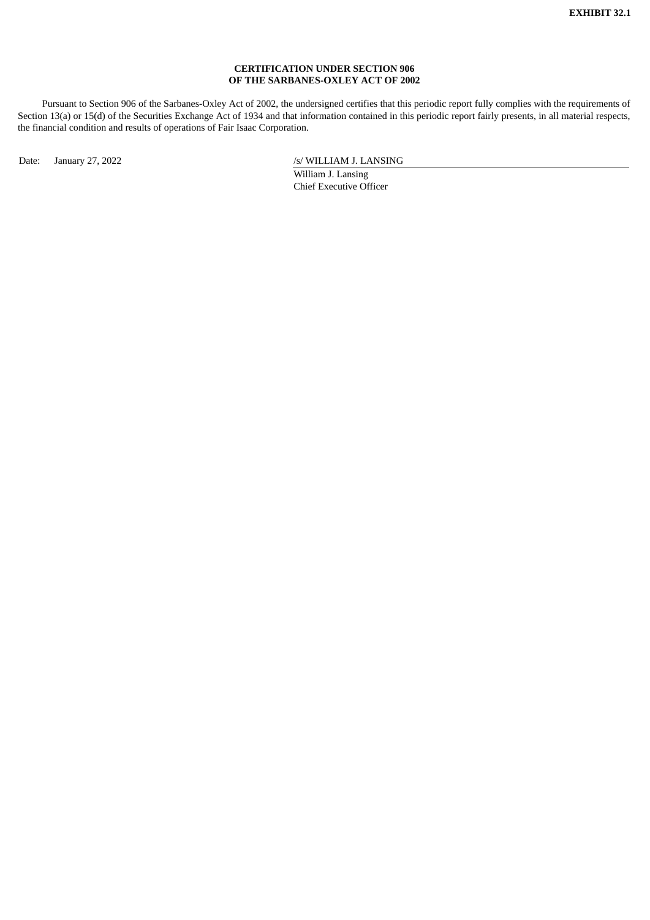## **CERTIFICATION UNDER SECTION 906 OF THE SARBANES-OXLEY ACT OF 2002**

<span id="page-56-0"></span>Pursuant to Section 906 of the Sarbanes-Oxley Act of 2002, the undersigned certifies that this periodic report fully complies with the requirements of Section 13(a) or 15(d) of the Securities Exchange Act of 1934 and that information contained in this periodic report fairly presents, in all material respects, the financial condition and results of operations of Fair Isaac Corporation.

Date: January 27, 2022 /s/ WILLIAM J. LANSING

William J. Lansing Chief Executive Officer